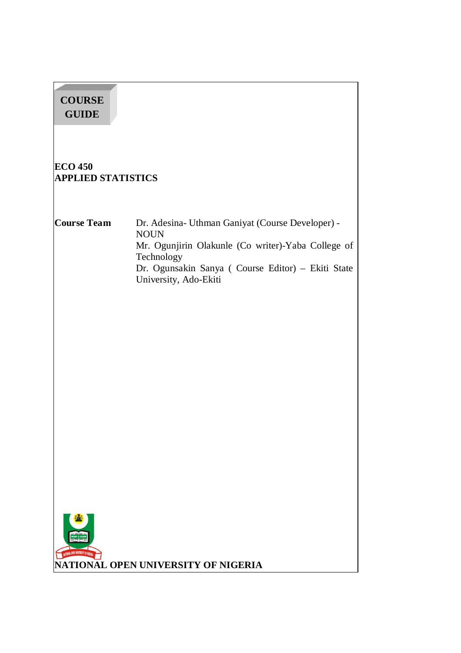| <b>COURSE</b><br><b>GUIDE</b>               |                                                                                                                                                                                                                   |
|---------------------------------------------|-------------------------------------------------------------------------------------------------------------------------------------------------------------------------------------------------------------------|
| <b>ECO 450</b><br><b>APPLIED STATISTICS</b> |                                                                                                                                                                                                                   |
| <b>Course Team</b>                          | Dr. Adesina- Uthman Ganiyat (Course Developer) -<br><b>NOUN</b><br>Mr. Ogunjirin Olakunle (Co writer)-Yaba College of<br>Technology<br>Dr. Ogunsakin Sanya (Course Editor) - Ekiti State<br>University, Ado-Ekiti |
| NATIONAL OPEN UNIVERSITY OF MIGERIA         | NATIONAL OPEN UNIVERSITY OF NIGERIA                                                                                                                                                                               |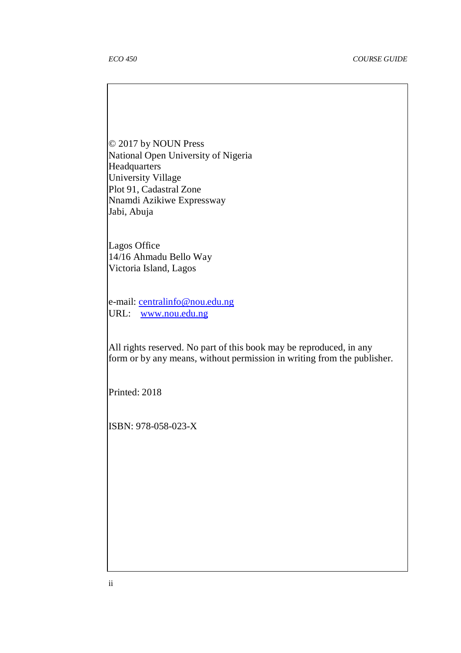© 2017 by NOUN Press National Open University of Nigeria **Headquarters** University Village Plot 91, Cadastral Zone Nnamdi Azikiwe Expressway Jabi, Abuja

Lagos Office 14/16 Ahmadu Bello Way Victoria Island, Lagos

e-mail: centralinfo@nou.edu.ng URL: www.nou.edu.ng

All rights reserved. No part of this book may be reproduced, in any form or by any means, without permission in writing from the publisher.

Printed: 2018

ISBN: 978-058-023-X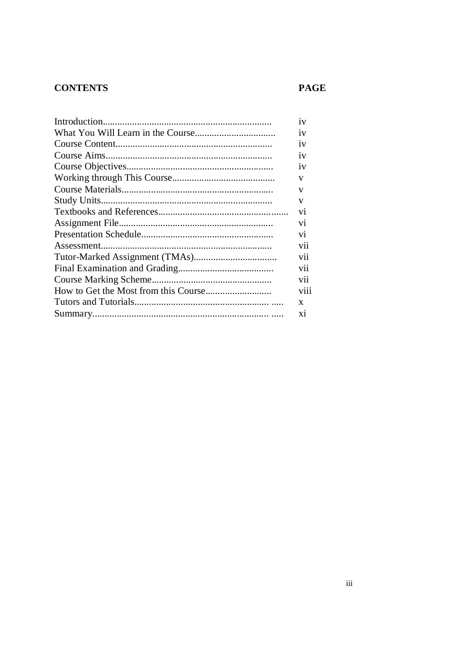# **CONTENTS**

# **PAGE**

| $\mathbf{v}$   |
|----------------|
| 1V             |
| 1V             |
| 1V             |
| 1V             |
| V              |
| V              |
| V              |
| V <sub>1</sub> |
| V <sub>1</sub> |
| V <sub>1</sub> |
| V11            |
| vii            |
| vii            |
| vii            |
| viii           |
| X              |
| X <sub>1</sub> |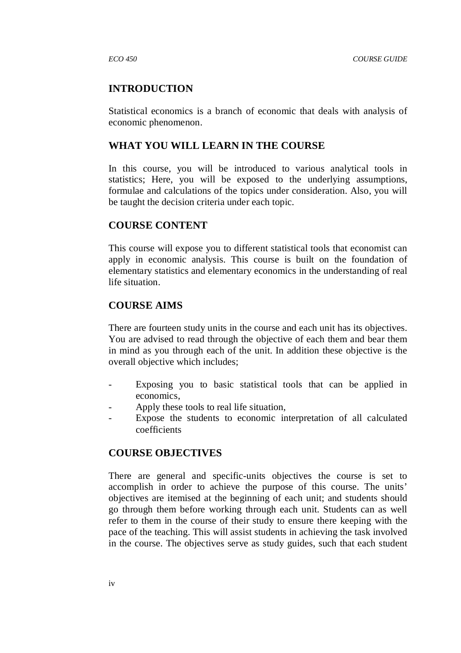### **INTRODUCTION**

Statistical economics is a branch of economic that deals with analysis of economic phenomenon.

### **WHAT YOU WILL LEARN IN THE COURSE**

In this course, you will be introduced to various analytical tools in statistics; Here, you will be exposed to the underlying assumptions, formulae and calculations of the topics under consideration. Also, you will be taught the decision criteria under each topic.

## **COURSE CONTENT**

This course will expose you to different statistical tools that economist can apply in economic analysis. This course is built on the foundation of elementary statistics and elementary economics in the understanding of real life situation.

### **COURSE AIMS**

There are fourteen study units in the course and each unit has its objectives. You are advised to read through the objective of each them and bear them in mind as you through each of the unit. In addition these objective is the overall objective which includes;

- Exposing you to basic statistical tools that can be applied in economics,
- Apply these tools to real life situation.
- Expose the students to economic interpretation of all calculated coefficients

### **COURSE OBJECTIVES**

There are general and specific-units objectives the course is set to accomplish in order to achieve the purpose of this course. The units' objectives are itemised at the beginning of each unit; and students should go through them before working through each unit. Students can as well refer to them in the course of their study to ensure there keeping with the pace of the teaching. This will assist students in achieving the task involved in the course. The objectives serve as study guides, such that each student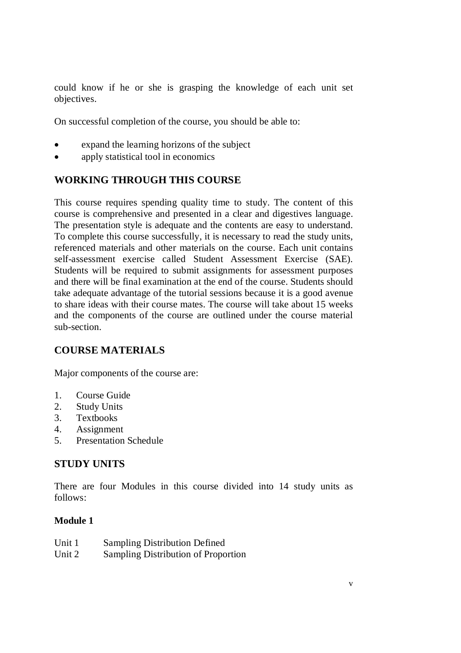could know if he or she is grasping the knowledge of each unit set objectives.

On successful completion of the course, you should be able to:

- expand the learning horizons of the subject
- apply statistical tool in economics

## **WORKING THROUGH THIS COURSE**

This course requires spending quality time to study. The content of this course is comprehensive and presented in a clear and digestives language. The presentation style is adequate and the contents are easy to understand. To complete this course successfully, it is necessary to read the study units, referenced materials and other materials on the course. Each unit contains self-assessment exercise called Student Assessment Exercise (SAE). Students will be required to submit assignments for assessment purposes and there will be final examination at the end of the course. Students should take adequate advantage of the tutorial sessions because it is a good avenue to share ideas with their course mates. The course will take about 15 weeks and the components of the course are outlined under the course material sub-section.

## **COURSE MATERIALS**

Major components of the course are:

- 1. Course Guide
- 2. Study Units
- 3. Textbooks
- 4. Assignment
- 5. Presentation Schedule

## **STUDY UNITS**

There are four Modules in this course divided into 14 study units as follows:

## **Module 1**

| Unit 1 | <b>Sampling Distribution Defined</b> |
|--------|--------------------------------------|
| Unit 2 | Sampling Distribution of Proportion  |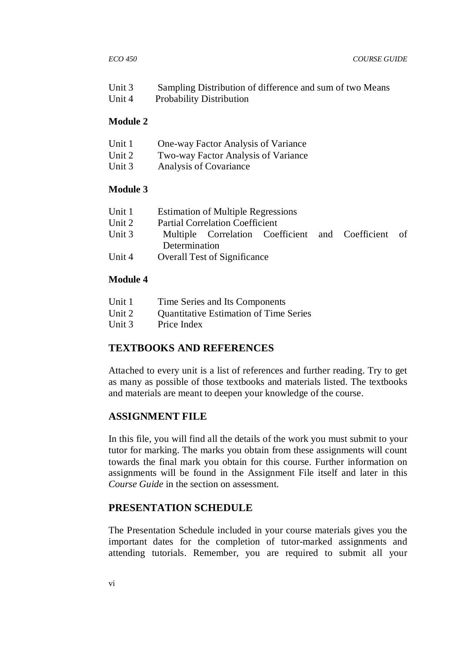| Unit 3 | Sampling Distribution of difference and sum of two Means |
|--------|----------------------------------------------------------|
| Unit 4 | <b>Probability Distribution</b>                          |

### **Module 2**

|  | Unit 1 | One-way Factor Analysis of Variance |
|--|--------|-------------------------------------|
|--|--------|-------------------------------------|

- Unit 2 Two-way Factor Analysis of Variance
- Unit 3 Analysis of Covariance

### **Module 3**

| Unit 1 |               | <b>Estimation of Multiple Regressions</b> |  |                                                     |  |
|--------|---------------|-------------------------------------------|--|-----------------------------------------------------|--|
| Unit 2 |               | <b>Partial Correlation Coefficient</b>    |  |                                                     |  |
| Unit 3 |               |                                           |  | Multiple Correlation Coefficient and Coefficient of |  |
|        | Determination |                                           |  |                                                     |  |
|        |               |                                           |  |                                                     |  |

Unit 4 Overall Test of Significance

### **Module 4**

| Unit 1<br>Time Series and Its Components |  |
|------------------------------------------|--|
|------------------------------------------|--|

- Unit 2 Ouantitative Estimation of Time Series
- Unit 3 Price Index

## **TEXTBOOKS AND REFERENCES**

Attached to every unit is a list of references and further reading. Try to get as many as possible of those textbooks and materials listed. The textbooks and materials are meant to deepen your knowledge of the course.

### **ASSIGNMENT FILE**

In this file, you will find all the details of the work you must submit to your tutor for marking. The marks you obtain from these assignments will count towards the final mark you obtain for this course. Further information on assignments will be found in the Assignment File itself and later in this *Course Guide* in the section on assessment.

## **PRESENTATION SCHEDULE**

The Presentation Schedule included in your course materials gives you the important dates for the completion of tutor-marked assignments and attending tutorials. Remember, you are required to submit all your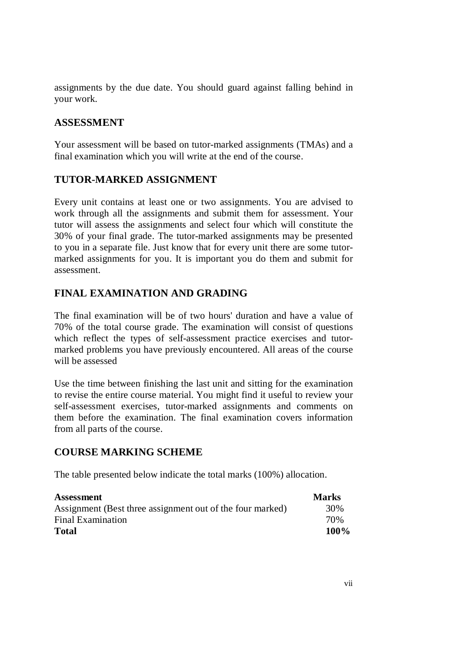assignments by the due date. You should guard against falling behind in your work.

## **ASSESSMENT**

Your assessment will be based on tutor-marked assignments (TMAs) and a final examination which you will write at the end of the course.

## **TUTOR-MARKED ASSIGNMENT**

Every unit contains at least one or two assignments. You are advised to work through all the assignments and submit them for assessment. Your tutor will assess the assignments and select four which will constitute the 30% of your final grade. The tutor-marked assignments may be presented to you in a separate file. Just know that for every unit there are some tutormarked assignments for you. It is important you do them and submit for assessment.

# **FINAL EXAMINATION AND GRADING**

The final examination will be of two hours' duration and have a value of 70% of the total course grade. The examination will consist of questions which reflect the types of self-assessment practice exercises and tutormarked problems you have previously encountered. All areas of the course will be assessed

Use the time between finishing the last unit and sitting for the examination to revise the entire course material. You might find it useful to review your self-assessment exercises, tutor-marked assignments and comments on them before the examination. The final examination covers information from all parts of the course.

## **COURSE MARKING SCHEME**

The table presented below indicate the total marks (100%) allocation.

| <b>Assessment</b>                                         | <b>Marks</b> |
|-----------------------------------------------------------|--------------|
| Assignment (Best three assignment out of the four marked) | 30%          |
| <b>Final Examination</b>                                  | 70%          |
| <b>Total</b>                                              | 100%         |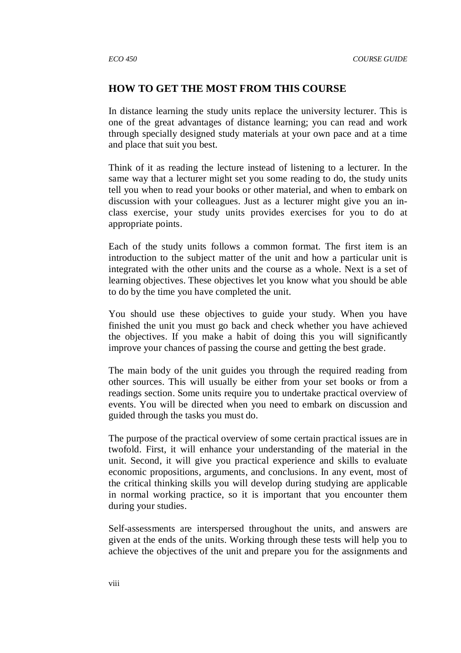### **HOW TO GET THE MOST FROM THIS COURSE**

In distance learning the study units replace the university lecturer. This is one of the great advantages of distance learning; you can read and work through specially designed study materials at your own pace and at a time and place that suit you best.

Think of it as reading the lecture instead of listening to a lecturer. In the same way that a lecturer might set you some reading to do, the study units tell you when to read your books or other material, and when to embark on discussion with your colleagues. Just as a lecturer might give you an inclass exercise, your study units provides exercises for you to do at appropriate points.

Each of the study units follows a common format. The first item is an introduction to the subject matter of the unit and how a particular unit is integrated with the other units and the course as a whole. Next is a set of learning objectives. These objectives let you know what you should be able to do by the time you have completed the unit.

You should use these objectives to guide your study. When you have finished the unit you must go back and check whether you have achieved the objectives. If you make a habit of doing this you will significantly improve your chances of passing the course and getting the best grade.

The main body of the unit guides you through the required reading from other sources. This will usually be either from your set books or from a readings section. Some units require you to undertake practical overview of events. You will be directed when you need to embark on discussion and guided through the tasks you must do.

The purpose of the practical overview of some certain practical issues are in twofold. First, it will enhance your understanding of the material in the unit. Second, it will give you practical experience and skills to evaluate economic propositions, arguments, and conclusions. In any event, most of the critical thinking skills you will develop during studying are applicable in normal working practice, so it is important that you encounter them during your studies.

Self-assessments are interspersed throughout the units, and answers are given at the ends of the units. Working through these tests will help you to achieve the objectives of the unit and prepare you for the assignments and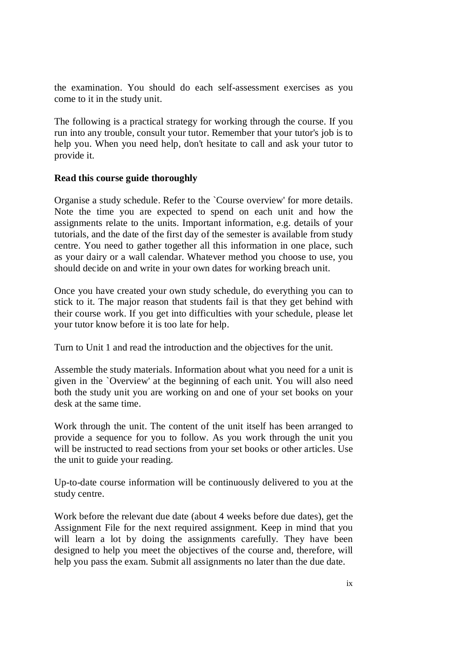the examination. You should do each self-assessment exercises as you come to it in the study unit.

The following is a practical strategy for working through the course. If you run into any trouble, consult your tutor. Remember that your tutor's job is to help you. When you need help, don't hesitate to call and ask your tutor to provide it.

## **Read this course guide thoroughly**

Organise a study schedule. Refer to the `Course overview' for more details. Note the time you are expected to spend on each unit and how the assignments relate to the units. Important information, e.g. details of your tutorials, and the date of the first day of the semester is available from study centre. You need to gather together all this information in one place, such as your dairy or a wall calendar. Whatever method you choose to use, you should decide on and write in your own dates for working breach unit.

Once you have created your own study schedule, do everything you can to stick to it. The major reason that students fail is that they get behind with their course work. If you get into difficulties with your schedule, please let your tutor know before it is too late for help.

Turn to Unit 1 and read the introduction and the objectives for the unit.

Assemble the study materials. Information about what you need for a unit is given in the `Overview' at the beginning of each unit. You will also need both the study unit you are working on and one of your set books on your desk at the same time.

Work through the unit. The content of the unit itself has been arranged to provide a sequence for you to follow. As you work through the unit you will be instructed to read sections from your set books or other articles. Use the unit to guide your reading.

Up-to-date course information will be continuously delivered to you at the study centre.

Work before the relevant due date (about 4 weeks before due dates), get the Assignment File for the next required assignment. Keep in mind that you will learn a lot by doing the assignments carefully. They have been designed to help you meet the objectives of the course and, therefore, will help you pass the exam. Submit all assignments no later than the due date.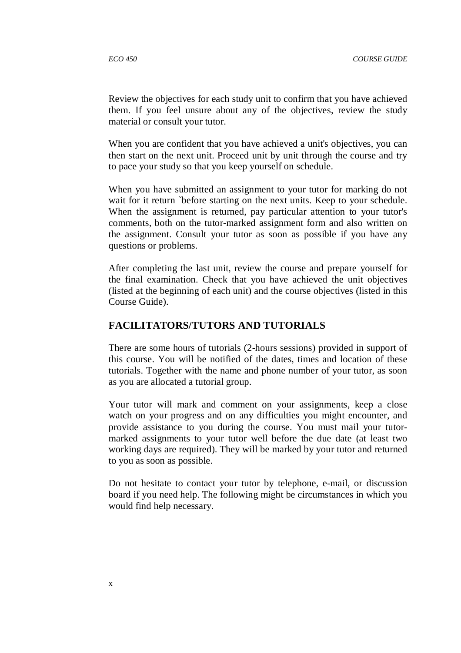Review the objectives for each study unit to confirm that you have achieved them. If you feel unsure about any of the objectives, review the study material or consult your tutor.

When you are confident that you have achieved a unit's objectives, you can then start on the next unit. Proceed unit by unit through the course and try to pace your study so that you keep yourself on schedule.

When you have submitted an assignment to your tutor for marking do not wait for it return `before starting on the next units. Keep to your schedule. When the assignment is returned, pay particular attention to your tutor's comments, both on the tutor-marked assignment form and also written on the assignment. Consult your tutor as soon as possible if you have any questions or problems.

After completing the last unit, review the course and prepare yourself for the final examination. Check that you have achieved the unit objectives (listed at the beginning of each unit) and the course objectives (listed in this Course Guide).

## **FACILITATORS/TUTORS AND TUTORIALS**

There are some hours of tutorials (2-hours sessions) provided in support of this course. You will be notified of the dates, times and location of these tutorials. Together with the name and phone number of your tutor, as soon as you are allocated a tutorial group.

Your tutor will mark and comment on your assignments, keep a close watch on your progress and on any difficulties you might encounter, and provide assistance to you during the course. You must mail your tutormarked assignments to your tutor well before the due date (at least two working days are required). They will be marked by your tutor and returned to you as soon as possible.

Do not hesitate to contact your tutor by telephone, e-mail, or discussion board if you need help. The following might be circumstances in which you would find help necessary.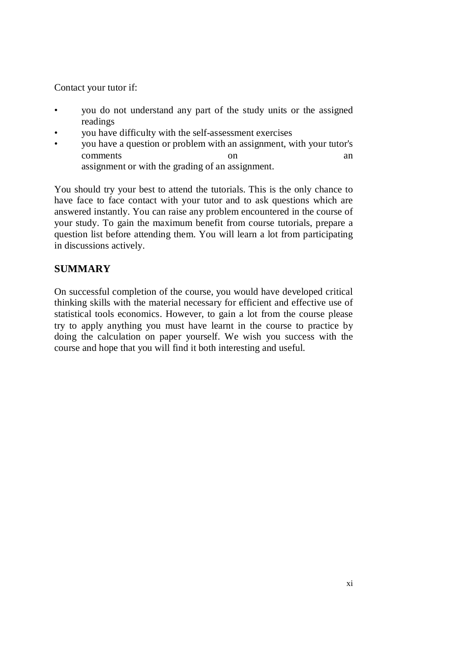Contact your tutor if:

- you do not understand any part of the study units or the assigned readings
- you have difficulty with the self-assessment exercises
- you have a question or problem with an assignment, with your tutor's comments on an an assignment or with the grading of an assignment.

You should try your best to attend the tutorials. This is the only chance to have face to face contact with your tutor and to ask questions which are answered instantly. You can raise any problem encountered in the course of your study. To gain the maximum benefit from course tutorials, prepare a question list before attending them. You will learn a lot from participating in discussions actively.

## **SUMMARY**

On successful completion of the course, you would have developed critical thinking skills with the material necessary for efficient and effective use of statistical tools economics. However, to gain a lot from the course please try to apply anything you must have learnt in the course to practice by doing the calculation on paper yourself. We wish you success with the course and hope that you will find it both interesting and useful.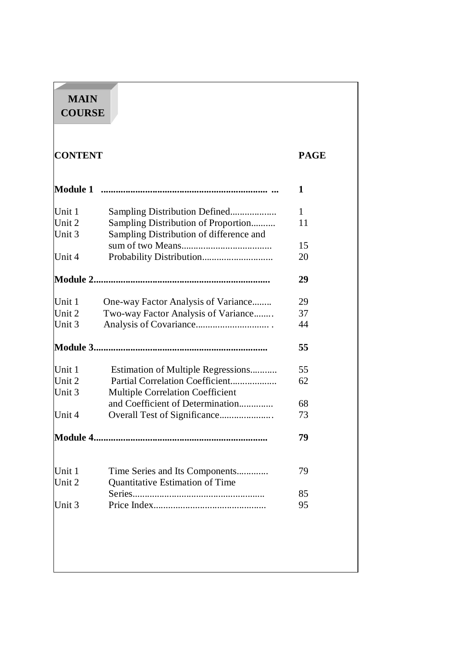| <b>CONTENT</b>   |                                                                                | <b>PAGE</b> |
|------------------|--------------------------------------------------------------------------------|-------------|
| <b>Module 1</b>  |                                                                                | 1           |
| Unit 1           |                                                                                | 1           |
| Unit 2<br>Unit 3 | Sampling Distribution of Proportion<br>Sampling Distribution of difference and | 11          |
| Unit 4           |                                                                                | 15<br>20    |
|                  |                                                                                | 29          |
| Unit 1           | One-way Factor Analysis of Variance                                            | 29          |
| Unit 2           | Two-way Factor Analysis of Variance                                            | 37          |
| Unit 3           |                                                                                | 44          |
|                  |                                                                                | 55          |
| Unit 1           | Estimation of Multiple Regressions                                             | 55          |
| Unit 2<br>Unit 3 | Partial Correlation Coefficient<br><b>Multiple Correlation Coefficient</b>     | 62          |
|                  | and Coefficient of Determination                                               | 68          |
| Unit 4           |                                                                                | 73          |
|                  |                                                                                | 79          |
| Unit 1           | Time Series and Its Components                                                 | 79          |
| Unit 2           | Quantitative Estimation of Time                                                |             |
|                  |                                                                                | 85          |
| Unit 3           |                                                                                | 95          |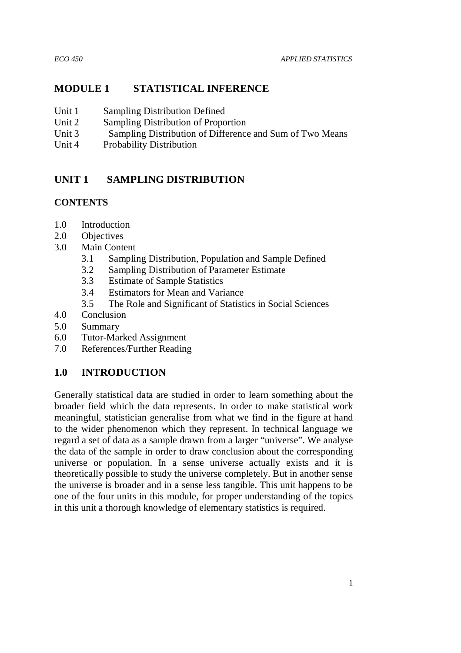## **MODULE 1 STATISTICAL INFERENCE**

- Unit 1 Sampling Distribution Defined
- Unit 2 Sampling Distribution of Proportion
- Unit 3 Sampling Distribution of Difference and Sum of Two Means
- Unit 4 Probability Distribution

## **UNIT 1 SAMPLING DISTRIBUTION**

## **CONTENTS**

- 1.0 Introduction
- 2.0 Objectives
- 3.0 Main Content
	- 3.1 Sampling Distribution, Population and Sample Defined
	- 3.2 Sampling Distribution of Parameter Estimate
	- 3.3 Estimate of Sample Statistics
	- 3.4 Estimators for Mean and Variance
	- 3.5 The Role and Significant of Statistics in Social Sciences
- 4.0 Conclusion
- 5.0 Summary
- 6.0 Tutor-Marked Assignment
- 7.0 References/Further Reading

## **1.0 INTRODUCTION**

Generally statistical data are studied in order to learn something about the broader field which the data represents. In order to make statistical work meaningful, statistician generalise from what we find in the figure at hand to the wider phenomenon which they represent. In technical language we regard a set of data as a sample drawn from a larger "universe". We analyse the data of the sample in order to draw conclusion about the corresponding universe or population. In a sense universe actually exists and it is theoretically possible to study the universe completely. But in another sense the universe is broader and in a sense less tangible. This unit happens to be one of the four units in this module, for proper understanding of the topics in this unit a thorough knowledge of elementary statistics is required.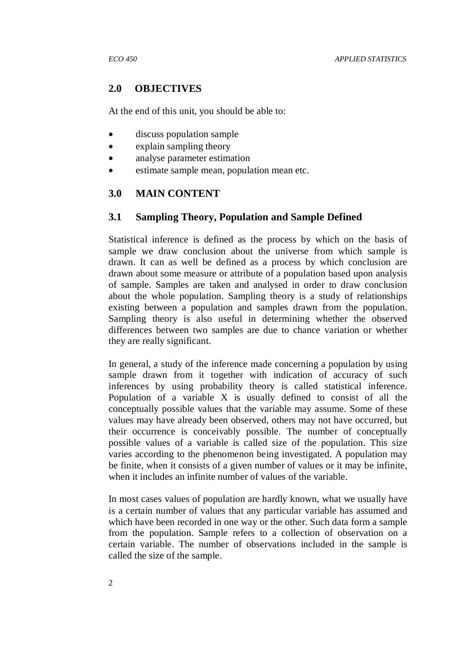## **2.0 OBJECTIVES**

At the end of this unit, you should be able to:

- discuss population sample
- explain sampling theory
- analyse parameter estimation
- estimate sample mean, population mean etc.

## **3.0 MAIN CONTENT**

### **3.1 Sampling Theory, Population and Sample Defined**

Statistical inference is defined as the process by which on the basis of sample we draw conclusion about the universe from which sample is drawn. It can as well be defined as a process by which conclusion are drawn about some measure or attribute of a population based upon analysis of sample. Samples are taken and analysed in order to draw conclusion about the whole population. Sampling theory is a study of relationships existing between a population and samples drawn from the population. Sampling theory is also useful in determining whether the observed differences between two samples are due to chance variation or whether they are really significant.

In general, a study of the inference made concerning a population by using sample drawn from it together with indication of accuracy of such inferences by using probability theory is called statistical inference. Population of a variable X is usually defined to consist of all the conceptually possible values that the variable may assume. Some of these values may have already been observed, others may not have occurred, but their occurrence is conceivably possible. The number of conceptually possible values of a variable is called size of the population. This size varies according to the phenomenon being investigated. A population may be finite, when it consists of a given number of values or it may be infinite, when it includes an infinite number of values of the variable.

In most cases values of population are hardly known, what we usually have is a certain number of values that any particular variable has assumed and which have been recorded in one way or the other. Such data form a sample from the population. Sample refers to a collection of observation on a certain variable. The number of observations included in the sample is called the size of the sample.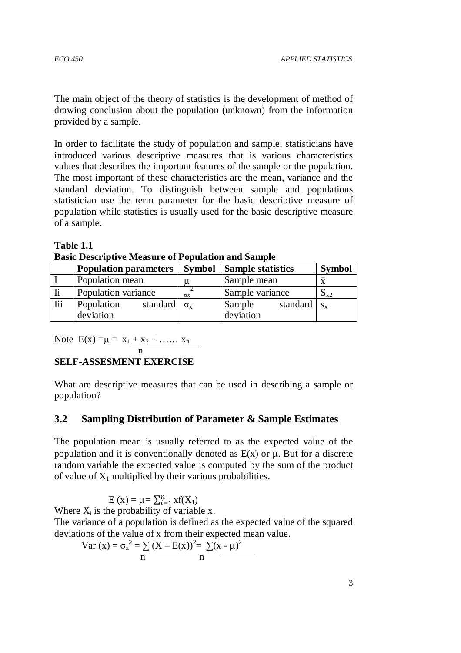The main object of the theory of statistics is the development of method of drawing conclusion about the population (unknown) from the information provided by a sample.

In order to facilitate the study of population and sample, statisticians have introduced various descriptive measures that is various characteristics values that describes the important features of the sample or the population. The most important of these characteristics are the mean, variance and the standard deviation. To distinguish between sample and populations statistician use the term parameter for the basic descriptive measure of population while statistics is usually used for the basic descriptive measure of a sample.

**Table 1.1** 

**Basic Descriptive Measure of Population and Sample** 

|            | <b>Population parameters</b>                     |                       | <b>Symbol</b>   Sample statistics     | <b>Symbol</b>           |
|------------|--------------------------------------------------|-----------------------|---------------------------------------|-------------------------|
|            | Population mean                                  |                       | Sample mean                           | $\overline{\mathbf{x}}$ |
|            | Population variance                              | $\sigma$ <sub>x</sub> | Sample variance                       | $S_{x2}$                |
| <b>Iii</b> | standard $\sigma_{x}$<br>Population<br>deviation |                       | standard $s_x$<br>Sample<br>deviation |                         |

Note  $E(x) = \mu = x_1 + x_2 + \dots + x_n$ 

n and the state of the state of the state of the state of the state of the state of the state of the state of the state of the state of the state of the state of the state of the state of the state of the state of the stat

## **SELF-ASSESMENT EXERCISE**

What are descriptive measures that can be used in describing a sample or population?

## **3.2 Sampling Distribution of Parameter & Sample Estimates**

The population mean is usually referred to as the expected value of the population and it is conventionally denoted as  $E(x)$  or  $\mu$ . But for a discrete random variable the expected value is computed by the sum of the product of value of  $X_1$  multiplied by their various probabilities.

 $E(x) = \mu = \sum_{i=1}^{n} x f(X_i)$ Where  $X_i$  is the probability of variable x. The variance of a population is defined as the expected value of the squared deviations of the value of x from their expected mean value. 2 2

Var (x) = 
$$
\sigma_x^2 = \sum_{n} (X - E(x))^2 = \sum_{n} (x - \mu)^2
$$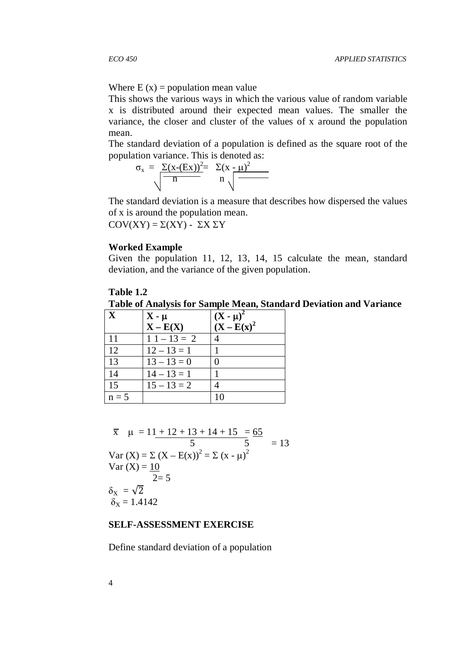Where  $E(x) =$  population mean value

This shows the various ways in which the various value of random variable x is distributed around their expected mean values. The smaller the variance, the closer and cluster of the values of x around the population mean.

The standard deviation of a population is defined as the square root of the population variance. This is denoted as:

$$
\sigma_{\rm x} = \frac{\Sigma(\rm x\text{-} (Ex))^2}{n} = \Sigma(\rm x\text{-} \mu)^2
$$

The standard deviation is a measure that describes how dispersed the values of x is around the population mean.

COV(XY) = Σ(XY) - ΣX ΣY

### **Worked Example**

Given the population 11, 12, 13, 14, 15 calculate the mean, standard deviation, and the variance of the given population.

### **Table 1.2**

**Table of Analysis for Sample Mean, Standard Deviation and Variance** 

| $\mathbf{X}$ | $X - \mu$     | $(X - \mu)^2$  |
|--------------|---------------|----------------|
|              | $X - E(X)$    | $(X - E(x)^2)$ |
| 11           | $11 - 13 = 2$ |                |
| 12           | $12 - 13 = 1$ |                |
| 13           | $13 - 13 = 0$ |                |
| 14           | $14 - 13 = 1$ |                |
| 15           | $15 - 13 = 2$ |                |
| $n = 5$      |               | 10             |

$$
\overline{x} \quad \mu = 11 + 12 + 13 + 14 + 15 = 65
$$
\n
$$
5 \quad 5 = 13
$$
\n
$$
\text{Var (X)} = \sum (X - E(x))^2 = \sum (x - \mu)^2
$$
\n
$$
\text{Var (X)} = \frac{10}{2} = 5
$$
\n
$$
\delta_X = \sqrt{2}
$$
\n
$$
\delta_X = 1.4142
$$

### **SELF-ASSESSMENT EXERCISE**

Define standard deviation of a population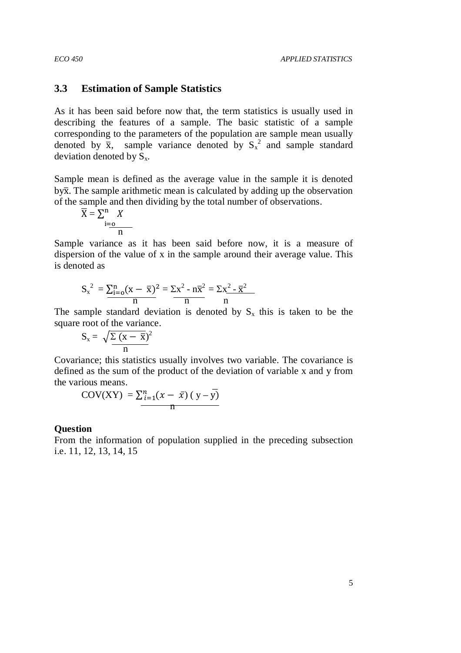### **3.3 Estimation of Sample Statistics**

As it has been said before now that, the term statistics is usually used in describing the features of a sample. The basic statistic of a sample corresponding to the parameters of the population are sample mean usually denoted by  $\bar{x}$ , sample variance denoted by  $S_x^2$  and sample standard deviation denoted by  $S_x$ .

Sample mean is defined as the average value in the sample it is denoted by  $\bar{x}$ . The sample arithmetic mean is calculated by adding up the observation of the sample and then dividing by the total number of observations.

$$
\overline{X} = \sum_{i=0}^{n} X
$$

Sample variance as it has been said before now, it is a measure of dispersion of the value of x in the sample around their average value. This is denoted as

$$
S_x^2 = \frac{\sum_{i=0}^{n} (x - \bar{x})^2}{n} = \frac{\sum x^2 - n\bar{x}^2}{n} = \frac{\sum x^2 - \bar{x}^2}{n}
$$

The sample standard deviation is denoted by  $S_x$  this is taken to be the square root of the variance.

$$
S_x = \sqrt{\frac{\sum (x - \bar{x})^2}{n}}
$$

Covariance; this statistics usually involves two variable. The covariance is defined as the sum of the product of the deviation of variable x and y from the various means.

$$
COV(XY) = \sum_{i=1}^{n} (x - \bar{x}) (y - \bar{y})
$$

### **Question**

From the information of population supplied in the preceding subsection i.e. 11, 12, 13, 14, 15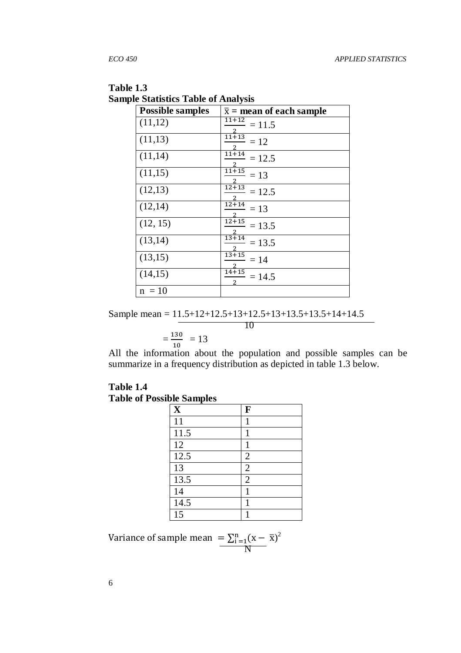| <b>Possible samples</b> | $\bar{x}$ = mean of each sample |
|-------------------------|---------------------------------|
| (11,12)                 | 11+12<br>$= 11.5$               |
| (11,13)                 | $11+13$<br>$= 12$               |
| (11,14)                 | $11 + 14$<br>$= 12.5$           |
| (11,15)                 | $\overline{11} + 15$<br>$= 13$  |
| (12,13)                 | $12 + 13$<br>$= 12.5$           |
| (12,14)                 | $12 + 14$<br>$= 13$             |
| (12, 15)                | $12 + 15$<br>$= 13.5$           |
| (13,14)                 | $13 + 14$<br>$= 13.5$           |
| (13,15)                 | $13 + 15$<br>$=14$              |
| (14,15)                 | $14 + 15$<br>$= 14.5$           |
| $n = 10$                |                                 |

**Table 1.3 Sample Statistics Table of Analysis** 

Sample mean = 11.5+12+12.5+13+12.5+13+13.5+13.5+14+14.5

$$
=\frac{130}{10} = 13
$$

All the information about the population and possible samples can be summarize in a frequency distribution as depicted in table 1.3 below.

## **Table 1.4 Table of Possible Samples**

| $\mathbf X$ | F              |
|-------------|----------------|
| 11          | 1              |
| 11.5        | 1              |
| 12          | 1              |
| 12.5        | $\overline{2}$ |
| 13          | $\overline{2}$ |
| 13.5        | $\overline{2}$ |
| 14          | 1              |
| 14.5        | 1              |
| 15          |                |

Variance of sample mean  $= \sum_{i=1}^{n} (x - \bar{x})^2$ **N** 

6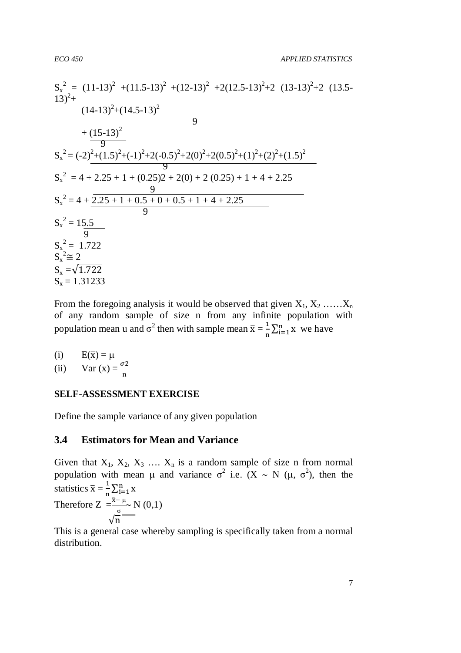$$
S_x^2 = (11-13)^2 + (11.5-13)^2 + (12-13)^2 + 2(12.5-13)^2 + 2(13-13)^2 + 2(13-13)^2 + \frac{(14-13)^2 + (14.5-13)^2}{9} + \frac{(15-13)^2}{9} = 5x^2 = (-2)^2 + (1.5)^2 + (-1)^2 + 2(-0.5)^2 + 2(0)^2 + 2(0.5)^2 + (1)^2 + (2)^2 + (1.5)^2
$$
  
\n
$$
S_x^2 = 4 + 2.25 + 1 + (0.25)2 + 2(0) + 2(0.25) + 1 + 4 + 2.25
$$
  
\n
$$
S_x^2 = 4 + \frac{2.25 + 1 + 0.5 + 0 + 0.5 + 1 + 4 + 2.25}{9}
$$
  
\n
$$
S_x^2 = 15.5
$$
  
\n
$$
S_x^2 = 15.5
$$
  
\n
$$
S_x^2 = 1.722
$$
  
\n
$$
S_x^2 = 2
$$
  
\n
$$
S_x = \sqrt{1.722}
$$
  
\n
$$
S_x = 1.31233
$$

From the foregoing analysis it would be observed that given  $X_1, X_2, \ldots, X_n$ of any random sample of size n from any infinite population with population mean u and  $\sigma^2$  then with sample mean  $\bar{x} = \frac{1}{n}$  $\frac{1}{n} \sum_{i=1}^{n} x$  we have

(i) 
$$
E(\overline{x}) = \mu
$$
  
(ii)  $Var(x) = \frac{\sigma^2}{n}$ 

**SELF-ASSESSMENT EXERCISE** 

Define the sample variance of any given population

### **3.4 Estimators for Mean and Variance**

Given that  $X_1, X_2, X_3, \ldots, X_n$  is a random sample of size n from normal population with mean μ and variance  $\sigma^2$  i.e.  $(X \sim N (\mu, \sigma^2))$ , then the statistics  $\bar{x} = \frac{1}{n}$  $\frac{1}{n} \sum_{i=1}^{n} x$ Therefore  $Z = \frac{\bar{x} - \mu}{\sigma}$  $\frac{-\mu}{\sigma}$  N (0,1)  $\sqrt{n}$ 

This is a general case whereby sampling is specifically taken from a normal distribution.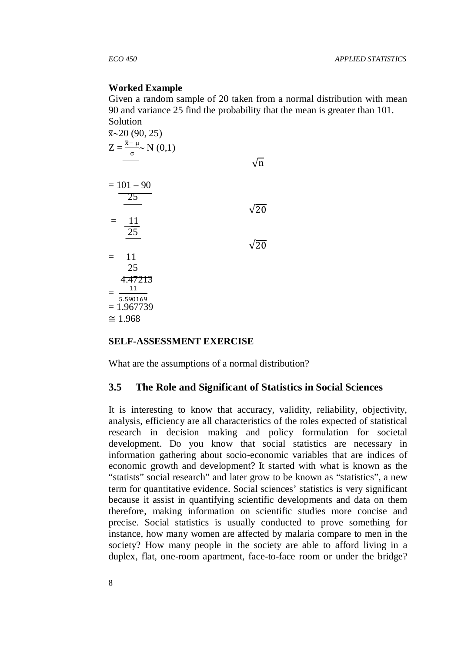### **Worked Example**

Given a random sample of 20 taken from a normal distribution with mean 90 and variance 25 find the probability that the mean is greater than 101. Solution

| $\bar{x}$ ~20 (90, 25)                                |             |
|-------------------------------------------------------|-------------|
| $Z = \frac{\bar{x} - \mu}{\sigma} N(0,1)$<br>$\sigma$ |             |
|                                                       | 'n          |
| $= 101 - 90$                                          |             |
| 25                                                    |             |
|                                                       | $\sqrt{20}$ |
| 11<br>25                                              |             |
|                                                       | $\sqrt{20}$ |
| 11                                                    |             |
| $\overline{25}$                                       |             |
| 4.47213<br>11                                         |             |
| 5.590169<br>$= 1.967739$                              |             |
| $\approx 1.968$                                       |             |

### **SELF-ASSESSMENT EXERCISE**

What are the assumptions of a normal distribution?

### **3.5 The Role and Significant of Statistics in Social Sciences**

It is interesting to know that accuracy, validity, reliability, objectivity, analysis, efficiency are all characteristics of the roles expected of statistical research in decision making and policy formulation for societal development. Do you know that social statistics are necessary in information gathering about socio-economic variables that are indices of economic growth and development? It started with what is known as the "statists" social research" and later grow to be known as "statistics", a new term for quantitative evidence. Social sciences' statistics is very significant because it assist in quantifying scientific developments and data on them therefore, making information on scientific studies more concise and precise. Social statistics is usually conducted to prove something for instance, how many women are affected by malaria compare to men in the society? How many people in the society are able to afford living in a duplex, flat, one-room apartment, face-to-face room or under the bridge?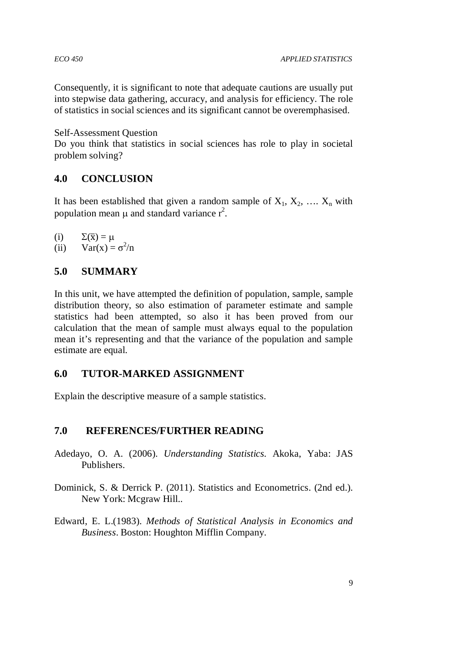Consequently, it is significant to note that adequate cautions are usually put into stepwise data gathering, accuracy, and analysis for efficiency. The role of statistics in social sciences and its significant cannot be overemphasised.

Self-Assessment Question

Do you think that statistics in social sciences has role to play in societal problem solving?

## **4.0 CONCLUSION**

It has been established that given a random sample of  $X_1, X_2, \ldots, X_n$  with population mean  $\mu$  and standard variance  $r^2$ .

(i) 
$$
\Sigma(\overline{x}) = \mu
$$
  
(ii)  $\text{Var}(x) = \sigma^2/n$ 

# **5.0 SUMMARY**

In this unit, we have attempted the definition of population, sample, sample distribution theory, so also estimation of parameter estimate and sample statistics had been attempted, so also it has been proved from our calculation that the mean of sample must always equal to the population mean it's representing and that the variance of the population and sample estimate are equal.

## **6.0 TUTOR-MARKED ASSIGNMENT**

Explain the descriptive measure of a sample statistics.

## **7.0 REFERENCES/FURTHER READING**

- Adedayo, O. A. (2006). *Understanding Statistics.* Akoka, Yaba: JAS Publishers.
- Dominick, S. & Derrick P. (2011). Statistics and Econometrics. (2nd ed.). New York: Mcgraw Hill..
- Edward, E. L.(1983). *Methods of Statistical Analysis in Economics and Business*. Boston: Houghton Mifflin Company.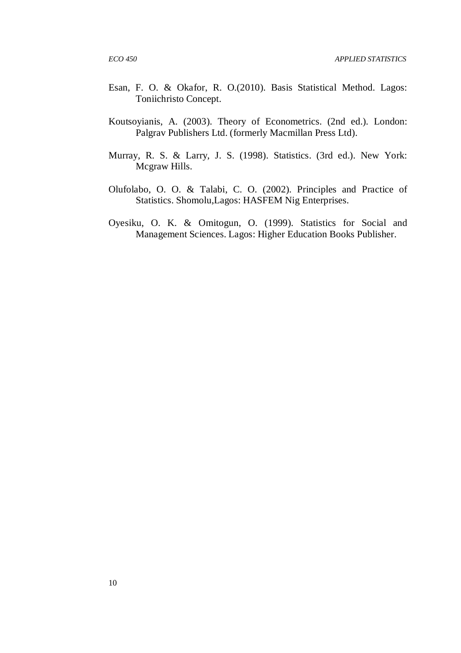- Esan, F. O. & Okafor, R. O.(2010). Basis Statistical Method. Lagos: Toniichristo Concept.
- Koutsoyianis, A. (2003). Theory of Econometrics. (2nd ed.). London: Palgrav Publishers Ltd. (formerly Macmillan Press Ltd).
- Murray, R. S. & Larry, J. S. (1998). Statistics. (3rd ed.). New York: Mcgraw Hills.
- Olufolabo, O. O. & Talabi, C. O. (2002). Principles and Practice of Statistics. Shomolu,Lagos: HASFEM Nig Enterprises.
- Oyesiku, O. K. & Omitogun, O. (1999). Statistics for Social and Management Sciences. Lagos: Higher Education Books Publisher.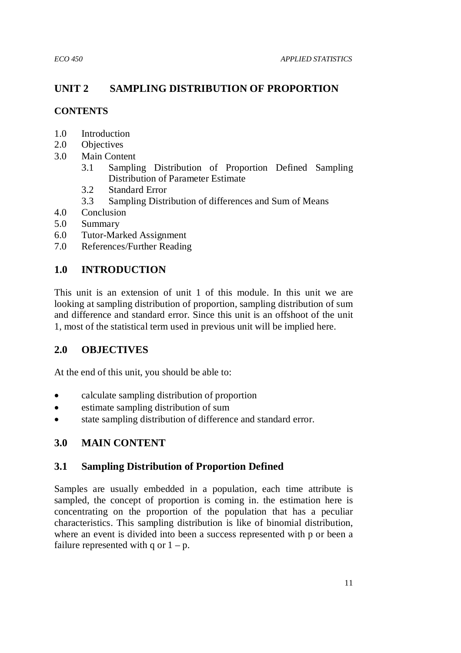# **UNIT 2 SAMPLING DISTRIBUTION OF PROPORTION**

## **CONTENTS**

- 1.0 Introduction
- 2.0 Objectives
- 3.0 Main Content
	- 3.1 Sampling Distribution of Proportion Defined Sampling Distribution of Parameter Estimate
	- 3.2 Standard Error
	- 3.3 Sampling Distribution of differences and Sum of Means
- 4.0 Conclusion
- 5.0 Summary
- 6.0 Tutor-Marked Assignment
- 7.0 References/Further Reading

# **1.0 INTRODUCTION**

This unit is an extension of unit 1 of this module. In this unit we are looking at sampling distribution of proportion, sampling distribution of sum and difference and standard error. Since this unit is an offshoot of the unit 1, most of the statistical term used in previous unit will be implied here.

## **2.0 OBJECTIVES**

At the end of this unit, you should be able to:

- calculate sampling distribution of proportion
- estimate sampling distribution of sum
- state sampling distribution of difference and standard error.

# **3.0 MAIN CONTENT**

## **3.1 Sampling Distribution of Proportion Defined**

Samples are usually embedded in a population, each time attribute is sampled, the concept of proportion is coming in. the estimation here is concentrating on the proportion of the population that has a peculiar characteristics. This sampling distribution is like of binomial distribution, where an event is divided into been a success represented with p or been a failure represented with q or  $1 - p$ .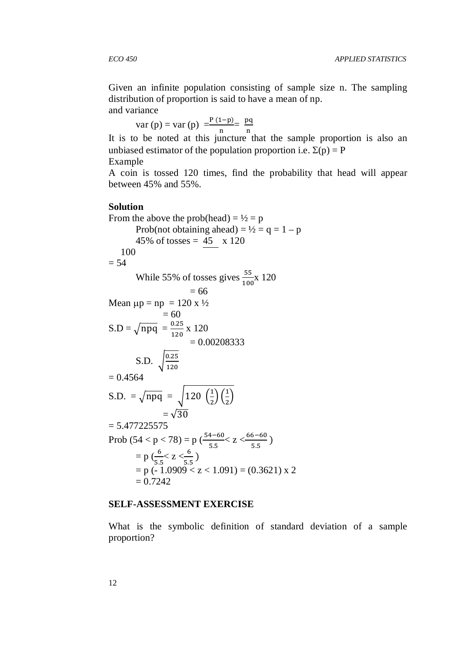Given an infinite population consisting of sample size n. The sampling distribution of proportion is said to have a mean of np. and variance

var (p) = var (p)  $=$  $\frac{P(1-p)}{n} = \frac{pq}{n}$ 

It is to be noted at this juncture that the sample proportion is also an unbiased estimator of the population proportion i.e.  $\Sigma(p) = P$ Example

A coin is tossed 120 times, find the probability that head will appear between 45% and 55%.

### **Solution**

From the above the prob(head) =  $\frac{1}{2}$  = p Prob(not obtaining ahead) =  $\frac{1}{2}$  = q = 1 – p 45% of tosses =  $45 \times 120$  100  $= 54$ While 55% of tosses gives  $\frac{55}{100}$ x 120  $= 66$ Mean  $\mu p = np = 120 \text{ x } \frac{1}{2}$  $= 60$  $S.D = \sqrt{npq} = \frac{0.25}{120}$  $\frac{0.25}{120}$  x 120  $= 0.00208333$ S.D.  $\sqrt{\frac{0.25}{120}}$ 120  $= 0.4564$ S.D.  $=\sqrt{npq} = \sqrt{120 \left(\frac{1}{2}\right) \left(\frac{1}{2}\right)}$  $=\sqrt{30}$  $= 5.477225575$ Prob  $(54 < p < 78) = p \left(\frac{54-60}{5.5} \le z < \frac{66-60}{5.5}\right)$  $\frac{5}{5.5}$ )  $= p \left( \frac{6}{55} < z < \frac{6}{55} \right)$  $= p(-1.0909 < z < 1.091) = (0.3621) \times 2$  $= 0.7242$ 

### **SELF-ASSESSMENT EXERCISE**

What is the symbolic definition of standard deviation of a sample proportion?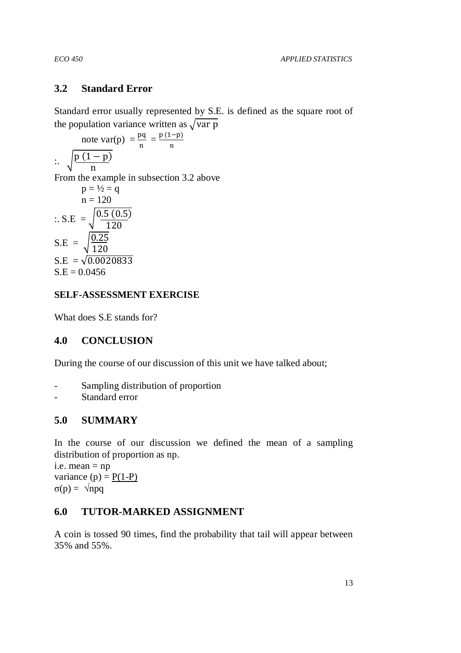## **3.2 Standard Error**

Standard error usually represented by S.E. is defined as the square root of the population variance written as  $\sqrt{var p}$ 

note 
$$
var(p) = \frac{pq}{n} = \frac{p(1-p)}{n}
$$
  
\n
$$
\therefore \sqrt{\frac{p(1-p)}{n}}
$$
  
\nFrom the example in subsection 3.2 above  
\n
$$
p = \frac{1}{2} = q
$$
  
\n
$$
n = 120
$$
  
\n
$$
\therefore S.E = \sqrt{\frac{0.5 (0.5)}{120}}
$$
  
\n
$$
S.E = \sqrt{\frac{0.25}{120}}
$$
  
\n
$$
S.E = \sqrt{0.0020833}
$$
  
\n
$$
S.F = 0.0456
$$

## $S.E = 0.0456$

## **SELF-ASSESSMENT EXERCISE**

What does S.E stands for?

## **4.0 CONCLUSION**

During the course of our discussion of this unit we have talked about;

- Sampling distribution of proportion
- Standard error

## **5.0 SUMMARY**

In the course of our discussion we defined the mean of a sampling distribution of proportion as np.

i.e. mean = np variance  $(p) = P(1-P)$ σ(p) = √npq

## **6.0 TUTOR-MARKED ASSIGNMENT**

A coin is tossed 90 times, find the probability that tail will appear between 35% and 55%.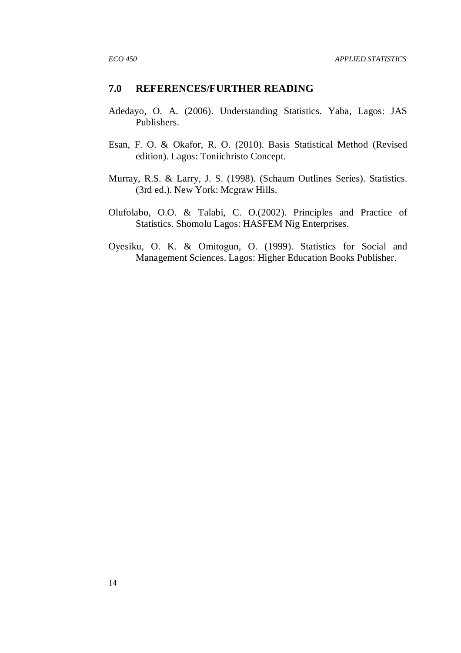### **7.0 REFERENCES/FURTHER READING**

- Adedayo, O. A. (2006). Understanding Statistics. Yaba, Lagos: JAS Publishers.
- Esan, F. O. & Okafor, R. O. (2010). Basis Statistical Method (Revised edition). Lagos: Toniichristo Concept.
- Murray, R.S. & Larry, J. S. (1998). (Schaum Outlines Series). Statistics. (3rd ed.). New York: Mcgraw Hills.
- Olufolabo, O.O. & Talabi, C. O.(2002). Principles and Practice of Statistics. Shomolu Lagos: HASFEM Nig Enterprises.
- Oyesiku, O. K. & Omitogun, O. (1999). Statistics for Social and Management Sciences. Lagos: Higher Education Books Publisher.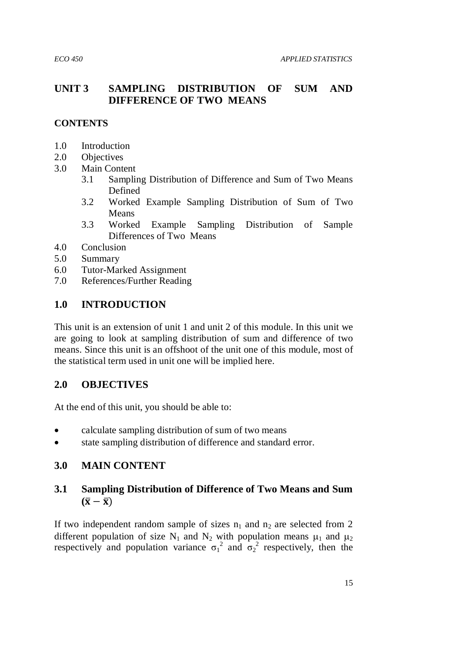## **UNIT 3 SAMPLING DISTRIBUTION OF SUM AND DIFFERENCE OF TWO MEANS**

### **CONTENTS**

- 1.0 Introduction
- 2.0 Objectives
- 3.0 Main Content
	- 3.1 Sampling Distribution of Difference and Sum of Two Means Defined
	- 3.2 Worked Example Sampling Distribution of Sum of Two Means
	- 3.3 Worked Example Sampling Distribution of Sample Differences of Two Means
- 4.0 Conclusion
- 5.0 Summary
- 6.0 Tutor-Marked Assignment
- 7.0 References/Further Reading

## **1.0 INTRODUCTION**

This unit is an extension of unit 1 and unit 2 of this module. In this unit we are going to look at sampling distribution of sum and difference of two means. Since this unit is an offshoot of the unit one of this module, most of the statistical term used in unit one will be implied here.

## **2.0 OBJECTIVES**

At the end of this unit, you should be able to:

- calculate sampling distribution of sum of two means
- state sampling distribution of difference and standard error.

## **3.0 MAIN CONTENT**

# **3.1 Sampling Distribution of Difference of Two Means and Sum**   $(\bar{x} - \bar{x})$

If two independent random sample of sizes  $n_1$  and  $n_2$  are selected from 2 different population of size N<sub>1</sub> and N<sub>2</sub> with population means  $\mu_1$  and  $\mu_2$ respectively and population variance  $\sigma_1^2$  and  $\sigma_2^2$  respectively, then the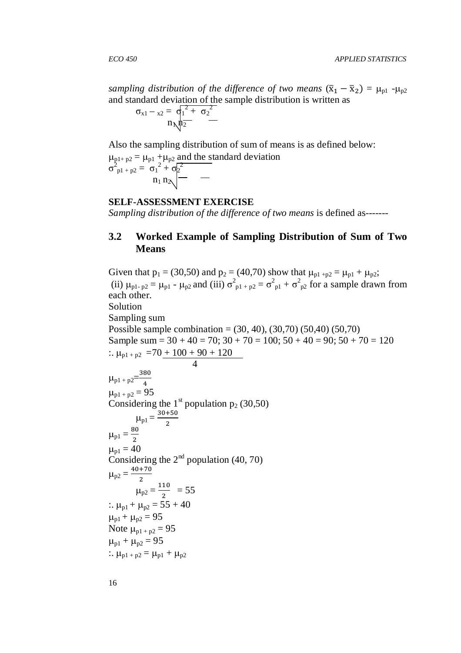sampling distribution of the difference of two means  $(\bar{x}_1 - \bar{x}_2) = \mu_{p1} - \mu_{p2}$ and standard deviation of the sample distribution is written as

$$
\sigma_{x1} -_{x2} = \sigma_1^2 + \sigma_2^2
$$

$$
n_{\mathcal{N}} n_2^2
$$

Also the sampling distribution of sum of means is as defined below:

 $\mu_{p1+p2} = \mu_{p1} + \mu_{p2}$  and the standard deviation  $\sigma_{p1 + p2}^2 = \sigma_1^2 + \sigma_2^2$  $n_1$   $n_2$ 

### **SELF-ASSESSMENT EXERCISE**

*Sampling distribution of the difference of two means* is defined as-------

## **3.2 Worked Example of Sampling Distribution of Sum of Two Means**

Given that  $p_1 = (30,50)$  and  $p_2 = (40,70)$  show that  $\mu_{p1+p2} = \mu_{p1} + \mu_{p2}$ ; (ii)  $\mu_{p1-p2} = \mu_{p1} - \mu_{p2}$  and (iii)  $\sigma_{p1+p2}^2 = \sigma_{p1}^2 + \sigma_{p2}^2$  for a sample drawn from each other. Solution Sampling sum Possible sample combination = (30, 40), (30,70) (50,40) (50,70) Sample sum =  $30 + 40 = 70$ ;  $30 + 70 = 100$ ;  $50 + 40 = 90$ ;  $50 + 70 = 120$ :.  $\mu_{p1 + p2}$  = 70 + 100 + 90 + 120 4  $\mu_{p1 + p2} = \frac{380}{4}$  $\overline{\mathbf{r}}$  $\mu_{p1 + p2} = 95$ Considering the  $1<sup>st</sup>$  population  $p_2$  (30,50)  $\mu_{\text{p1}} = \frac{30+50}{2}$  $\overline{\mathbf{c}}$  $\mu_{p1} = \frac{80}{2}$  $\overline{\mathbf{c}}$  $\mu_{p1} = 40$ Considering the  $2<sup>nd</sup>$  population (40, 70)  $\mu_{p2} = \frac{40+70}{2}$  $\overline{\mathbf{c}}$  $\mu_{p2} = \frac{110}{3}$  $\frac{10}{2}$  = 55 :.  $\mu_{p1} + \mu_{p2} = 55 + 40$  $\mu_{p1} + \mu_{p2} = 95$ Note  $\mu_{p1 + p2} = 95$  $\mu_{p1} + \mu_{p2} = 95$ :.  $\mu_{p1 + p2} = \mu_{p1} + \mu_{p2}$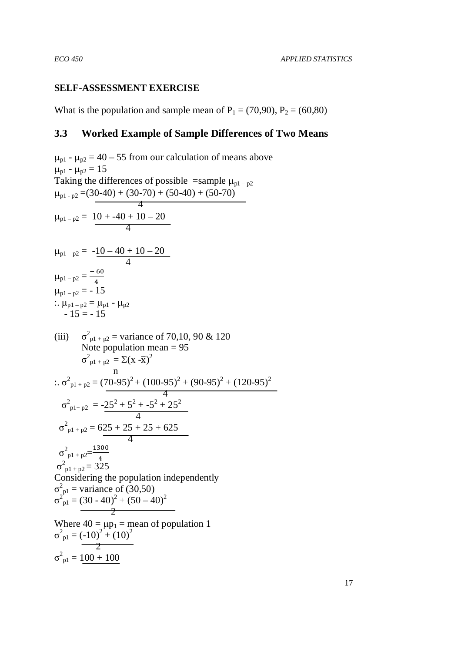### **SELF-ASSESSMENT EXERCISE**

What is the population and sample mean of  $P_1 = (70, 90)$ ,  $P_2 = (60, 80)$ 

### **3.3 Worked Example of Sample Differences of Two Means**

 $\mu_{p1}$  -  $\mu_{p2}$  = 40 – 55 from our calculation of means above  $\mu_{p1}$  -  $\mu_{p2}$  = 15 Taking the differences of possible =sample  $\mu_{p1-p2}$  $\mu_{p1-p2}$  = (30-40) + (30-70) + (50-40) + (50-70)  $\overline{4}$  $\mu_{p1-p2} = 10 + -40 + 10 - 20$  4  $\mu_{p1-p2} = -10 - 40 + 10 - 20$  4  $\mu_{p1-p2} = \frac{-60}{4}$  $\overline{\mathbf{r}}$  $\mu_{p1 - p2} = -15$ :.  $\mu_{p1-p2} = \mu_{p1} - \mu_{p2}$  $-15 = -15$  $(iii)$  $^{2}_{\text{p1 + p2}}$  = variance of 70,10, 90 & 120 Note population mean = 95  $\sigma_{p1 + p2}^2 = \Sigma (x - \bar{x})^2$ n and the material property of the material property of the material property of the material property of the material property of the material property of the material property of the material property of the material pro  $\therefore$   $\sigma_{p1 + p2}^2 = (70-95)^2 + (100-95)^2 + (90-95)^2 + (120-95)^2$  $\frac{1}{4}$   $\frac{1}{4}$  $\sigma_{\text{p1+p2}}^2 = -25^2 + 5^2 + -5^2 + 25^2$  4  $\sigma_{\text{p1} + \text{p2}}^2$  = 625 + 25 + 25 + 625  $\frac{1}{4}$  $\sigma_{\text{p1 + p2}}^2 = \frac{1300}{4}$  $\frac{4}{1}$  $\sigma_{p1+p2}^2 = 325$ Considering the population independently  $\sigma_{\text{pl}}^2$  = variance of (30,50)  $\sigma_{\text{pl}}^2 = (30 - 40)^2 + (50 - 40)^2$  $\sim$  2 Where  $40 = \mu p_1$  = mean of population 1  $\sigma_{\text{pl}}^2 = (-10)^2 + (10)^2$  $\frac{1}{2}$  $\sigma_{\text{pl}}^2 = 100 + 100$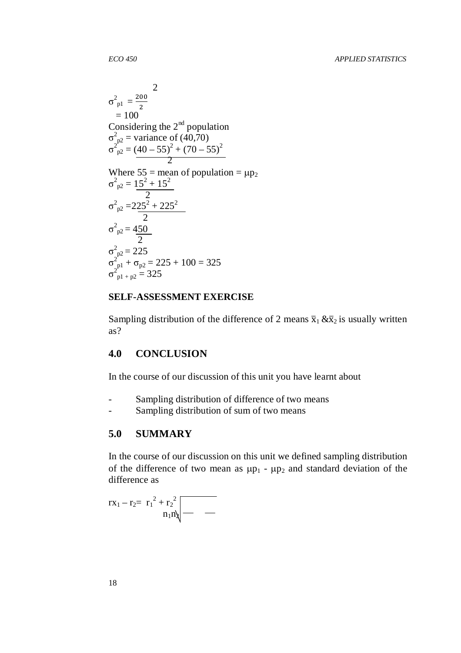$$
\sigma_{p1}^{2} = \frac{200}{2}
$$
\n= 100\nConsidering the 2<sup>nd</sup> population\n
$$
\sigma_{p2}^{2} = \text{variance of } (40,70)
$$
\n
$$
\sigma_{p2}^{2} = \frac{(40 - 55)^{2} + (70 - 55)^{2}}{2}
$$
\nWhere 55 = mean of population =  $\mu p_2$ \n
$$
\sigma_{p2}^{2} = 15^{2} + 15^{2}
$$
\n
$$
\sigma_{p2}^{2} = 225^{2} + 225^{2}
$$
\n
$$
\sigma_{p2}^{2} = 450
$$
\n
$$
\sigma_{p1}^{2} = 225
$$
\n
$$
\sigma_{p1}^{2} + \sigma_{p2} = 225 + 100 = 325
$$
\n
$$
\sigma_{p1}^{2} + p2 = 325
$$

### **SELF-ASSESSMENT EXERCISE**

Sampling distribution of the difference of 2 means  $\bar{x}_1 \& \bar{x}_2$  is usually written as?

## **4.0 CONCLUSION**

In the course of our discussion of this unit you have learnt about

- Sampling distribution of difference of two means
- Sampling distribution of sum of two means

## **5.0 SUMMARY**

In the course of our discussion on this unit we defined sampling distribution of the difference of two mean as  $\mu p_1$  -  $\mu p_2$  and standard deviation of the difference as

$$
rx_1 - r_2 = \left. r_1^2 + r_2^2 \right|_{n_1 n_2}
$$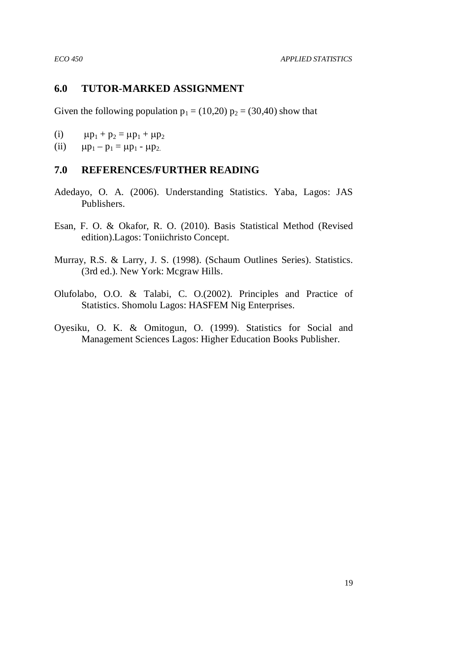### **6.0 TUTOR-MARKED ASSIGNMENT**

Given the following population  $p_1 = (10,20) p_2 = (30,40)$  show that

- (i)  $\mu p_1 + p_2 = \mu p_1 + \mu p_2$
- (ii)  $\mu p_1 p_1 = \mu p_1 \mu p_2$ .

## **7.0 REFERENCES/FURTHER READING**

- Adedayo, O. A. (2006). Understanding Statistics. Yaba, Lagos: JAS Publishers.
- Esan, F. O. & Okafor, R. O. (2010). Basis Statistical Method (Revised edition).Lagos: Toniichristo Concept.
- Murray, R.S. & Larry, J. S. (1998). (Schaum Outlines Series). Statistics. (3rd ed.). New York: Mcgraw Hills.
- Olufolabo, O.O. & Talabi, C. O.(2002). Principles and Practice of Statistics. Shomolu Lagos: HASFEM Nig Enterprises.
- Oyesiku, O. K. & Omitogun, O. (1999). Statistics for Social and Management Sciences Lagos: Higher Education Books Publisher.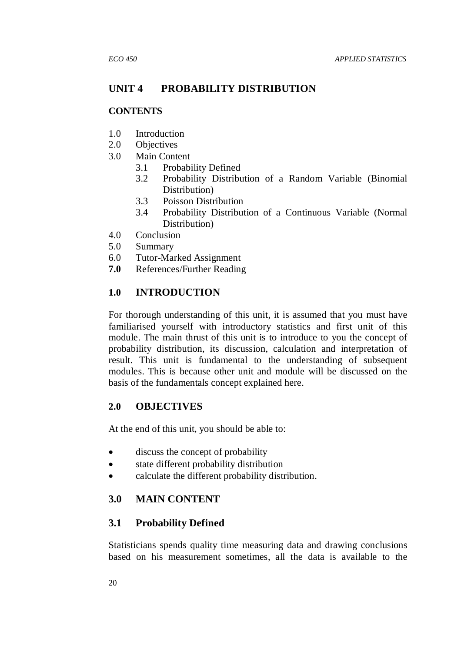## **UNIT 4 PROBABILITY DISTRIBUTION**

### **CONTENTS**

- 1.0 Introduction
- 2.0 Objectives
- 3.0 Main Content
	- 3.1 Probability Defined
	- 3.2 Probability Distribution of a Random Variable (Binomial Distribution)
	- 3.3 Poisson Distribution
	- 3.4 Probability Distribution of a Continuous Variable (Normal Distribution)
- 4.0 Conclusion
- 5.0 Summary
- 6.0 Tutor-Marked Assignment
- **7.0** References/Further Reading

## **1.0 INTRODUCTION**

For thorough understanding of this unit, it is assumed that you must have familiarised yourself with introductory statistics and first unit of this module. The main thrust of this unit is to introduce to you the concept of probability distribution, its discussion, calculation and interpretation of result. This unit is fundamental to the understanding of subsequent modules. This is because other unit and module will be discussed on the basis of the fundamentals concept explained here.

## **2.0 OBJECTIVES**

At the end of this unit, you should be able to:

- discuss the concept of probability
- state different probability distribution
- calculate the different probability distribution.

## **3.0 MAIN CONTENT**

## **3.1 Probability Defined**

Statisticians spends quality time measuring data and drawing conclusions based on his measurement sometimes, all the data is available to the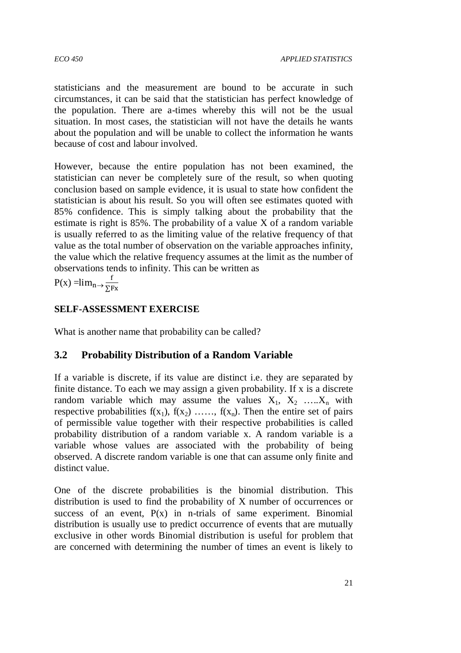statisticians and the measurement are bound to be accurate in such circumstances, it can be said that the statistician has perfect knowledge of the population. There are a-times whereby this will not be the usual situation. In most cases, the statistician will not have the details he wants about the population and will be unable to collect the information he wants because of cost and labour involved.

However, because the entire population has not been examined, the statistician can never be completely sure of the result, so when quoting conclusion based on sample evidence, it is usual to state how confident the statistician is about his result. So you will often see estimates quoted with 85% confidence. This is simply talking about the probability that the estimate is right is 85%. The probability of a value X of a random variable is usually referred to as the limiting value of the relative frequency of that value as the total number of observation on the variable approaches infinity, the value which the relative frequency assumes at the limit as the number of observations tends to infinity. This can be written as

 $P(x) = lim_{n \to \frac{f}{\sum p}}$ ∑Fx

## **SELF-ASSESSMENT EXERCISE**

What is another name that probability can be called?

## **3.2 Probability Distribution of a Random Variable**

If a variable is discrete, if its value are distinct i.e. they are separated by finite distance. To each we may assign a given probability. If x is a discrete random variable which may assume the values  $X_1, X_2, \ldots, X_n$  with respective probabilities  $f(x_1)$ ,  $f(x_2)$  ……,  $f(x_n)$ . Then the entire set of pairs of permissible value together with their respective probabilities is called probability distribution of a random variable x. A random variable is a variable whose values are associated with the probability of being observed. A discrete random variable is one that can assume only finite and distinct value.

One of the discrete probabilities is the binomial distribution. This distribution is used to find the probability of X number of occurrences or success of an event,  $P(x)$  in n-trials of same experiment. Binomial distribution is usually use to predict occurrence of events that are mutually exclusive in other words Binomial distribution is useful for problem that are concerned with determining the number of times an event is likely to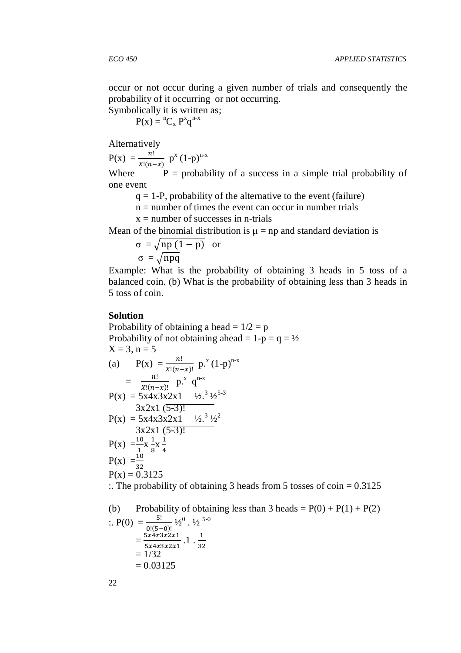occur or not occur during a given number of trials and consequently the probability of it occurring or not occurring.

Symbolically it is written as;  $P(x) = {}^{n}C_{x} P^{x} q^{n-x}$ 

Alternatively

 $P(x) = {n! \over x!(n-x)} p^x (1-p)^{n-x}$ 

Where  $P =$  probability of a success in a simple trial probability of one event

 $q = 1-P$ , probability of the alternative to the event (failure)

 $n =$  number of times the event can occur in number trials

 $x =$  number of successes in n-trials

Mean of the binomial distribution is  $\mu = np$  and standard deviation is

$$
\sigma = \sqrt{np(1-p)} \text{ or } \sigma = \sqrt{npq}
$$

Example: What is the probability of obtaining 3 heads in 5 toss of a balanced coin. (b) What is the probability of obtaining less than 3 heads in 5 toss of coin.

### **Solution**

Probability of obtaining a head =  $1/2 = p$ Probability of not obtaining ahead =  $1-p = q = \frac{1}{2}$  $X = 3, n = 5$ (a)  $P(x) = \frac{n!}{x!(n-x)!} p^x (1-p)^{n-x}$  $=$   $\frac{n!}{\sqrt[n]{n!}}$  $\frac{n!}{x!(n-x)!}$  p.<sup>x</sup> q<sup>n-x</sup>  $P(x) = 5x\dot{4}x\dot{3}x\dot{2}x1$   $\frac{1}{2}x^{3}\dot{1}z^{5\dot{3}}$  $3x2x1(5-3)!$  $P(x) = 5x4x3x2x1$   $\frac{1}{2}x^{3}1/2^{2}$  $3x2x1(5-3)!$  $P(x) = \frac{10}{1}x^{\frac{1}{8}}$  $\frac{1}{8}$ X  $\frac{1}{4}$  $P(x) = \frac{1}{32}^{1}$  8 4  $P(x) = 0.3125$ :. The probability of obtaining 3 heads from 5 tosses of  $\text{coin} = 0.3125$ 

(b) Probability of obtaining less than 3 heads = P(0) + P(1) + P(2)  
\n
$$
\therefore P(0) = \frac{5!}{0!(5-0)!} \frac{1}{2^0} \cdot \frac{1}{2^{5-0}}
$$
\n
$$
= \frac{5 \times 4 \times 3 \times 2 \times 1}{5 \times 4 \times 3 \times 2 \times 1} \cdot 1 \cdot \frac{1}{32}
$$
\n
$$
= 1/32
$$
\n
$$
= 0.03125
$$

22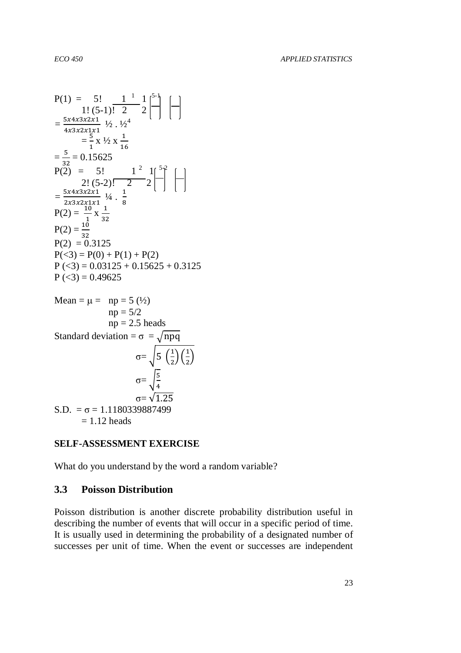P(1) = 5! 
$$
1^{-1} 1
$$
  $1^{-1} 1$   
\n $1! (5-1)! 2 2$   
\n $= \frac{5x4x3x2x1}{4x3x2x1x1}$   $\frac{1}{2} \times \frac{1}{2}$   
\n $= \frac{5}{1} \times \frac{1}{2} \times \frac{1}{16}$   
\n $= \frac{5}{32} = 0.15625$   
\nP(2) = 5!  $1^{-2} 1$   $1^{-5} 2$   
\n $= \frac{2! (5-2)! 2}{2! (5-2)! 2} 2$   
\n $= \frac{5x4x3x2x1}{2x3x2x1x1}$   $\frac{1}{4} \times \frac{1}{8}$   
\nP(2) =  $\frac{10}{32}$   
\nP(2) = 0.3125  
\nP(3) = P(0) + P(1) + P(2)  
\nP(<3) = 0.03125 + 0.15625 + 0.3125  
\nP(<3) = 0.49625  
\nMean =  $\mu$  = np = 5 ( $\frac{1}{2}$ )  
\np = 5/2  
\np = 2.5 heads  
\nStandard deviation =  $\sigma$  =  $\sqrt{npq}$   
\n $\sigma = \sqrt{\frac{5}{4}}$   
\n $\frac{1}{2}(\frac{1}{2})$   
\n $\sigma = \sqrt{\frac{5}{4}}$ 

 $\sigma = \sqrt{1.25}$ S.D. =  $\sigma$  = 1.1180339887499  $= 1.12$  heads

## **SELF-ASSESSMENT EXERCISE**

What do you understand by the word a random variable?

## **3.3 Poisson Distribution**

Poisson distribution is another discrete probability distribution useful in describing the number of events that will occur in a specific period of time. It is usually used in determining the probability of a designated number of successes per unit of time. When the event or successes are independent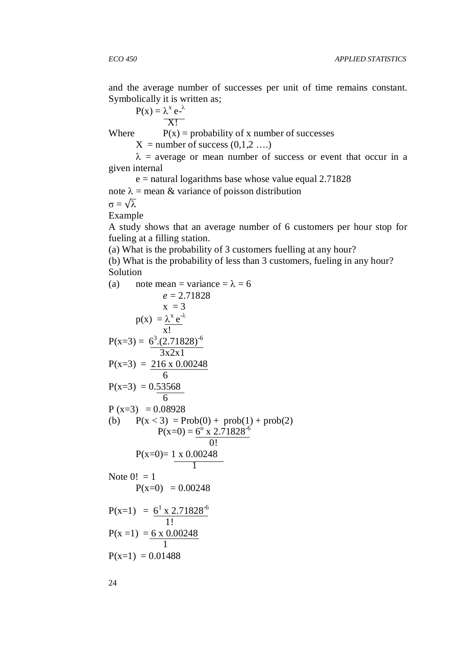and the average number of successes per unit of time remains constant. Symbolically it is written as;

$$
P(x) = \lambda^x e^{-\lambda}
$$

$$
X!
$$

Where  $P(x) =$  probability of x number of successes

 $X =$  number of success  $(0,1,2 \ldots)$ 

 $\lambda$  = average or mean number of success or event that occur in a given internal

 $e$  = natural logarithms base whose value equal 2.71828

note  $\lambda$  = mean & variance of poisson distribution

 $\sigma = \sqrt{\lambda}$ 

Example

A study shows that an average number of 6 customers per hour stop for fueling at a filling station.

(a) What is the probability of 3 customers fuelling at any hour?

(b) What is the probability of less than 3 customers, fueling in any hour? Solution

(a) note mean = variance = 
$$
\lambda
$$
 = 6  
\n $e = 2.71828$   
\n $x = 3$   
\n $p(x) = \frac{\lambda^x e^{-\lambda}}{x!}$   
\n $P(x=3) = \frac{6^3.(2.71828)^{-6}}{3x2x1}$   
\n $P(x=3) = \frac{216 \times 0.00248}{6}$   
\n $P(x=3) = 0.08928$   
\n(b)  $P(x < 3) = Prob(0) + prob(1) + prob(2)$   
\n $P(x=0) = \frac{6^0 \times 2.71828^{-6}}{0!}$   
\n $P(x=0) = \frac{1 \times 0.00248}{0!}$   
\nNote 0! = 1  
\n $P(x=0) = 0.00248$   
\n $P(x=1) = \frac{6^1 \times 2.71828^{-6}}{1!}$   
\n $P(x=1) = \frac{6 \times 0.00248}{1}$   
\n $P(x=1) = 0.01488$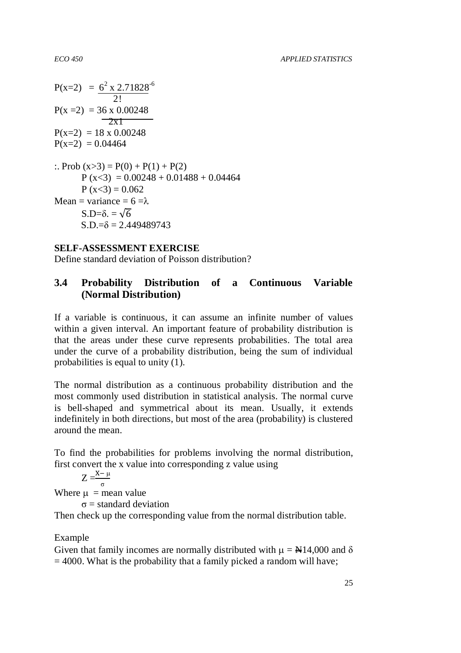$P(x=2) = 6^2 \times 2.71828^{-6}$  2!  $P(x=2) = 36 \times 0.00248$  $\overline{2x1}$  $P(x=2) = 18 \times 0.00248$  $P(x=2) = 0.04464$ :. Prob  $(x>3) = P(0) + P(1) + P(2)$  $P (x<3) = 0.00248 + 0.01488 + 0.04464$  $P (x < 3) = 0.062$ Mean = variance =  $6 = \lambda$  $S.D=\delta = \sqrt{6}$  $S.D.=\delta = 2.449489743$ 

# **SELF-ASSESSMENT EXERCISE**

Define standard deviation of Poisson distribution?

# **3.4 Probability Distribution of a Continuous Variable (Normal Distribution)**

If a variable is continuous, it can assume an infinite number of values within a given interval. An important feature of probability distribution is that the areas under these curve represents probabilities. The total area under the curve of a probability distribution, being the sum of individual probabilities is equal to unity (1).

The normal distribution as a continuous probability distribution and the most commonly used distribution in statistical analysis. The normal curve is bell-shaped and symmetrical about its mean. Usually, it extends indefinitely in both directions, but most of the area (probability) is clustered around the mean.

To find the probabilities for problems involving the normal distribution, first convert the x value into corresponding z value using

 $Z = \frac{X - \mu}{\sigma}$ Where  $\mu$  = mean value

 $\sigma$  = standard deviation

Then check up the corresponding value from the normal distribution table.

Example

Given that family incomes are normally distributed with  $\mu = \frac{N}{4}14,000$  and  $\delta$  $= 4000$ . What is the probability that a family picked a random will have;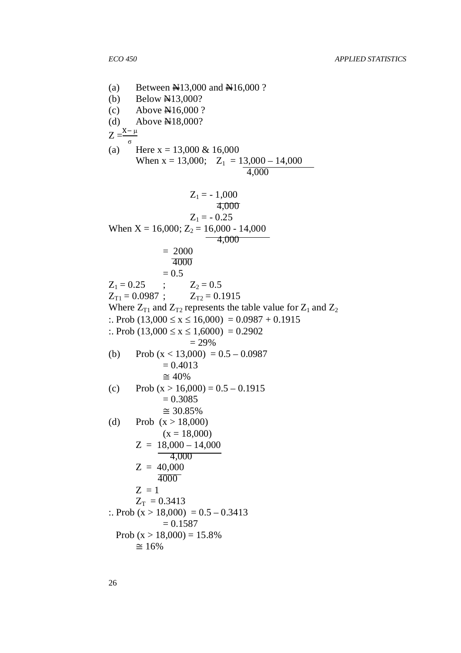(a) Between  $\text{H}13,000$  and  $\text{H}16,000$  ? (b) Below  $\cancel{\text{N13}}$ ,000? (c) Above N16,000 ? (d) Above  $\cancel{\text{N18}}$ ,000?  $Z = \frac{X - \mu}{\sigma}$ (a) Here  $x = 13,000 \& 16,000$ When  $x = 13,000$ ;  $Z_1 = 13,000 - 14,000$  4,000  $Z_1 = -1,000$  4,000  $Z_1 = -0.25$ When  $X = 16,000$ ;  $Z_2 = 16,000 - 14,000$  4,000  $= 2000$  4000  $= 0.5$  $Z_1 = 0.25$  ;  $Z_2 = 0.5$  $Z_{T1} = 0.0987$ ;  $Z_{T2} = 0.1915$ Where  $Z_{T1}$  and  $Z_{T2}$  represents the table value for  $Z_1$  and  $Z_2$ :. Prob  $(13,000 \le x \le 16,000) = 0.0987 + 0.1915$ :. Prob  $(13,000 \le x \le 1,6000) = 0.2902$  = 29% (b) Prob  $(x < 13,000) = 0.5 - 0.0987$  $= 0.4013$  $\cong$  40% (c) Prob  $(x > 16,000) = 0.5 - 0.1915$  $= 0.3085$  $\approx$  30.85%<br>(d) Prob (x > 18,000 Prob  $(x > 18,000)$  $(x = 18,000)$  $Z = 18,000 - 14,000$  $-4,000$  $Z = 40,000$  4000  $Z = 1$  $Z_T = 0.3413$ :. Prob  $(x > 18,000) = 0.5 - 0.3413$  $= 0.1587$ Prob  $(x > 18,000) = 15.8\%$  $~\cong 16%$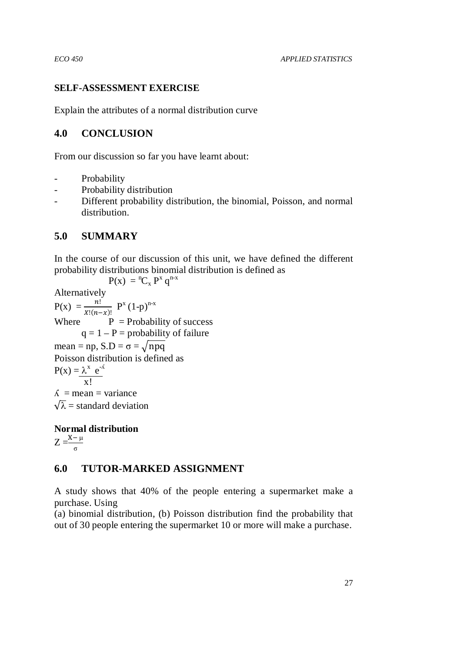## **SELF-ASSESSMENT EXERCISE**

Explain the attributes of a normal distribution curve

# **4.0 CONCLUSION**

From our discussion so far you have learnt about:

- Probability
- Probability distribution
- Different probability distribution, the binomial, Poisson, and normal distribution.

# **5.0 SUMMARY**

In the course of our discussion of this unit, we have defined the different probability distributions binomial distribution is defined as

 $P(x) = {}^{n}C_{x} P^{x} q^{n-x}$ Alternatively  $P(x) = {n! \over x!(n-x)!} P^x (1-p)^{n-x}$ Where  $P = Probability of success$  $q = 1 - P =$  probability of failure mean = np,  $S.D = \sigma = \sqrt{npq}$ Poisson distribution is defined as  $P(x) = \lambda^x e^{-\lambda}$  x!  $\Lambda$  = mean = variance  $\sqrt{\lambda}$  = standard deviation

**Normal distribution**   $Z = \frac{X-\mu}{\sigma}$ 

# **6.0 TUTOR-MARKED ASSIGNMENT**

A study shows that 40% of the people entering a supermarket make a purchase. Using

(a) binomial distribution, (b) Poisson distribution find the probability that out of 30 people entering the supermarket 10 or more will make a purchase.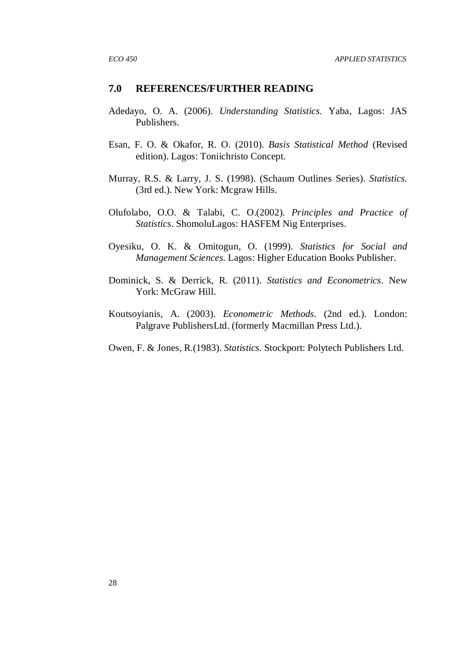#### **7.0 REFERENCES/FURTHER READING**

- Adedayo, O. A. (2006). *Understanding Statistics.* Yaba, Lagos: JAS Publishers.
- Esan, F. O. & Okafor, R. O. (2010). *Basis Statistical Method* (Revised edition). Lagos: Toniichristo Concept.
- Murray, R.S. & Larry, J. S. (1998). (Schaum Outlines Series). *Statistics.* (3rd ed.). New York: Mcgraw Hills.
- Olufolabo, O.O. & Talabi, C. O.(2002). *Principles and Practice of Statistics*. ShomoluLagos: HASFEM Nig Enterprises.
- Oyesiku, O. K. & Omitogun, O. (1999). *Statistics for Social and Management Sciences.* Lagos: Higher Education Books Publisher.
- Dominick, S. & Derrick, R. (2011). *Statistics and Econometrics*. New York: McGraw Hill.
- Koutsoyianis, A. (2003). *Econometric Methods.* (2nd ed.). London: Palgrave PublishersLtd. (formerly Macmillan Press Ltd.).
- Owen, F. & Jones, R.(1983). *Statistics.* Stockport: Polytech Publishers Ltd.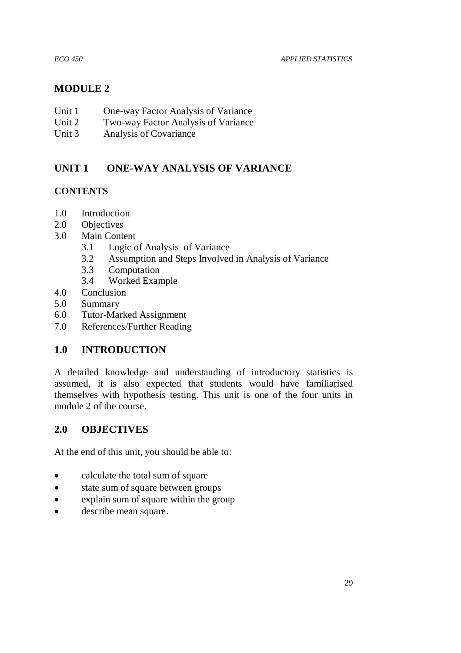*ECO 450 APPLIED STATISTICS* 

# **MODULE 2**

- Unit 1 One-way Factor Analysis of Variance
- Unit 2 Two-way Factor Analysis of Variance
- Unit 3 Analysis of Covariance

# **UNIT 1 ONE-WAY ANALYSIS OF VARIANCE**

# **CONTENTS**

- 1.0 Introduction
- 2.0 Objectives
- 3.0 Main Content
	- 3.1 Logic of Analysis of Variance
	- 3.2 Assumption and Steps Involved in Analysis of Variance
	- 3.3 Computation
	- 3.4 Worked Example
- 4.0 Conclusion
- 5.0 Summary
- 6.0 Tutor-Marked Assignment
- 7.0 References/Further Reading

# **1.0 INTRODUCTION**

A detailed knowledge and understanding of introductory statistics is assumed, it is also expected that students would have familiarised themselves with hypothesis testing. This unit is one of the four units in module 2 of the course.

# **2.0 OBJECTIVES**

At the end of this unit, you should be able to:

- calculate the total sum of square
- state sum of square between groups
- explain sum of square within the group
- describe mean square.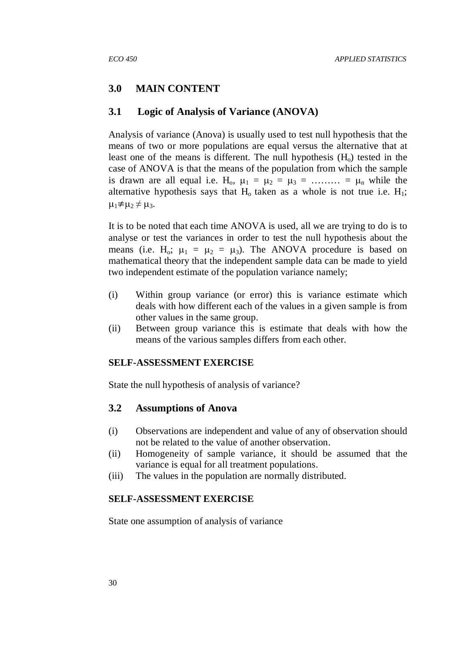## **3.0 MAIN CONTENT**

#### **3.1 Logic of Analysis of Variance (ANOVA)**

Analysis of variance (Anova) is usually used to test null hypothesis that the means of two or more populations are equal versus the alternative that at least one of the means is different. The null hypothesis  $(H_0)$  tested in the case of ANOVA is that the means of the population from which the sample is drawn are all equal i.e.  $H_0$ ,  $\mu_1 = \mu_2 = \mu_3 = \dots = \mu_n$  while the alternative hypothesis says that  $H_0$  taken as a whole is not true i.e.  $H_1$ ;  $\mu_1 \neq \mu_2 \neq \mu_3$ .

It is to be noted that each time ANOVA is used, all we are trying to do is to analyse or test the variances in order to test the null hypothesis about the means (i.e. H<sub>o</sub>;  $\mu_1 = \mu_2 = \mu_3$ ). The ANOVA procedure is based on mathematical theory that the independent sample data can be made to yield two independent estimate of the population variance namely;

- (i) Within group variance (or error) this is variance estimate which deals with how different each of the values in a given sample is from other values in the same group.
- (ii) Between group variance this is estimate that deals with how the means of the various samples differs from each other.

#### **SELF-ASSESSMENT EXERCISE**

State the null hypothesis of analysis of variance?

## **3.2 Assumptions of Anova**

- (i) Observations are independent and value of any of observation should not be related to the value of another observation.
- (ii) Homogeneity of sample variance, it should be assumed that the variance is equal for all treatment populations.
- (iii) The values in the population are normally distributed.

#### **SELF-ASSESSMENT EXERCISE**

State one assumption of analysis of variance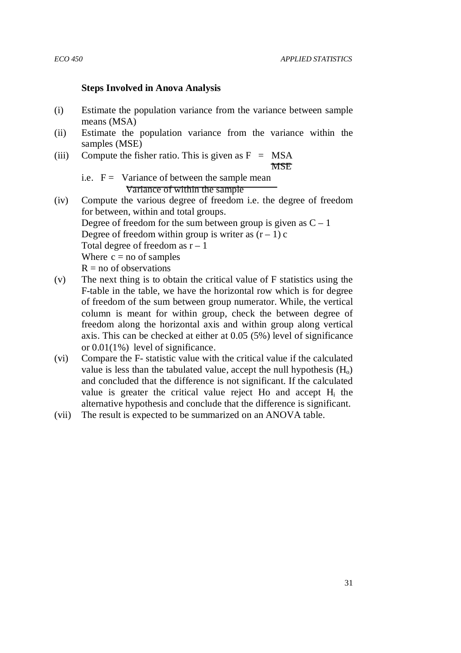#### **Steps Involved in Anova Analysis**

- (i) Estimate the population variance from the variance between sample means (MSA)
- (ii) Estimate the population variance from the variance within the samples (MSE)
- (iii) Compute the fisher ratio. This is given as  $F = MSA$ **MSE**

- i.e.  $F =$  Variance of between the sample mean Variance of within the sample
- (iv) Compute the various degree of freedom i.e. the degree of freedom for between, within and total groups. Degree of freedom for the sum between group is given as  $C - 1$ Degree of freedom within group is writer as  $(r - 1)c$ Total degree of freedom as  $r - 1$ Where  $c = no$  of samples  $R = no$  of observations
- (v) The next thing is to obtain the critical value of F statistics using the F-table in the table, we have the horizontal row which is for degree of freedom of the sum between group numerator. While, the vertical column is meant for within group, check the between degree of freedom along the horizontal axis and within group along vertical axis. This can be checked at either at 0.05 (5%) level of significance or 0.01(1%) level of significance.
- (vi) Compare the F- statistic value with the critical value if the calculated value is less than the tabulated value, accept the null hypothesis  $(H<sub>o</sub>)$ and concluded that the difference is not significant. If the calculated value is greater the critical value reject Ho and accept  $H_i$  the alternative hypothesis and conclude that the difference is significant.
- (vii) The result is expected to be summarized on an ANOVA table.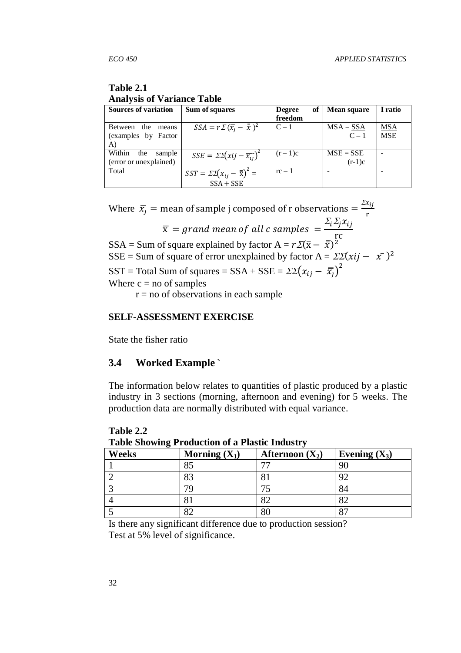# **Table 2.1 Analysis of Variance Table**

| Sources of variation    | Sum of squares                                               | of<br><b>Degree</b> | <b>Mean square</b> | I ratio    |
|-------------------------|--------------------------------------------------------------|---------------------|--------------------|------------|
|                         |                                                              | freedom             |                    |            |
| Between<br>the<br>means | $SSA = r\sum(\bar{x}_i - \bar{\bar{x}})^2$                   | $C-1$               | $MSA = SSA$        | <b>MSA</b> |
| (examples by Factor     |                                                              |                     | $C-1$              | <b>MSE</b> |
| A)                      |                                                              |                     |                    |            |
| Within<br>the<br>sample | $SSE = \sum \left(xij - \overline{x_{ij}}\right)^2$          | $(r-1)c$            | $MSE = SSE$        |            |
| (error or unexplained)  |                                                              |                     | $(r-1)c$           |            |
| Total                   | $SST = \Sigma \Sigma (x_{ij} - \overline{\overline{x}})^2 =$ | $rc-1$              |                    |            |
|                         | $SSA + SSE$                                                  |                     |                    |            |

Where  $\bar{x}_j$  = mean of sample j composed of r observations =  $\frac{\Sigma x_{ij}}{r}$ e  $\Sigma_i \Sigma_j x_{ij}$ 

 $\overline{\mathrm{x}}$  = grand mean of all c samples  $\,$  = rc

SSA = Sum of square explained by factor  $A = r\mathcal{Z}(\bar{x} - \bar{x})^2$ 

SSE = Sum of square of error unexplained by factor  $A = \Sigma \Sigma (xij - \bar{x})^2$ 

SST = Total Sum of squares = SSA + SSE =  $\Sigma \Sigma (x_{ij} - \overline{x_j})^2$ 

Where  $c = no$  of samples

 $r = no$  of observations in each sample

#### **SELF-ASSESSMENT EXERCISE**

State the fisher ratio

**Table 2.2** 

#### **3.4 Worked Example `**

The information below relates to quantities of plastic produced by a plastic industry in 3 sections (morning, afternoon and evening) for 5 weeks. The production data are normally distributed with equal variance.

| Table Showing I Founction of a Flashe Higgsu y |                 |                   |                 |  |  |  |
|------------------------------------------------|-----------------|-------------------|-----------------|--|--|--|
| Weeks                                          | Morning $(X_1)$ | Afternoon $(X_2)$ | Evening $(X_3)$ |  |  |  |
|                                                | 85              |                   | 90              |  |  |  |
|                                                | 83              |                   | 92              |  |  |  |
|                                                | 70              |                   | 84              |  |  |  |
|                                                | 81              |                   | 82              |  |  |  |
|                                                | 82              |                   | 87              |  |  |  |

**Table Showing Production of a Plastic Industry** 

Is there any significant difference due to production session? Test at 5% level of significance.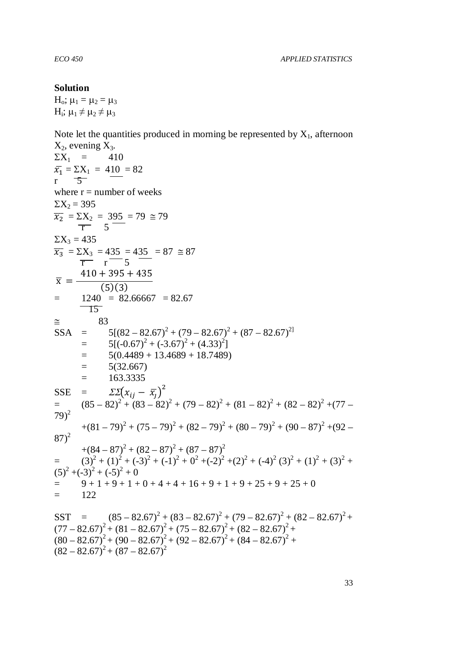#### **Solution**

 $H_0$ ;  $\mu_1 = \mu_2 = \mu_3$  $H_i$ ;  $\mu_1 \neq \mu_2 \neq \mu_3$ 

Note let the quantities produced in morning be represented by  $X_1$ , afternoon

 $X_2$ , evening  $X_3$ .  $\Sigma X_1 = 410$  $\bar{x_1} = \frac{\Sigma X_1}{5} = 410 = 82$  $\overline{5}$ where  $r =$  number of weeks  $\Sigma X_2 = 395$  $\overline{x_2} = \Sigma X_2 = 395 = 79 \approx 79$  $\overline{r}$  5<sup>-</sup>  $\Sigma X_3 = 435$  $\overline{x_3}$  =  $\Sigma X_3$  = 435 = 435 = 87  $\approx$  87  $\overline{r}$   $\overline{r}$   $\overline{5}$  $\bar{x} = \frac{1}{(5)(3)}$  $410 + 395 + 435$  $=$  1240  $=$  82.66667  $=$  82.67 15 ≅ 83  $SSA = 5[(82 - 82.67)^2 + (79 - 82.67)^2 + (87 - 82.67)^2]$  $= 5[(-0.67)^{2} + (-3.67)^{2} + (4.33)^{2}]$  $=$  5(0.4489 + 13.4689 + 18.7489)  $= 5(32.667)$  $= 163.3335$ SSE =  $\Sigma \left[ x_{ij} - \overline{x}_j \right]^2$  $=$   $(85-82)^2+(83-82)^2+(79-82)^2+(81-82)^2+(82-82)^2+(77-82)^2$  $79)^2$  $+(81 – 79)^{2} + (75 – 79)^{2} + (82 – 79)^{2} + (80 – 79)^{2} + (90 – 87)^{2} + (92 –$  $87)^2$  $+(84 - 87)^2 + (82 - 87)^2 + (87 - 87)^2$ =  $(3)^{2} + (1)^{2} + (-3)^{2} + (-1)^{2} + 0^{2} + (-2)^{2} + (2)^{2} + (-4)^{2} (3)^{2} + (1)^{2} + (3)^{2} + (-1)^{2} + (-1)^{2} + (-1)^{2} + (-1)^{2} + (-1)^{2} + (-1)^{2} + (-1)^{2} + (-1)^{2} + (-1)^{2} + (-1)^{2} + (-1)^{2} + (-1)^{2} + (-1)^{2} + (-1)^{2} + (-1)^{2} + (-1)^{2} + (-1)^{2} + (-1)^{2} + (-1)^{2} + (-1)^{2} + (-1)^$  $(5)^{2} + (-3)^{2} + (-5)^{2} + 0$  $= 9 + 1 + 9 + 1 + 0 + 4 + 4 + 16 + 9 + 1 + 9 + 25 + 9 + 25 + 0$  $=$  122 SST =  $(85 - 82.67)^2 + (83 - 82.67)^2 + (79 - 82.67)^2 + (82 - 82.67)^2 +$  $(77 - 82.67)^2 + (81 - 82.67)^2 + (75 - 82.67)^2 + (82 - 82.67)^2 +$  $(80 - 82.67)^{2} + (90 - 82.67)^{2} + (92 - 82.67)^{2} + (84 - 82.67)^{2} +$ 

 $(82 - 82.67)^2 + (87 - 82.67)^2$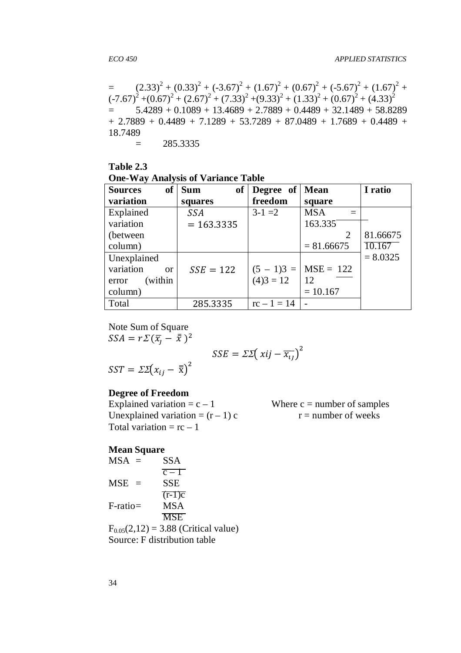=  $(2.33)^{2} + (0.33)^{2} + (-3.67)^{2} + (1.67)^{2} + (0.67)^{2} + (-5.67)^{2} + (1.67)^{2} +$  $(-7.67)^{2} + (0.67)^{2} + (2.67)^{2} + (7.33)^{2} + (9.33)^{2} + (1.33)^{2} + (0.67)^{2} + (4.33)^{2}$  $=$  5.4289 + 0.1089 + 13.4689 + 2.7889 + 0.4489 + 32.1489 + 58.8289  $+ 2.7889 + 0.4489 + 7.1289 + 53.7289 + 87.0489 + 1.7689 + 0.4489 +$ 18.7489

 $= 285.3335$ 

### **Table 2.3 One-Way Analysis of Variance Table**

| $\bullet$<br><b>of</b><br><b>Sources</b> | <b>Sum</b><br>of | Degree of     | <b>Mean</b>       | I ratio    |
|------------------------------------------|------------------|---------------|-------------------|------------|
| variation                                | squares          | freedom       | square            |            |
| Explained                                | <b>SSA</b>       | $3-1=2$       | <b>MSA</b><br>$=$ |            |
| variation                                | $= 163.3335$     |               | 163.335           |            |
| (between)                                |                  |               | 2                 | 81.66675   |
| column)                                  |                  |               | $= 81.66675$      | 10.167     |
| Unexplained                              |                  |               |                   | $= 8.0325$ |
| variation<br>$\alpha$                    | $SSE = 122$      | $(5 - 1)3 =$  | $MSE = 122$       |            |
| (within<br>error                         |                  | $(4)3 = 12$   | 12                |            |
| column)                                  |                  |               | $= 10.167$        |            |
| Total                                    | 285.3335         | $rc - 1 = 14$ |                   |            |

Note Sum of Square  $SSA = r\mathcal{Z}(\bar{x_j} - \bar{\bar{x}})^2$ 

$$
SSE = \Sigma \Sigma \big(\ xij - \overline{x_{ij}}\big)^2
$$

$$
SST = \Sigma \Sigma (x_{ij} - \overline{\overline{x}})^2
$$

## **Degree of Freedom**

Explained variation =  $c - 1$  Where  $c =$  number of samples Unexplained variation =  $(r - 1)$  c r = number of weeks Total variation =  $rc - 1$ 

#### **Mean Square**

| $MSA =$     | <b>SSA</b>                               |
|-------------|------------------------------------------|
|             | $\overline{c-1}$                         |
| $MSE =$     | <b>SSE</b>                               |
|             | $\overline{(r-1)c}$                      |
| $F$ -ratio= | <b>MSA</b>                               |
|             | <b>MSE</b>                               |
|             | $F_{0.05}(2,12) = 3.88$ (Critical value) |
|             | Source: F distribution table             |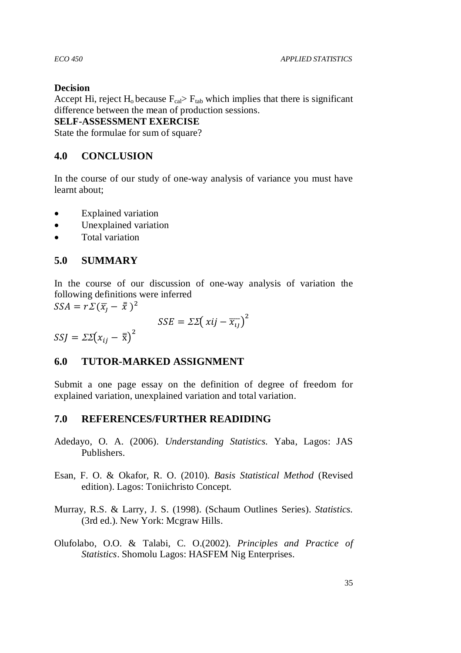## **Decision**

Accept Hi, reject  $H_0$  because  $F_{cal} > F_{tab}$  which implies that there is significant difference between the mean of production sessions.

## **SELF-ASSESSMENT EXERCISE**

State the formulae for sum of square?

# **4.0 CONCLUSION**

In the course of our study of one-way analysis of variance you must have learnt about;

- Explained variation
- Unexplained variation
- Total variation

# **5.0 SUMMARY**

In the course of our discussion of one-way analysis of variation the following definitions were inferred

 $SSA = r\mathcal{Z}(\bar{x}_j - \bar{\bar{x}})^2$ 

$$
SSE = \Sigma \Sigma \big(\ xij - \overline{x_{ij}}\big)^2
$$

 $SSJ = \Sigma \Sigma (x_{ij} - \overline{\overline{x}})^2$ 

## **6.0 TUTOR-MARKED ASSIGNMENT**

Submit a one page essay on the definition of degree of freedom for explained variation, unexplained variation and total variation.

## **7.0 REFERENCES/FURTHER READIDING**

- Adedayo, O. A. (2006). *Understanding Statistics.* Yaba, Lagos: JAS Publishers.
- Esan, F. O. & Okafor, R. O. (2010). *Basis Statistical Method* (Revised edition). Lagos: Toniichristo Concept.
- Murray, R.S. & Larry, J. S. (1998). (Schaum Outlines Series). *Statistics.* (3rd ed.). New York: Mcgraw Hills.
- Olufolabo, O.O. & Talabi, C. O.(2002). *Principles and Practice of Statistics*. Shomolu Lagos: HASFEM Nig Enterprises.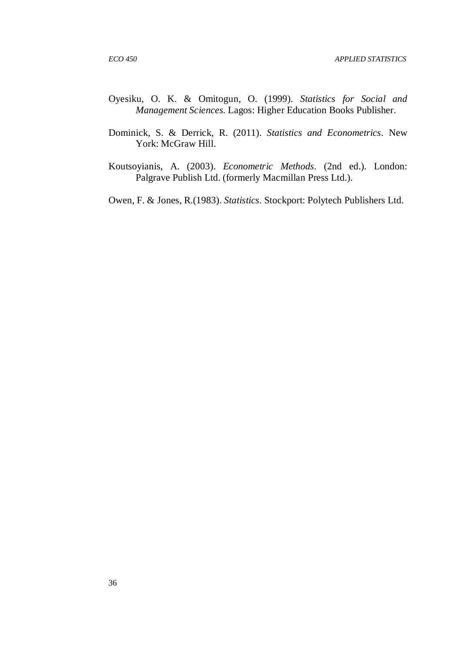- Oyesiku, O. K. & Omitogun, O. (1999). *Statistics for Social and Management Sciences.* Lagos: Higher Education Books Publisher.
- Dominick, S. & Derrick, R. (2011). *Statistics and Econometrics*. New York: McGraw Hill.
- Koutsoyianis, A. (2003). *Econometric Methods.* (2nd ed.). London: Palgrave Publish Ltd. (formerly Macmillan Press Ltd.).
- Owen, F. & Jones, R.(1983). *Statistics.* Stockport: Polytech Publishers Ltd.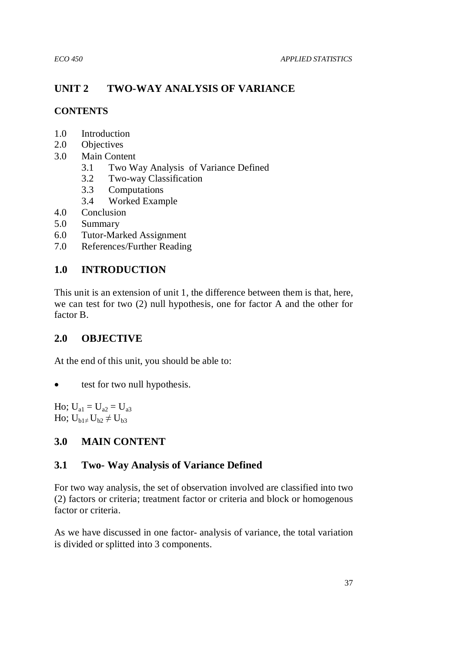# **UNIT 2 TWO-WAY ANALYSIS OF VARIANCE**

# **CONTENTS**

- 1.0 Introduction
- 2.0 Objectives
- 3.0 Main Content
	- 3.1 Two Way Analysis of Variance Defined
	- 3.2 Two-way Classification
	- 3.3 Computations
	- 3.4 Worked Example
- 4.0 Conclusion
- 5.0 Summary
- 6.0 Tutor-Marked Assignment
- 7.0 References/Further Reading

# **1.0 INTRODUCTION**

This unit is an extension of unit 1, the difference between them is that, here, we can test for two (2) null hypothesis, one for factor A and the other for factor B.

# **2.0 OBJECTIVE**

At the end of this unit, you should be able to:

• test for two null hypothesis.

Ho;  $U_{a1} = U_{a2} = U_{a3}$ Ho;  $U_{h1\neq}U_{h2}$  ≠  $U_{h3}$ 

# **3.0 MAIN CONTENT**

# **3.1 Two- Way Analysis of Variance Defined**

For two way analysis, the set of observation involved are classified into two (2) factors or criteria; treatment factor or criteria and block or homogenous factor or criteria.

As we have discussed in one factor- analysis of variance, the total variation is divided or splitted into 3 components.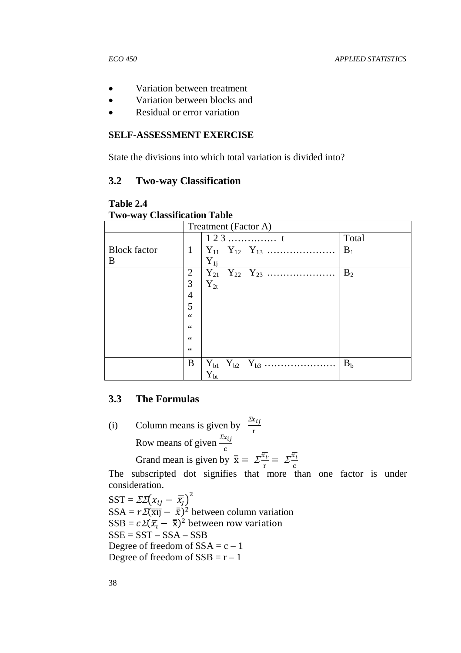- Variation between treatment
- Variation between blocks and
- Residual or error variation

#### **SELF-ASSESSMENT EXERCISE**

State the divisions into which total variation is divided into?

#### **3.2 Two-way Classification**

**Table 2.4 Two-way Classification Table** 

|                     |                | Treatment (Factor A)                         |  |  |  |  |
|---------------------|----------------|----------------------------------------------|--|--|--|--|
|                     |                | $123$<br>Total                               |  |  |  |  |
| <b>Block</b> factor | $\mathbf{1}$   | $B_1$<br>$Y_{11}$ $Y_{12}$ $Y_{13}$          |  |  |  |  |
| В                   |                | $Y_{1i}$                                     |  |  |  |  |
|                     | 2              | B <sub>2</sub><br>$Y_{21}$ $Y_{22}$ $Y_{23}$ |  |  |  |  |
|                     | 3              | $Y_{2t}$                                     |  |  |  |  |
|                     | $\overline{4}$ |                                              |  |  |  |  |
|                     | 5              |                                              |  |  |  |  |
|                     | 66             |                                              |  |  |  |  |
|                     | 66             |                                              |  |  |  |  |
|                     | 66             |                                              |  |  |  |  |
|                     | 66             |                                              |  |  |  |  |
|                     | B              | $Y_{b1}$ $Y_{b2}$ $Y_{b3}$<br>B <sub>b</sub> |  |  |  |  |
|                     |                | ${\rm Y}_{\rm bt}$                           |  |  |  |  |

### **3.3 The Formulas**

(i) Column means is given by  $\frac{\Sigma x_{ij}}{n}$ e Row means of given  $\frac{\Sigma x_{ij}}{\Sigma}$  $\mathbf c$ Grand mean is given by  $\overline{\overline{x}} = \sum_{r=1}^{\overline{x}_t}$  $\frac{\overline{x_i}}{\overline{r}} = \sum_{c} \frac{\overline{x_i}}{\overline{c}}$  $\mathbf c$  $\overline{x_i}$ 

The subscripted dot signifies that more than one factor is under consideration.

 $SST = \Sigma \Sigma (x_{ij} - \overline{x}_{j})^{2}$  $SSA = r\mathcal{Z}(\overline{x\mathbf{l}}) - \overline{\overline{x}})^2$  between column variation  $SSB = c\mathcal{Z}(\overline{x}_t - \overline{\overline{x}})^2$  between row variation  $SSE = SST - SSA - SSB$ Degree of freedom of  $SSA = c - 1$ Degree of freedom of  $SSB = r - 1$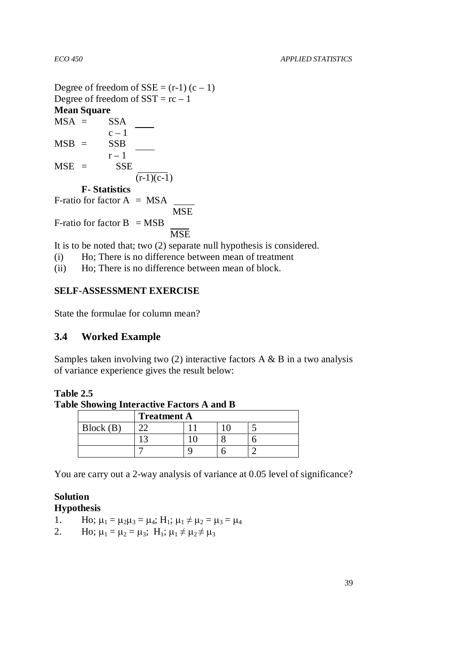Degree of freedom of  $SSE = (r-1)(c-1)$ Degree of freedom of  $SST = rc - 1$ **Mean Square**   $MSA = SSA$  $c - 1$  $MSB = SSB$  $r-1$  $MSE =$  SSE  $(\overline{r-1})(c-1)$ **F- Statistics**  F-ratio for factor  $A = MSA$ **MSE** F-ratio for factor  $B = MSB$ **MSE** 

It is to be noted that; two (2) separate null hypothesis is considered.

(i) Ho; There is no difference between mean of treatment

(ii) Ho; There is no difference between mean of block.

# **SELF-ASSESSMENT EXERCISE**

State the formulae for column mean?

# **3.4 Worked Example**

Samples taken involving two  $(2)$  interactive factors A & B in a two analysis of variance experience gives the result below:

#### **Table 2.5 Table Showing Interactive Factors A and B**

|          | <b>Treatment A</b> |  |  |  |  |  |
|----------|--------------------|--|--|--|--|--|
| Block(B) | ~~                 |  |  |  |  |  |
|          |                    |  |  |  |  |  |
|          |                    |  |  |  |  |  |

You are carry out a 2-way analysis of variance at 0.05 level of significance?

### **Solution Hypothesis**

- 1. Ho;  $\mu_1 = \mu_2 \mu_3 = \mu_4$ ;  $H_1$ ;  $\mu_1 \neq \mu_2 = \mu_3 = \mu_4$
- 2. Ho;  $\mu_1 = \mu_2 = \mu_3$ ; H<sub>1</sub>;  $\mu_1 \neq \mu_2 \neq \mu_3$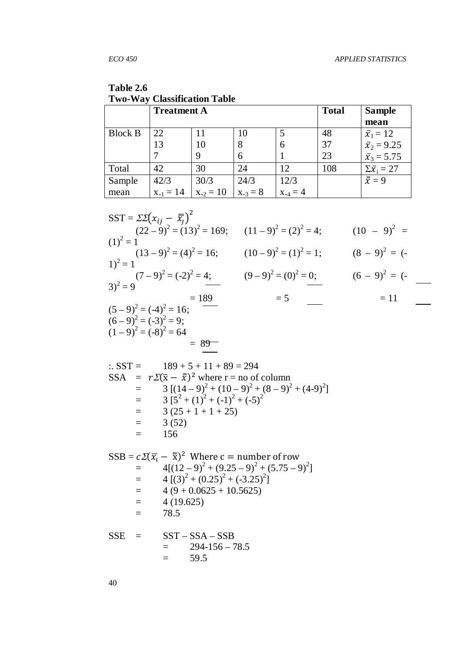| Table 2.6                           |
|-------------------------------------|
| <b>Two-Way Classification Table</b> |

|                | <b>Treatment A</b> |              | <b>Total</b> | <b>Sample</b> |     |                                                              |
|----------------|--------------------|--------------|--------------|---------------|-----|--------------------------------------------------------------|
|                |                    |              |              |               |     | mean                                                         |
| <b>Block B</b> | 22                 |              | 10           |               | 48  |                                                              |
|                | 13                 | 10           |              | h             | 37  |                                                              |
|                |                    | q            | h            |               | 23  | $\bar{x}_1 = 12$<br>$\bar{x}_2 = 9.25$<br>$\bar{x}_3 = 5.75$ |
| Total          | 42                 | 30           | 24           | 12            | 108 | $\Sigma \bar{x_i} = 27$                                      |
| Sample         | 42/3               | 30/3         | 24/3         | 12/3          |     | $\bar{\bar{x}}=9$                                            |
| mean           | $x_{-1} = 14$      | $x_{2} = 10$ | $X_{-3} = 8$ | $X_{.4} = 4$  |     |                                                              |

| $SST = \Sigma \Sigma (x_{ij} - \overline{x_j})^2$                 |                         |                  |
|-------------------------------------------------------------------|-------------------------|------------------|
| $(22-9)^2 = (13)^2 = 169;$ $(11-9)^2 = (2)^2 = 4;$<br>$(1)^2 = 1$ |                         | $(10 - 9)^2 =$   |
|                                                                   |                         |                  |
| $(13-9)^2 = (4)^2 = 16;$<br>$1)^2 = 1$                            | $(10-9)^2 = (1)^2 = 1;$ | $(8 - 9)^2 = (-$ |
|                                                                   | $(9-9)^2 = (0)^2 = 0;$  | $(6 - 9)^2 = (-$ |
| $(7-9)^2 = (-2)^2 = 4;$<br>3) <sup>2</sup> = 9                    |                         |                  |
| $= 189$                                                           | $= 5$                   | $= 11$           |
| $(5-9)^2 = (-4)^2 = 16;$                                          |                         |                  |
| $(6-9)^2 = (-3)^2 = 9;$                                           |                         |                  |
| $(1-9)^2 = (-8)^2 = 64$                                           |                         |                  |

$$
\begin{array}{rcl}\n\therefore \text{SST} &=& 189 + 5 + 11 + 89 = 294 \\
\text{SSA} &=& r\mathcal{Z}(\bar{x} - \bar{x})^2 \text{ where } r = \text{no of column} \\
&=& 3 \left[ (14 - 9)^2 + (10 - 9)^2 + (8 - 9)^2 + (4 - 9)^2 \right] \\
&=& 3 \left[ 5^2 + (1)^2 + (-1)^2 + (-5)^2 \right] \\
&=& 3 \left( 25 + 1 + 1 + 25 \right) \\
&=& 3 \left( 52 \right) \\
&=& 156\n\end{array}
$$

$$
SSB = c\mathcal{L}(\overline{x}_t - \overline{\overline{x}})^2 \text{ Where } c = number of row
$$
  
= 4[(12-9)<sup>2</sup> + (9.25-9)<sup>2</sup> + (5.75-9)<sup>2</sup>]  
= 4 [(3)<sup>2</sup> + (0.25)<sup>2</sup> + (-3.25)<sup>2</sup>]  
= 4 (9 + 0.0625 + 10.5625)  
= 4 (19.625)  
= 78.5

SSE = 
$$
SS1 - SSA - SSB
$$
  
= 294-156-78.5  
= 59.5

 $= 89$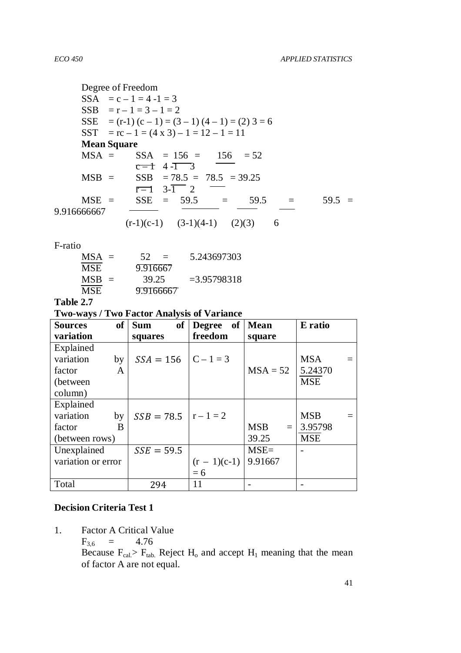Degree of Freedom  $SSA = c - 1 = 4 - 1 = 3$  $SSB = r - 1 = 3 - 1 = 2$ SSE =  $(r-1)$   $(c - 1) = (3 - 1) (4 - 1) = (2) 3 = 6$ SST =  $rc - 1 = (4 \times 3) - 1 = 12 - 1 = 11$  **Mean Square**   $MSA = SSA = 156 = 156 = 52$  $c - 1$  4 - $\overline{ )}$  3 MSB = SSB = 78.5 = 78.5 = 39.25  $\overline{r-1}$  3- $\overline{1}$  2 MSE = SSE = 59.5 = 59.5 = 59.5 = 9.916666667  $(r-1)(c-1)$   $(3-1)(4-1)$   $(2)(3)$  6

F-ratio

| $MSA =$ | 52<br>$\equiv$ | 5.243697303    |
|---------|----------------|----------------|
| MSE     | 9.916667       |                |
| $MSB =$ | 39.25          | $= 3.95798318$ |
| MSE.    | 9.9166667      |                |

**Table 2.7** 

**Two-ways / Two Factor Analysis of Variance** 

| <b>Sources</b>     | of | <b>of</b><br><b>Sum</b>  | of<br><b>Degree</b> | <b>Mean</b>       | E ratio    |
|--------------------|----|--------------------------|---------------------|-------------------|------------|
| variation          |    | squares                  | freedom             | square            |            |
| Explained          |    |                          |                     |                   |            |
| variation          | by | $SSA = 156$              | $C - 1 = 3$         |                   | <b>MSA</b> |
| factor             | A  |                          |                     | $MSA = 52$        | 5.24370    |
| (between)          |    |                          |                     |                   | <b>MSE</b> |
| column)            |    |                          |                     |                   |            |
| Explained          |    |                          |                     |                   |            |
| variation          | by | $SSB = 78.5$   r - 1 = 2 |                     |                   | <b>MSB</b> |
| factor             | B  |                          |                     | <b>MSB</b><br>$=$ | 3.95798    |
| (between rows)     |    |                          |                     | 39.25             | <b>MSE</b> |
| Unexplained        |    | $SSE = 59.5$             |                     | $MSE=$            |            |
| variation or error |    |                          | $(r - 1)(c-1)$      | 9.91667           |            |
|                    |    |                          | $= 6$               |                   |            |
| Total              |    | 294                      | 11                  |                   |            |

## **Decision Criteria Test 1**

1. Factor A Critical Value

 $F_{3,6} = 4.76$ 

Because  $F_{cal} > F_{tab}$ . Reject  $H_0$  and accept  $H_1$  meaning that the mean of factor A are not equal.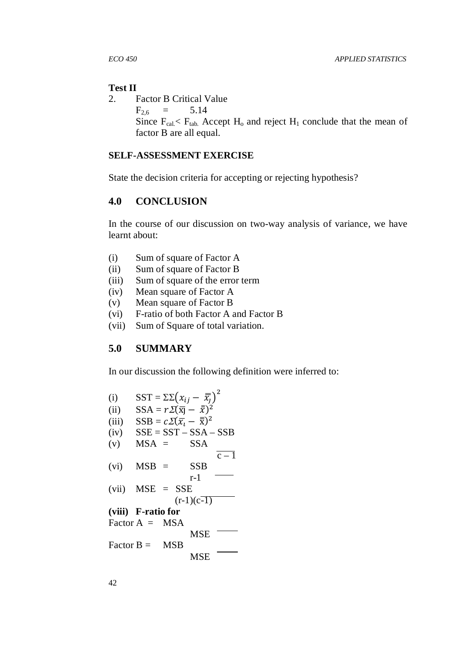#### **Test II**

2. Factor B Critical Value

 $F_{2,6}$  = 5.14

Since  $F_{cal} < F_{tab}$ . Accept  $H_0$  and reject  $H_1$  conclude that the mean of factor B are all equal.

#### **SELF-ASSESSMENT EXERCISE**

State the decision criteria for accepting or rejecting hypothesis?

## **4.0 CONCLUSION**

In the course of our discussion on two-way analysis of variance, we have learnt about:

- (i) Sum of square of Factor A
- (ii) Sum of square of Factor B
- (iii) Sum of square of the error term
- (iv) Mean square of Factor A
- (v) Mean square of Factor B
- (vi) F-ratio of both Factor A and Factor B
- (vii) Sum of Square of total variation.

## **5.0 SUMMARY**

In our discussion the following definition were inferred to:

(i) SST =  $\Sigma \Sigma (x_{ij} - \overline{x}_j)^2$ (ii) SSA =  $r \Sigma(\bar{x}) - \bar{x}$ )<sup>2</sup> (iii) SSB =  $c\mathcal{Z}(\overline{x_i} - \overline{\overline{x}})^2$  $(iv)$   $SSE = SST - SSA - SSB$  $(v)$  MSA = SSA  $\overline{c-1}$  $(vi)$  MSB = SSB r-1 (vii) MSE = SSE  $(r-1)(c-1)$ **(viii) F-ratio for**  Factor  $A = MSA$ MSE<sup>-</sup> Factor  $B = MSB$ MSE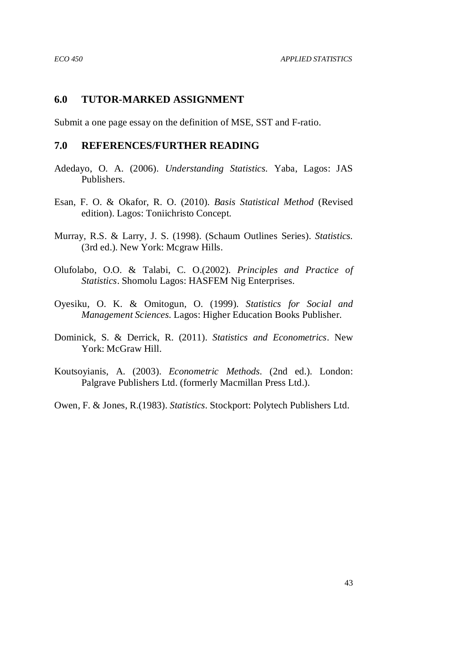### **6.0 TUTOR-MARKED ASSIGNMENT**

Submit a one page essay on the definition of MSE, SST and F-ratio.

### **7.0 REFERENCES/FURTHER READING**

- Adedayo, O. A. (2006). *Understanding Statistics.* Yaba, Lagos: JAS Publishers.
- Esan, F. O. & Okafor, R. O. (2010). *Basis Statistical Method* (Revised edition). Lagos: Toniichristo Concept.
- Murray, R.S. & Larry, J. S. (1998). (Schaum Outlines Series). *Statistics.* (3rd ed.). New York: Mcgraw Hills.
- Olufolabo, O.O. & Talabi, C. O.(2002). *Principles and Practice of Statistics*. Shomolu Lagos: HASFEM Nig Enterprises.
- Oyesiku, O. K. & Omitogun, O. (1999). *Statistics for Social and Management Sciences.* Lagos: Higher Education Books Publisher.
- Dominick, S. & Derrick, R. (2011). *Statistics and Econometrics*. New York: McGraw Hill.
- Koutsoyianis, A. (2003). *Econometric Methods.* (2nd ed.). London: Palgrave Publishers Ltd. (formerly Macmillan Press Ltd.).
- Owen, F. & Jones, R.(1983). *Statistics.* Stockport: Polytech Publishers Ltd.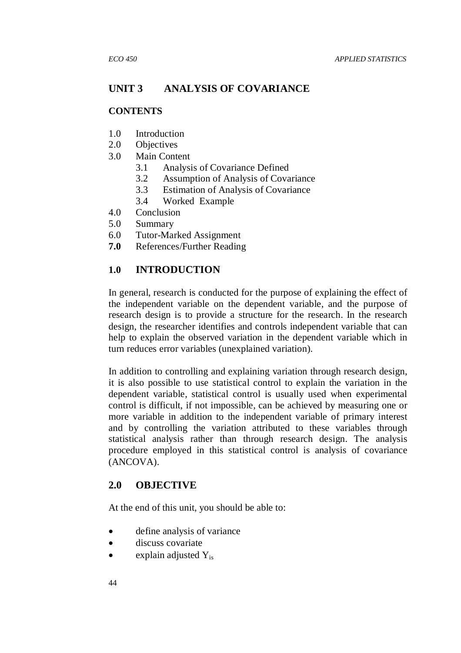# **UNIT 3 ANALYSIS OF COVARIANCE**

## **CONTENTS**

- 1.0 Introduction
- 2.0 Objectives
- 3.0 Main Content
	- 3.1 Analysis of Covariance Defined
	- 3.2 Assumption of Analysis of Covariance
	- 3.3 Estimation of Analysis of Covariance
	- 3.4 Worked Example
- 4.0 Conclusion
- 5.0 Summary
- 6.0 Tutor-Marked Assignment
- **7.0** References/Further Reading

# **1.0 INTRODUCTION**

In general, research is conducted for the purpose of explaining the effect of the independent variable on the dependent variable, and the purpose of research design is to provide a structure for the research. In the research design, the researcher identifies and controls independent variable that can help to explain the observed variation in the dependent variable which in turn reduces error variables (unexplained variation).

In addition to controlling and explaining variation through research design, it is also possible to use statistical control to explain the variation in the dependent variable, statistical control is usually used when experimental control is difficult, if not impossible, can be achieved by measuring one or more variable in addition to the independent variable of primary interest and by controlling the variation attributed to these variables through statistical analysis rather than through research design. The analysis procedure employed in this statistical control is analysis of covariance (ANCOVA).

# **2.0 OBJECTIVE**

At the end of this unit, you should be able to:

- define analysis of variance
- discuss covariate
- explain adjusted  $Y_{is}$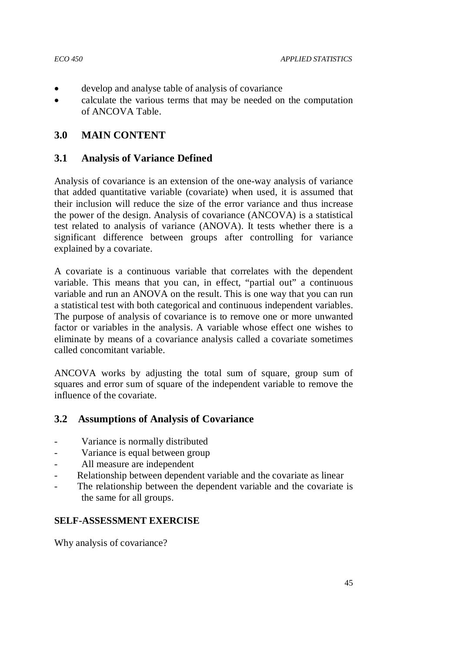- 
- develop and analyse table of analysis of covariance
- calculate the various terms that may be needed on the computation of ANCOVA Table.

# **3.0 MAIN CONTENT**

## **3.1 Analysis of Variance Defined**

Analysis of covariance is an extension of the one-way analysis of variance that added quantitative variable (covariate) when used, it is assumed that their inclusion will reduce the size of the error variance and thus increase the power of the design. Analysis of covariance (ANCOVA) is a statistical test related to analysis of variance (ANOVA). It tests whether there is a significant difference between groups after controlling for variance explained by a covariate.

A covariate is a continuous variable that correlates with the dependent variable. This means that you can, in effect, "partial out" a continuous variable and run an ANOVA on the result. This is one way that you can run a statistical test with both categorical and continuous independent variables. The purpose of analysis of covariance is to remove one or more unwanted factor or variables in the analysis. A variable whose effect one wishes to eliminate by means of a covariance analysis called a covariate sometimes called concomitant variable.

ANCOVA works by adjusting the total sum of square, group sum of squares and error sum of square of the independent variable to remove the influence of the covariate.

# **3.2 Assumptions of Analysis of Covariance**

- Variance is normally distributed
- Variance is equal between group
- All measure are independent
- Relationship between dependent variable and the covariate as linear
- The relationship between the dependent variable and the covariate is the same for all groups.

#### **SELF-ASSESSMENT EXERCISE**

Why analysis of covariance?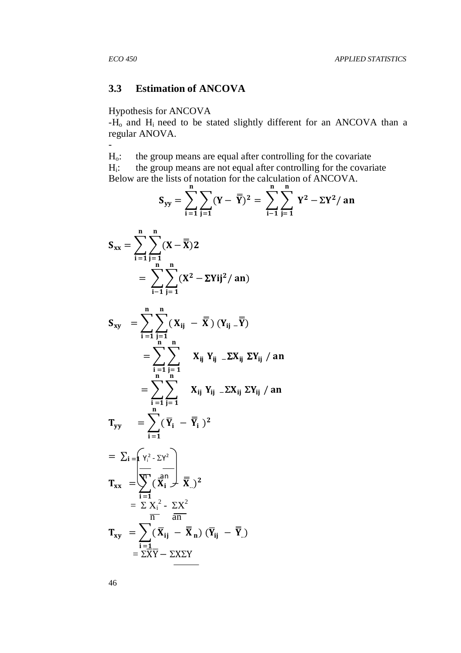-

# **3.3 Estimation of ANCOVA**

#### Hypothesis for ANCOVA

 $-H<sub>o</sub>$  and  $H<sub>i</sub>$  need to be stated slightly different for an ANCOVA than a regular ANOVA.

Ho: the group means are equal after controlling for the covariate  $H_i$ : : the group means are not equal after controlling for the covariate Below are the lists of notation for the calculation of ANCOVA.

$$
S_{yy} = \sum_{i=1}^{n} \sum_{j=1}^{n} (Y - \overline{Y})^2 = \sum_{i=1}^{n} \sum_{j=1}^{n} Y^2 - \Sigma Y^2 / an
$$

$$
S_{xx} = \sum_{i=1}^{n} \sum_{j=1}^{n} (X - \overline{X}) 2
$$

$$
\sum_{i=1}^{i=1} \sum_{j=1}^{j=1} \sum_{j=1}^{n} (X^2 - \Sigma Y i j^2 / an)
$$

$$
S_{xy} = \sum_{i=1}^{n} \sum_{j=1}^{n} (X_{ij} - \overline{X}) (Y_{ij} - \overline{Y})
$$
  
= 
$$
\sum_{i=1}^{n} \sum_{j=1}^{n} X_{ij} Y_{ij} - \Sigma X_{ij} \Sigma Y_{ij} / an
$$
  
= 
$$
\sum_{i=1}^{n} \sum_{j=1}^{n} X_{ij} Y_{ij} - \Sigma X_{ij} \Sigma Y_{ij} / an
$$

 $T_{yy}$  =  $\bigg\}$  (  $\mathbf n$  $i=1$  $\overline{Y}_i - \overline{Y}_i$ )<sup>2</sup>

$$
= \sum_{i} \sum_{j} \left( \frac{\mathbf{x}_{i}^{2} - \sum Y^{2}}{\mathbf{x}_{i} - \mathbf{x}_{j}} \right)
$$
  
\n
$$
T_{xx} = \sum_{i} \left( \frac{\mathbf{x}_{i}^{2}}{\mathbf{x}_{i} - \mathbf{x}_{j}} \right)
$$
  
\n
$$
= \sum_{i} \frac{\mathbf{x}_{i}^{2}}{\mathbf{x}_{i} - \mathbf{x}_{j}}
$$
  
\n
$$
T_{xy} = \sum_{i} \left( \overline{\mathbf{x}}_{ij} - \overline{\mathbf{x}}_{n} \right) \left( \overline{\mathbf{Y}}_{ij} - \overline{\mathbf{Y}}_{j} \right)
$$
  
\n
$$
= \sum_{i} \overline{\mathbf{X}} \overline{\mathbf{Y}} - \sum \overline{\mathbf{X}} \Sigma \overline{\mathbf{Y}}
$$

46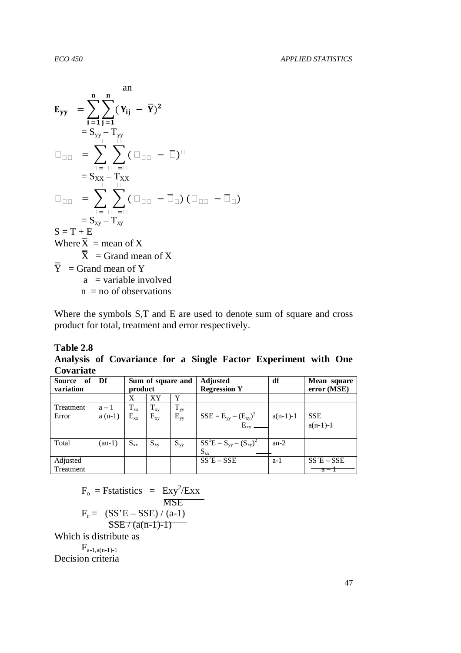$$
\mathbf{E}_{yy} = \sum_{i=1}^{n} \sum_{j=1}^{n} (Y_{ij} - \overline{Y})^2
$$
\n
$$
= S_{yy} - T_{yy}
$$
\n
$$
= \sum_{i=1}^{n} \sum_{j=1}^{n} (1 - \overline{Y})^2
$$
\n
$$
= S_{xx} - T_{xx}
$$
\n
$$
= \sum_{i=1}^{n} \sum_{j=1}^{n} (1 - \overline{Y})^2
$$
\n
$$
= S_{xx} - T_{xx}
$$
\n
$$
= \sum_{i=1}^{n} \sum_{j=1}^{n} (1 - \overline{Y})^2
$$
\n
$$
= S_{xy} - T_{xy}
$$
\n
$$
S = T + E
$$
\n
$$
\text{Where } \overline{X} = \text{mean of } X
$$
\n
$$
\overline{X} = \text{Grand mean of } X
$$
\n
$$
\overline{Y} = \text{Grand mean of } Y
$$
\na = variable involved

 $n = no$  of observations

Where the symbols S,T and E are used to denote sum of square and cross product for total, treatment and error respectively.

#### **Table 2.8**

**Analysis of Covariance for a Single Factor Experiment with One Covariate** 

| <b>Source</b><br>- of<br>variation | Df       | product  | Sum of square and |          | <b>Adjusted</b><br><b>Regression Y</b> | df         | Mean square<br>error (MSE)                  |
|------------------------------------|----------|----------|-------------------|----------|----------------------------------------|------------|---------------------------------------------|
|                                    |          | X        | XY                | Y        |                                        |            |                                             |
| Treatment                          | $a-1$    | $T_{xx}$ | $T_{xy}$          | $T_{yy}$ |                                        |            |                                             |
| Error                              | $a(n-1)$ | $E_{xx}$ | $E_{xy}$          | $E_{yy}$ | $SSE = E_{yy} - (E_{xy})^2$            | $a(n-1)-1$ | <b>SSE</b>                                  |
|                                    |          |          |                   |          | $E_{xx}$                               |            | $a(n-1)-1$                                  |
|                                    |          |          |                   |          |                                        |            |                                             |
| Total                              | $(an-1)$ | $S_{xx}$ | $S_{xy}$          | $S_{yy}$ | $SS^1E = S_{yy} - (S_{xy})^2$          | $an-2$     |                                             |
|                                    |          |          |                   |          | $S_{xx}$                               |            |                                             |
| Adjusted                           |          |          |                   |          | $SS^1E - SSE$                          | $a-1$      | $\overline{\text{SS}}^1\text{E}-\text{SSE}$ |
| Treatment                          |          |          |                   |          |                                        |            | - a                                         |

$$
F_o = \text{Fstatistics} = \text{Exy}^2/\text{Exx}
$$
  
\n
$$
F_c = \frac{\text{(SS'E - SSE)} / \text{(a-1)}}{\text{SSE} / \text{(a(n-1)-1)}}
$$

Which is distribute as

 $F_{a-1,a(n-1)-1}$ Decision criteria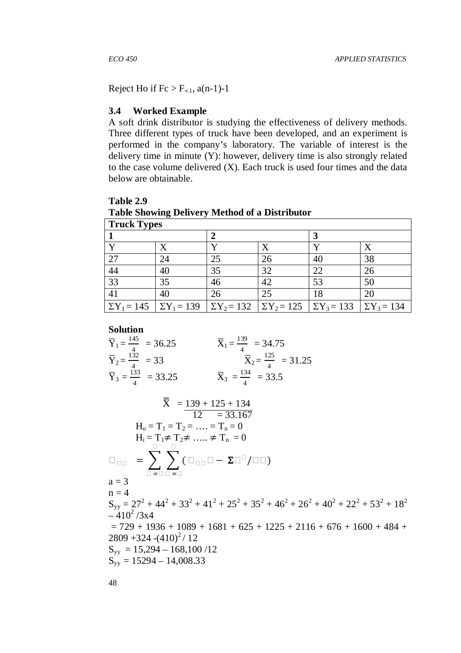$\overline{\phantom{0}}$ 

Reject Ho if  $Fc > F_{\infty 1}$ , a(n-1)-1

#### **3.4 Worked Example**

A soft drink distributor is studying the effectiveness of delivery methods. Three different types of truck have been developed, and an experiment is performed in the company's laboratory. The variable of interest is the delivery time in minute (Y): however, delivery time is also strongly related to the case volume delivered (X). Each truck is used four times and the data below are obtainable.

**Table 2.9 Table Showing Delivery Method of a Distributor** 

| Truck Types |    |    |                                                                                                       |    |    |  |  |  |  |
|-------------|----|----|-------------------------------------------------------------------------------------------------------|----|----|--|--|--|--|
|             |    |    |                                                                                                       |    |    |  |  |  |  |
|             |    |    |                                                                                                       |    |    |  |  |  |  |
| 27          | 24 | 25 | 26                                                                                                    | 40 | 38 |  |  |  |  |
| 44          | 40 | 35 | 32                                                                                                    | 22 | 26 |  |  |  |  |
| 33          | 35 | 46 | 42                                                                                                    | 53 | 50 |  |  |  |  |
| 41          | 40 | 26 | 25                                                                                                    | 18 | 20 |  |  |  |  |
|             |    |    | $\sum Y_1 = 145$ $\sum Y_1 = 139$ $\sum Y_2 = 132$ $\sum Y_2 = 125$ $\sum Y_3 = 133$ $\sum Y_3 = 134$ |    |    |  |  |  |  |

**Solution**

$$
\overline{Y}_1 = \frac{145}{4} = 36.25
$$
\n
$$
\overline{Y}_2 = \frac{132}{4} = 33
$$
\n
$$
\overline{X}_1 = \frac{139}{4} = 34.75
$$
\n
$$
\overline{Y}_2 = \frac{132}{4} = 33
$$
\n
$$
\overline{X}_3 = \frac{134}{4} = 33.5
$$
\n
$$
\overline{X}_4 = \frac{139 + 125 + 134}{4} = 33.5
$$
\n
$$
\overline{X}_5 = \frac{139 + 125 + 134}{12} = \frac{133.167}{33.167}
$$
\n
$$
H_0 = T_1 = T_2 = \dots = T_n = 0
$$
\n
$$
H_i = T_1 \neq T_2 \neq \dots \neq T_n = 0
$$
\n
$$
= \sum_{n=1}^{\infty} \sum_{n=1}^{\infty} (-1)^n = 125
$$
\n
$$
a = 3
$$
\n
$$
a = 3
$$
\n
$$
a = 4
$$
\n
$$
S_{yy} = 27^2 + 44^2 + 33^2 + 41^2 + 25^2 + 35^2 + 46^2 + 26^2 + 40^2 + 22^2 + 53^2 + 18^2
$$
\n
$$
= 410^2 / 3x4
$$
\n
$$
= 729 + 1936 + 1089 + 1681 + 625 + 1225 + 2116 + 676 + 1600 + 484 + 2809 + 324 - (410)^2 / 12
$$
\n
$$
S_{yy} = 15,294 - 168,100 / 12
$$
\n
$$
S_{yy} = 15294 - 14,008.33
$$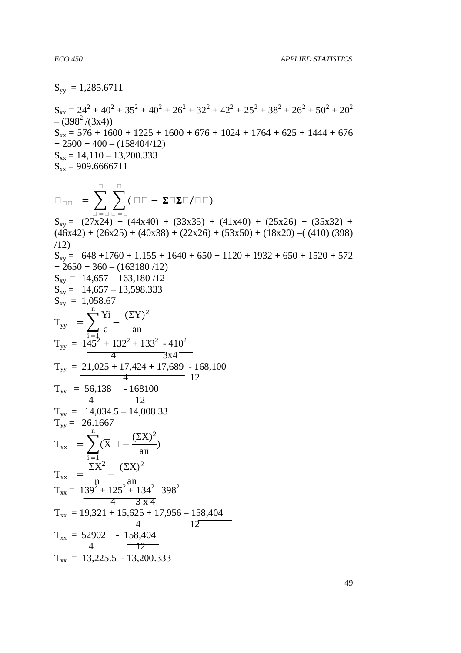$S_{yy} = 1,285.6711$ 

 $S_{xx} = 24^2 + 40^2 + 35^2 + 40^2 + 26^2 + 32^2 + 42^2 + 25^2 + 38^2 + 26^2 + 50^2 + 20^2$  $- (398<sup>2</sup>/(3x4))$  $S_{xx} = 576 + 1600 + 1225 + 1600 + 676 + 1024 + 1764 + 625 + 1444 + 676$  $+ 2500 + 400 - (158404/12)$  $S_{xx} = 14,110 - 13,200.333$  $S_{xx} = 909.6666711$ 

$$
= \sum_{i=1}^{n} \sum_{j=1}^{n} (1 - \sum_{i=1}^{n} \sum_{j=1}^{n} \sum_{j=1}^{n} \sum_{j=1}^{n} \sum_{j=1}^{n} \sum_{j=1}^{n} \sum_{j=1}^{n} \sum_{j=1}^{n} \sum_{j=1}^{n} \sum_{j=1}^{n} \sum_{j=1}^{n} \sum_{j=1}^{n} \sum_{j=1}^{n} \sum_{j=1}^{n} \sum_{j=1}^{n} \sum_{j=1}^{n} \sum_{j=1}^{n} \sum_{j=1}^{n} \sum_{j=1}^{n} \sum_{j=1}^{n} \sum_{j=1}^{n} \sum_{j=1}^{n} \sum_{j=1}^{n} \sum_{j=1}^{n} \sum_{j=1}^{n} \sum_{j=1}^{n} \sum_{j=1}^{n} \sum_{j=1}^{n} \sum_{j=1}^{n} \sum_{j=1}^{n} \sum_{j=1}^{n} \sum_{j=1}^{n} \sum_{j=1}^{n} \sum_{j=1}^{n} \sum_{j=1}^{n} \sum_{j=1}^{n} \sum_{j=1}^{n} \sum_{j=1}^{n} \sum_{j=1}^{n} \sum_{j=1}^{n} \sum_{j=1}^{n} \sum_{j=1}^{n} \sum_{j=1}^{n} \sum_{j=1}^{n} \sum_{j=1}^{n} \sum_{j=1}^{n} \sum_{j=1}^{n} \sum_{j=1}^{n} \sum_{j=1}^{n} \sum_{j=1}^{n} \sum_{j=1}^{n} \sum_{j=1}^{n} \sum_{j=1}^{n} \sum_{j=1}^{n} \sum_{j=1}^{n} \sum_{j=1}^{n} \sum_{j=1}^{n} \sum_{j=1}^{n} \sum_{j=1}^{n} \sum_{j=1}^{n} \sum_{j=1}^{n} \sum_{j=1}^{n} \sum_{j=1}^{n} \sum_{j=1}^{n} \sum_{j=1}^{n} \sum_{j=1}^{n} \sum_{j=1}^{n} \sum_{j=1}^{n} \sum_{j=1}^{n} \sum_{j=1}^{n} \sum_{j=1}^{n} \sum_{j=1}^{n} \sum_{j=1}^{n} \sum_{j=
$$

 $S_{xy} = (27x24) + (44x40) + (33x35) + (41x40) + (25x26) + (35x32) +$  $(46x42) + (26x25) + (40x38) + (22x26) + (53x50) + (18x20) - (410)(398)$ /12)  $S_{xy} = 648 + 1760 + 1,155 + 1640 + 650 + 1120 + 1932 + 650 + 1520 + 572$  $+ 2650 + 360 - (163180/12)$  $S_{xy} = 14,657 - 163,180/12$  $S_{xy} = 14,657 - 13,598.333$  $S_{xy} = 1,058.67$  $T_{yy} = \sum_{n=1}^{\infty} \frac{Y_i}{a}$ n  $T_{yy} = 145^2 + 132^2 + 133^2 - 410^2$ − ÷  $(\Sigma Y)^2$ an  $4 \overline{\qquad \qquad } 3x4$  $T_{yy} = 21{,}025 + 17{,}424 + 17{,}689 - 168{,}100$  $\frac{4}{12}$  12  $T_{yy}$  = 56,138 - 168100  $\frac{4}{12}$  12  $T_{yy} = 14,034.5 - 14,008.33$  $T_{yy} = 26.1667$  $T_{xx}$  =  $\sum (\overline{X})$ n  $i = 1$  −  $(\Sigma X)^2$  $\frac{1}{\text{an}}$ )  $T_{xx}$  = - $\Sigma X^2$ n −  $(\Sigma X)^2$ an  $T_{xx} = 139^2 + 125^2 + 134^2 - 398^2$  $\overline{4}$  $T_{xx}$  = 19,321 + 15,625 + 17,956 - 158,404  $\frac{4}{12}$  $T_{xx} = 52902 - 158,404$  $-4$   $-12$  $T_{xx}$  = 13,225.5 - 13,200.333

49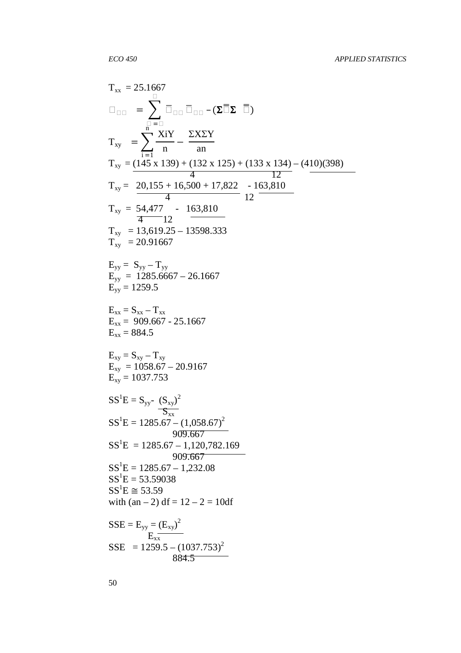$$
T_{xx} = 25.1667
$$
\n
$$
= \sum_{i=1}^{n} \frac{x_{i}Y}{n} - \sum_{i=1}^{n} \frac{X_{i}Y}{n}
$$
\n
$$
T_{xy} = \frac{\sum_{i=1}^{n} \frac{X_{i}Y}{n} - \sum_{i=1}^{n} \frac{X_{i}Y}{n}}{\sum_{i=1}^{n} \frac{13.819 + (132 \times 125) + (133 \times 134) - (410)(398)}{4} - \sum_{i=1}^{n} \frac{20,155 + 16,500 + 17,822 - 163,810}{4} - \sum_{i=1}^{n} \frac{13,619.25 - 13598.333}{4} - \sum_{i=1}^{n} \frac{13,619.25 - 13598.333}{5} - \sum_{i=1}^{n} \frac{13,619.25 - 13598.333}{5} - \sum_{i=1}^{n} \frac{1285.6667 - 13598.333}{5} - \sum_{i=1}^{n} \frac{1285.6667 - 26.1667}{5} - \sum_{i=1}^{n} \frac{1285.6667 - 26.1667}{5} - \sum_{i=1}^{n} \frac{1285.67 - 20.9167}{5} - \sum_{i=1}^{n} \frac{1285.67 - 20.9167}{5} - \sum_{i=1}^{n} \frac{1285.67 - (1,058.67)^{2}}{999.667} - \sum_{i=1}^{n} \frac{1285.67 - (1,058.67)^{2}}{999.667} - \sum_{i=1}^{n} \frac{1285.67 - 1,232.08}{5} - \sum_{i=1}^{n} \frac{1285.67 - 1,232.08}{5} - \sum_{i=1}^{n} \frac{1285.67 - 1,232.08}{5} - \sum_{i=1}^{n} \frac{1285.59038}{5} - \sum_{i=1}^{n} \frac{125.7}{5} - \sum_{i=1
$$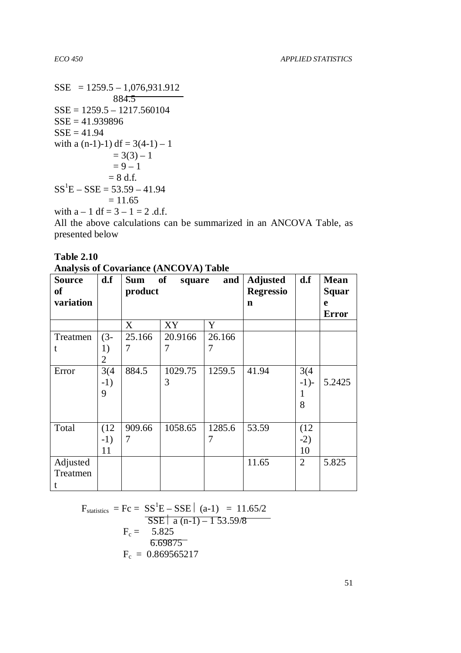$SSE$  = 1259.5 – 1,076,931.912 884.5  $SSE = 1259.5 - 1217.560104$ SSE = 41.939896  $SSE = 41.94$ with a  $(n-1)-1$  df = 3(4-1) – 1  $= 3(3) - 1$  $= 9 - 1$  $= 8$  d.f.  $SS<sup>1</sup>E - SSE = 53.59 - 41.94$  $= 11.65$ with  $a - 1 df = 3 - 1 = 2 d.f.$ 

All the above calculations can be summarized in an ANCOVA Table, as presented below

| <b>Analysis of Covariance (ANCOVA) Table</b> |       |            |              |        |                  |                               |              |  |  |
|----------------------------------------------|-------|------------|--------------|--------|------------------|-------------------------------|--------------|--|--|
| <b>Source</b>                                | d.f   | <b>Sum</b> | of<br>square | and    | <b>Adjusted</b>  | $\mathbf{d} \cdot \mathbf{f}$ | <b>Mean</b>  |  |  |
| <b>of</b>                                    |       | product    |              |        | <b>Regressio</b> |                               | <b>Squar</b> |  |  |
| variation                                    |       |            |              |        | n                |                               | e            |  |  |
|                                              |       |            |              |        |                  |                               | <b>Error</b> |  |  |
|                                              |       | X          | XY           | Y      |                  |                               |              |  |  |
| Treatmen                                     | $(3-$ | 25.166     | 20.9166      | 26.166 |                  |                               |              |  |  |
| t                                            | 1)    | 7          | 7            | 7      |                  |                               |              |  |  |
|                                              | 2     |            |              |        |                  |                               |              |  |  |
| Error                                        | 3(4)  | 884.5      | 1029.75      | 1259.5 | 41.94            | 3(4)                          |              |  |  |
|                                              | $-1)$ |            | 3            |        |                  | $-1$ )-                       | 5.2425       |  |  |
|                                              | 9     |            |              |        |                  | $\mathbf{1}$                  |              |  |  |
|                                              |       |            |              |        |                  | 8                             |              |  |  |
|                                              |       |            |              |        |                  |                               |              |  |  |
| Total                                        | (12)  | 909.66     | 1058.65      | 1285.6 | 53.59            | (12)                          |              |  |  |
|                                              | $-1)$ | 7          |              | 7      |                  | $-2)$                         |              |  |  |
|                                              | 11    |            |              |        |                  | 10                            |              |  |  |
| Adjusted                                     |       |            |              |        | 11.65            | 2                             | 5.825        |  |  |
| Treatmen                                     |       |            |              |        |                  |                               |              |  |  |
|                                              |       |            |              |        |                  |                               |              |  |  |

**Table 2.10** 

| <b>Analysis of Covariance (ANCOVA) Table</b> |  |
|----------------------------------------------|--|
|----------------------------------------------|--|

 $F_{\text{statistics}} = Fc = SS^1E - SSE \mid (a-1) = 11.65/2$ SSE  $\bar{a}$  (n-1) – 1 53.59/8  $F_c =$  = 5.825 6.69875  $F_c = 0.869565217$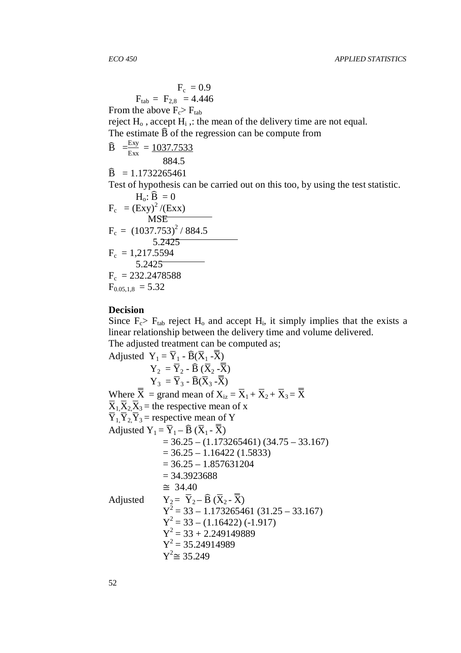$$
F_c = 0.9
$$
  

$$
F_{tab} = F_{2,8} = 4.446
$$

From the above  $F_c > F_{tab}$ 

reject  $H_0$ , accept  $H_i$ , the mean of the delivery time are not equal. The estimate  $\widehat{B}$  of the regression can be compute from

$$
\widehat{B} = \frac{Exy}{Exx} = \frac{1037.7533}{884.5}
$$

 $\widehat{B} = 1.1732265461$ 

Test of hypothesis can be carried out on this too, by using the test statistic.

$$
H_o: \hat{B} = 0
$$
  
\n
$$
F_c = (Exy)^2 / (Exx)
$$
  
\n
$$
MSE
$$
  
\n
$$
F_c = (1037.753)^2 / 884.5
$$
  
\n
$$
5.2425
$$
  
\n
$$
F_c = 1,217.5594
$$
  
\n
$$
5.2425
$$
  
\n
$$
F_c = 232.2478588
$$
  
\n
$$
F_{0.05,1,8} = 5.32
$$

#### **Decision**

Since  $F_c$ >  $F_{tab}$  reject  $H_0$  and accept  $H_i$ , it simply implies that the exists a linear relationship between the delivery time and volume delivered. The adjusted treatment can be computed as;

Adjusted 
$$
Y_1 = \overline{Y}_1 - \widehat{B}(\overline{X}_1 - \overline{X})
$$

\n
$$
Y_2 = \overline{Y}_2 - \widehat{B}(\overline{X}_2 - \overline{X})
$$
\n
$$
Y_3 = \overline{Y}_3 - \widehat{B}(\overline{X}_3 - \overline{X})
$$
\nWhere  $\overline{X} = \text{grand mean of } X_{iz} = \overline{X}_1 + \overline{X}_2 + \overline{X}_3 = \overline{X}$ 

\n
$$
\overline{X}_1, \overline{X}_2, \overline{X}_3 = \text{ the respective mean of } X
$$
\n
$$
\overline{Y}_1, \overline{Y}_2, \overline{Y}_3 = \text{respective mean of } Y
$$
\nadjusted  $Y_1 = \overline{Y}_1 - \widehat{B}(\overline{X}_1 - \overline{X})$ 

\n
$$
= 36.25 - (1.173265461)(34.75 - 33.167)
$$
\n
$$
= 36.25 - 1.16422 (1.5833)
$$
\n
$$
= 36.25 - 1.857631204
$$
\n
$$
= 34.3923688
$$
\n
$$
\approx 34.40
$$
\nAdjusted  $Y_2 = \overline{Y}_2 - \widehat{B}(\overline{X}_2 - \overline{X})$ 

\n
$$
Y^2 = 33 - 1.173265461 (31.25 - 33.167)
$$
\n
$$
Y^2 = 33 - (1.16422)(-1.917)
$$
\n
$$
Y^2 = 35.24914989
$$
\n
$$
Y^2 = 35.24914989
$$
\n
$$
Y^2 \approx 35.249
$$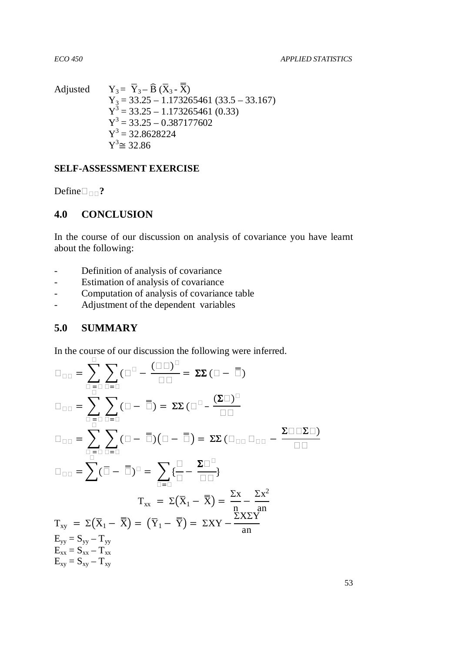Adjusted  $Y_3 = \overline{Y}_3 - \widehat{B} (\overline{X}_3 - \overline{\overline{X}})$  $Y_3 = 33.25 - 1.173265461 (33.5 - 33.167)$  $Y^3 = 33.25 - 1.173265461(0.33)$  $Y^3 = 33.25 - 0.387177602$  $Y^3 = 32.8628224$  $Y^3 \cong 32.86$ 

#### **SELF-ASSESSMENT EXERCISE**

Define**?**

## **4.0 CONCLUSION**

In the course of our discussion on analysis of covariance you have learnt about the following:

- Definition of analysis of covariance
- Estimation of analysis of covariance
- Computation of analysis of covariance table
- Adjustment of the dependent variables

# **5.0 SUMMARY**

In the course of our discussion the following were inferred.

$$
= \sum_{i=1}^{n} \sum_{j=1}^{n} (-1)^{i} = \sum_{i=1}^{n} \sum_{j=1}^{n} (-1)^{i} = \sum_{i=1}^{n} \sum_{j=1}^{n} (-1)^{i} = \sum_{i=1}^{n} \sum_{j=1}^{n} (-1)^{i} = \sum_{i=1}^{n} \sum_{j=1}^{n} (-1)^{i} = \sum_{i=1}^{n} (-1)^{i} = \sum_{i=1}^{n} (-1)^{i} = \sum_{i=1}^{n} (-1)^{i} = \sum_{i=1}^{n} (-1)^{i} = \sum_{i=1}^{n} (-1)^{i} = \sum_{i=1}^{n} (-1)^{i} = \sum_{i=1}^{n} (-1)^{i} = \sum_{i=1}^{n} (-1)^{i} = \sum_{i=1}^{n} (-1)^{i} = \sum_{i=1}^{n} (-1)^{i} = \sum_{i=1}^{n} (-1)^{i} = \sum_{i=1}^{n} (-1)^{i} = \sum_{i=1}^{n} (-1)^{i} = \sum_{i=1}^{n} (-1)^{i} = \sum_{i=1}^{n} (-1)^{i} = \sum_{i=1}^{n} (-1)^{i} = \sum_{i=1}^{n} (-1)^{i} = \sum_{i=1}^{n} (-1)^{i} = \sum_{i=1}^{n} (-1)^{i} = \sum_{i=1}^{n} (-1)^{i} = \sum_{i=1}^{n} (-1)^{i} = \sum_{i=1}^{n} (-1)^{i} = \sum_{i=1}^{n} (-1)^{i} = \sum_{i=1}^{n} (-1)^{i} = \sum_{i=1}^{n} (-1)^{i} = \sum_{i=1}^{n} (-1)^{i} = \sum_{i=1}^{n} (-1)^{i} = \sum_{i=1}^{n} (-1)^{i} = \sum_{i=1}^{n} (-1)^{i} = \sum_{i=1}^{n} (-1)^{i} = \sum_{i=1}^{n} (-1)^{i} = \sum_{i=1}^{n} (-1)^{i} = \sum_{i=1}^{n} (-1)^{i} = \sum_{i=1}^{n} (-1)^{i} = \sum_{i=1}^{n} (-1)^{i} = \sum_{i=1}^{n} (-1)^{i} = \sum_{i=1}^{n} (-
$$

53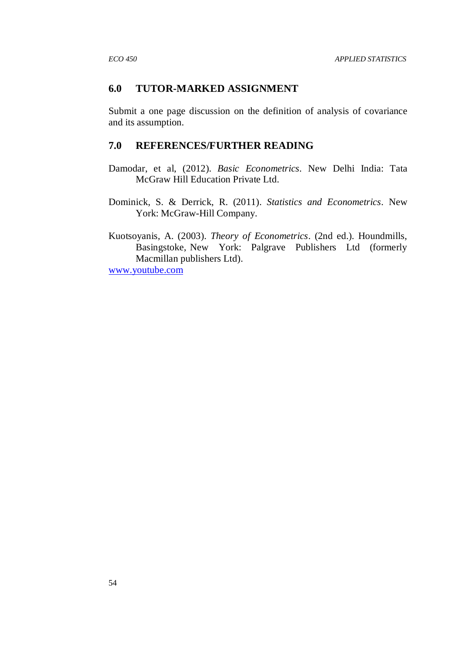## **6.0 TUTOR-MARKED ASSIGNMENT**

Submit a one page discussion on the definition of analysis of covariance and its assumption.

# **7.0 REFERENCES/FURTHER READING**

- Damodar, et al, (2012). *Basic Econometrics.* New Delhi India: Tata McGraw Hill Education Private Ltd.
- Dominick, S. & Derrick, R. (2011). *Statistics and Econometrics*. New York: McGraw-Hill Company.

Kuotsoyanis, A. (2003). *Theory of Econometrics*. (2nd ed.). Houndmills, Basingstoke, New York: Palgrave Publishers Ltd (formerly Macmillan publishers Ltd). www.youtube.com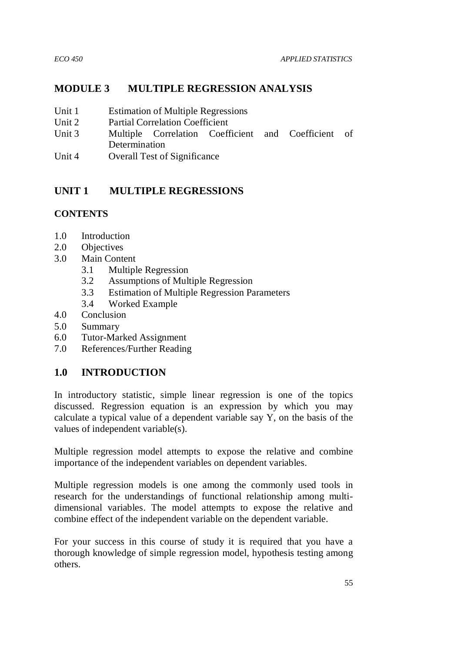# **MODULE 3 MULTIPLE REGRESSION ANALYSIS**

- Unit 1 Estimation of Multiple Regressions
- Unit 2 Partial Correlation Coefficient
- Unit 3 Multiple Correlation Coefficient and Coefficient of **Determination**
- Unit 4 Overall Test of Significance

# **UNIT 1 MULTIPLE REGRESSIONS**

# **CONTENTS**

- 1.0 Introduction
- 2.0 Objectives
- 3.0 Main Content
	- 3.1 Multiple Regression
	- 3.2 Assumptions of Multiple Regression
	- 3.3 Estimation of Multiple Regression Parameters
	- 3.4 Worked Example
- 4.0 Conclusion
- 5.0 Summary
- 6.0 Tutor-Marked Assignment
- 7.0 References/Further Reading

# **1.0 INTRODUCTION**

In introductory statistic, simple linear regression is one of the topics discussed. Regression equation is an expression by which you may calculate a typical value of a dependent variable say Y, on the basis of the values of independent variable(s).

Multiple regression model attempts to expose the relative and combine importance of the independent variables on dependent variables.

Multiple regression models is one among the commonly used tools in research for the understandings of functional relationship among multidimensional variables. The model attempts to expose the relative and combine effect of the independent variable on the dependent variable.

For your success in this course of study it is required that you have a thorough knowledge of simple regression model, hypothesis testing among others.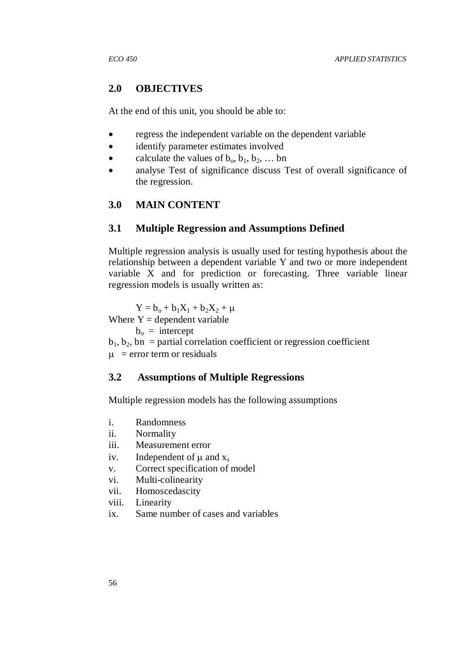# **2.0 OBJECTIVES**

At the end of this unit, you should be able to:

- regress the independent variable on the dependent variable
- identify parameter estimates involved
- calculate the values of  $b_0, b_1, b_2, ...$  bn
- analyse Test of significance discuss Test of overall significance of the regression.

# **3.0 MAIN CONTENT**

# **3.1 Multiple Regression and Assumptions Defined**

Multiple regression analysis is usually used for testing hypothesis about the relationship between a dependent variable Y and two or more independent variable X and for prediction or forecasting. Three variable linear regression models is usually written as:

 $Y = b_0 + b_1X_1 + b_2X_2 + \mu$ 

Where  $Y =$  dependent variable

 $b_0$  = intercept

 $b_1, b_2, b_n$  = partial correlation coefficient or regression coefficient

 $\mu$  = error term or residuals

# **3.2 Assumptions of Multiple Regressions**

Multiple regression models has the following assumptions

- i. Randomness
- ii. Normality
- iii. Measurement error
- iv. Independent of  $\mu$  and  $x_s$
- v. Correct specification of model
- vi. Multi-colinearity
- vii. Homoscedascity
- viii. Linearity
- ix. Same number of cases and variables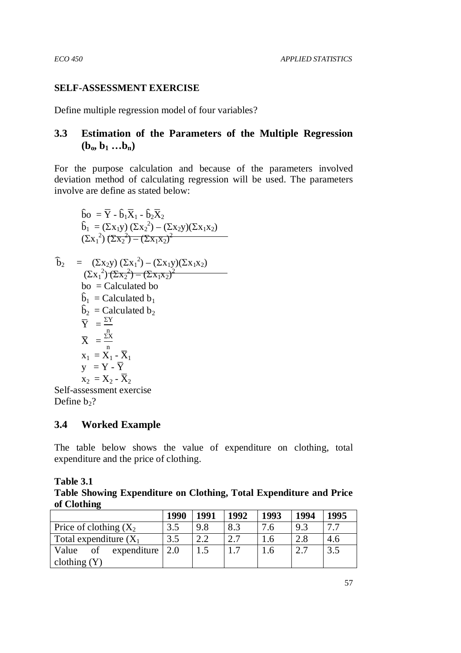# **SELF-ASSESSMENT EXERCISE**

Define multiple regression model of four variables?

# **3.3 Estimation of the Parameters of the Multiple Regression**   $(\mathbf{b}_0, \mathbf{b}_1 \dots \mathbf{b}_n)$

For the purpose calculation and because of the parameters involved deviation method of calculating regression will be used. The parameters involve are define as stated below:

$$
\hat{b}_0 = \overline{Y} - \hat{b}_1 \overline{X}_1 - \hat{b}_2 \overline{X}_2
$$
\n
$$
\hat{b}_1 = (\Sigma x_1 y) (\Sigma x_2^2) - (\Sigma x_2 y) (\Sigma x_1 x_2)
$$
\n
$$
(\Sigma x_1^2) (\Sigma x_2^2) - (\Sigma x_1 x_2^2)
$$
\n
$$
\hat{b}_2 = (\Sigma x_2 y) (\Sigma x_1^2) - (\Sigma x_1 y) (\Sigma x_1 x_2)
$$
\n
$$
(\Sigma x_1^2) (\Sigma x_2^2) - (\Sigma x_1 x_2^2)
$$
\n
$$
b_0 = \text{Calculated to}
$$
\n
$$
\hat{b}_1 = \text{Calculated to}
$$
\n
$$
\hat{b}_1 = \text{Calculated to}
$$
\n
$$
\overline{Y} = \frac{\Sigma Y}{n}
$$
\n
$$
\overline{X} = \frac{\Sigma X}{n}
$$
\n
$$
x_1 = X_1 - \overline{X}_1
$$
\n
$$
y = Y - \overline{Y}
$$
\n
$$
x_2 = X_2 - \overline{X}_2
$$

Self-assessment exercise Define  $b_2$ ?

# **3.4 Worked Example**

The table below shows the value of expenditure on clothing, total expenditure and the price of clothing.

**Table 3.1** 

**Table Showing Expenditure on Clothing, Total Expenditure and Price of Clothing** 

|                                             | 1990 | 1991 | 1992 | 1993          | 1994 | 1995 |
|---------------------------------------------|------|------|------|---------------|------|------|
| Price of clothing $(X_2)$                   | 3.5  | 9.8  | 8.3  | 7.6           | 9.3  | 77   |
| Total expenditure $(X_1)$                   | 3.5  | 2.2  | 2.7  | $1.6^{\circ}$ | 2.8  | 4.6  |
| of expenditure $\vert 2.0 \rangle$<br>Value |      | 1.5  | 1.7  | 1.6           | 2.7  | 3.5  |
| clothing $(Y)$                              |      |      |      |               |      |      |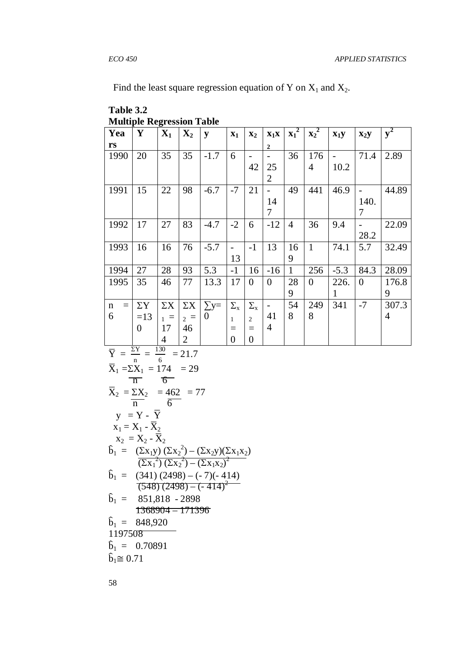Find the least square regression equation of Y on  $X_1$  and  $X_2$ .

| Table 3.2                        |
|----------------------------------|
| <b>Multiple Regression Table</b> |

| Yea                | Y              | $\mathbf{X}_1$ | $\mathbf{X}_2$ | y         | $X_1$            | $\mathbf{x}_2$   | $X_1X$                   | $x_1^2$        | $\mathbf{x_2}^2$ | $x_1y$ | $\mathbf{X}_2\mathbf{y}$ | $y^2$          |
|--------------------|----------------|----------------|----------------|-----------|------------------|------------------|--------------------------|----------------|------------------|--------|--------------------------|----------------|
| rs                 |                |                |                |           |                  |                  | $\mathbf{2}$             |                |                  |        |                          |                |
| 1990               | 20             | 35             | 35             | $-1.7$    | 6                |                  | -                        | 36             | 176              |        | 71.4                     | 2.89           |
|                    |                |                |                |           |                  | 42               | 25                       |                | $\overline{4}$   | 10.2   |                          |                |
|                    |                |                |                |           |                  |                  | $\overline{2}$           |                |                  |        |                          |                |
| 1991               | 15             | 22             | 98             | $-6.7$    | $-7$             | 21               |                          | 49             | 441              | 46.9   |                          | 44.89          |
|                    |                |                |                |           |                  |                  | 14                       |                |                  |        | 140.                     |                |
|                    |                |                |                |           |                  |                  | 7                        |                |                  |        | 7                        |                |
| 1992               | 17             | 27             | 83             | $-4.7$    | $-2$             | 6                | $-12$                    | $\overline{4}$ | 36               | 9.4    | -                        | 22.09          |
|                    |                |                |                |           |                  |                  |                          |                |                  |        | 28.2                     |                |
| 1993               | 16             | 16             | 76             | $-5.7$    |                  | $-1$             | 13                       | 16             | $\mathbf{1}$     | 74.1   | 5.7                      | 32.49          |
|                    |                |                |                |           | 13               |                  |                          | 9              |                  |        |                          |                |
| 1994               | 27             | 28             | 93             | 5.3       | $-1$             | 16               | $-16$                    | $\mathbf{1}$   | 256              | $-5.3$ | 84.3                     | 28.09          |
| 1995               | 35             | 46             | 77             | 13.3      | 17               | $\theta$         | $\overline{0}$           | 28             | $\overline{0}$   | 226.   | $\overline{0}$           | 176.8          |
|                    |                |                |                |           |                  |                  |                          | 9              |                  | 1      |                          | 9              |
| $\mathbf n$<br>$=$ | $\Sigma$ Y     | $\Sigma X$     | $\Sigma X$     | $\sum y=$ | $\Sigma_{\rm x}$ | $\Sigma_{\rm x}$ | $\overline{\phantom{a}}$ | 54             | 249              | 341    | $-7$                     | 307.3          |
| 6                  | $=13$          | $1 =$          | $2 =$          | $\Omega$  | $\mathbf{1}$     | $\overline{2}$   | 41                       | 8              | 8                |        |                          | $\overline{4}$ |
|                    | $\overline{0}$ | 17             | 46             |           | $=$              | $=$              | 4                        |                |                  |        |                          |                |
|                    | $\overline{ }$ | 4              | $\overline{2}$ |           | $\overline{0}$   | $\overline{0}$   |                          |                |                  |        |                          |                |

$$
\overline{Y} = \frac{\Sigma Y}{n} = \frac{130}{6} = 21.7
$$
\n
$$
\overline{X}_1 = \Sigma X_1 = 174 = 29
$$
\n
$$
\overline{X}_2 = \frac{\Sigma X_2}{n} = \frac{462}{6} = 77
$$
\n
$$
y = Y - \overline{Y}
$$
\n
$$
x_1 = X_1 - \overline{X}_2
$$
\n
$$
x_2 = X_2 - \overline{X}_2
$$
\n
$$
\hat{b}_1 = \frac{(\Sigma x_1 y) (\Sigma x_2^2) - (\Sigma x_2 y) (\Sigma x_1 x_2)}{(\Sigma x_1^2) (\Sigma x_2^2) - (\Sigma x_1 x_2)^2}
$$
\n
$$
\hat{b}_1 = \frac{(341) (2498) - (-7)(-414)}{(548) (2498) - (-7)(-414)^2}
$$
\n
$$
\hat{b}_1 = 851,818 - 2898
$$
\n
$$
\overline{1368904} = 171396
$$
\n
$$
\hat{b}_1 = 848,920
$$
\n
$$
1197508
$$
\n
$$
\hat{b}_1 = 0.70891
$$
\n
$$
\hat{b}_1 \cong 0.71
$$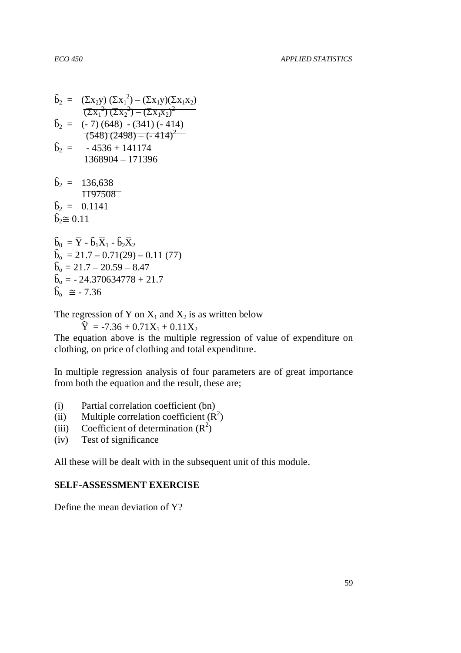$$
\hat{b}_2 = (\Sigma x_2 y) (\Sigma x_1^2) - (\Sigma x_1 y)(\Sigma x_1 x_2)
$$
\n
$$
\overline{(\Sigma x_1^2)} (\Sigma x_2^2) - (\Sigma x_1 x_2)^2
$$
\n
$$
\hat{b}_2 = (-7) (648) - (341) (-414)
$$
\n
$$
\overline{(548)} (2498) - (-414)^2
$$
\n
$$
\hat{b}_2 = -4536 + 141174
$$
\n
$$
\overline{1368904} - \overline{171396}
$$
\n
$$
\hat{b}_2 = 136,638
$$
\n
$$
\overline{1197508}
$$
\n
$$
\hat{b}_2 = 0.1141
$$
\n
$$
\hat{b}_2 \cong 0.11
$$
\n
$$
\hat{b}_0 = \overline{Y} - \hat{b}_1 \overline{X}_1 - \hat{b}_2 \overline{X}_2
$$
\n
$$
\hat{b}_0 = 21.7 - 0.71(29) - 0.11 (77)
$$
\n
$$
\hat{b}_0 = 21.7 - 20.59 - 8.47
$$
\n
$$
\hat{b}_0 = -24.370634778 + 21.7
$$

$$
\hat{b}_{o} = -24.37063477
$$
  

$$
\hat{b}_{o} \cong -7.36
$$

The regression of Y on  $X_1$  and  $X_2$  is as written below

 $\hat{Y} = -7.36 + 0.71X_1 + 0.11X_2$ 

The equation above is the multiple regression of value of expenditure on clothing, on price of clothing and total expenditure.

In multiple regression analysis of four parameters are of great importance from both the equation and the result, these are;

- (i) Partial correlation coefficient (bn)
- (ii) Multiple correlation coefficient  $(R^2)$
- (iii) Coefficient of determination  $(R^2)$
- (iv) Test of significance

All these will be dealt with in the subsequent unit of this module.

#### **SELF-ASSESSMENT EXERCISE**

Define the mean deviation of Y?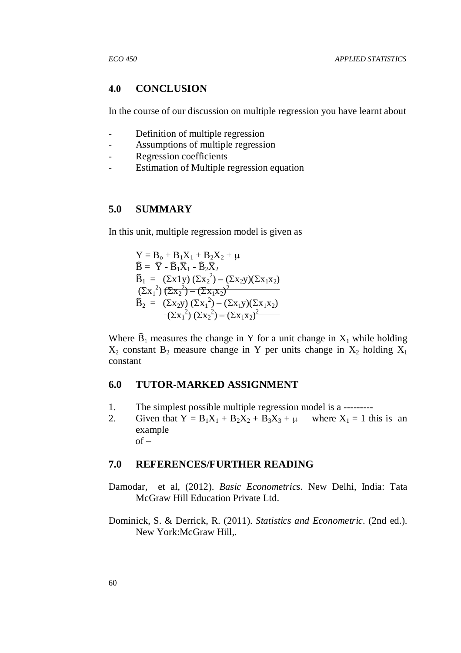#### **4.0 CONCLUSION**

In the course of our discussion on multiple regression you have learnt about

- Definition of multiple regression
- Assumptions of multiple regression
- Regression coefficients
- Estimation of Multiple regression equation

### **5.0 SUMMARY**

In this unit, multiple regression model is given as

 $Y = B_0 + B_1X_1 + B_2X_2 + \mu$  $\widehat{\mathbf{B}} = \overline{\mathbf{Y}} - \widehat{\mathbf{B}}_1 \overline{\mathbf{X}}_1 - \widehat{\mathbf{B}}_2 \overline{\mathbf{X}}_2$  $\widehat{B}_1 = (\Sigma x 1y) (\Sigma x_2^2) - (\Sigma x_2y)(\Sigma x_1x_2)$  $(\Sigma x_1^2)(\Sigma x_2^2) - (\Sigma x_1 x_2)^2$  $\widehat{B}_2 = (\Sigma x_2 y) (\Sigma x_1^2) - (\Sigma x_1 y) (\Sigma x_1 x_2)$  $(\Sigma x_1^2)(\Sigma x_2^2) - (\Sigma x_1 x_2)^2$ 

Where  $\widehat{B}_1$  measures the change in Y for a unit change in  $X_1$  while holding  $X_2$  constant  $B_2$  measure change in Y per units change in  $X_2$  holding  $X_1$ constant

#### **6.0 TUTOR-MARKED ASSIGNMENT**

- 1. The simplest possible multiple regression model is a ---------
- 2. Given that  $Y = B_1X_1 + B_2X_2 + B_3X_3 + \mu$  where  $X_1 = 1$  this is an example  $of -$

#### **7.0 REFERENCES/FURTHER READING**

- Damodar, et al, (2012). *Basic Econometrics.* New Delhi, India: Tata McGraw Hill Education Private Ltd.
- Dominick, S. & Derrick, R. (2011). *Statistics and Econometric.* (2nd ed.). New York:McGraw Hill,.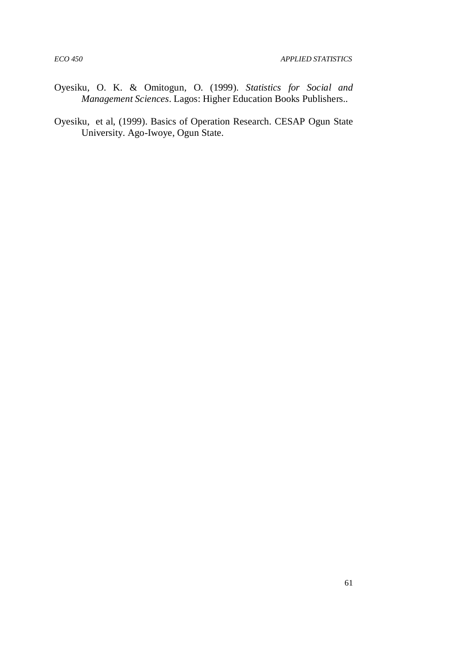- Oyesiku, O. K. & Omitogun, O. (1999). *Statistics for Social and Management Sciences*. Lagos: Higher Education Books Publishers..
- Oyesiku, et al, (1999). Basics of Operation Research. CESAP Ogun State University. Ago-Iwoye, Ogun State.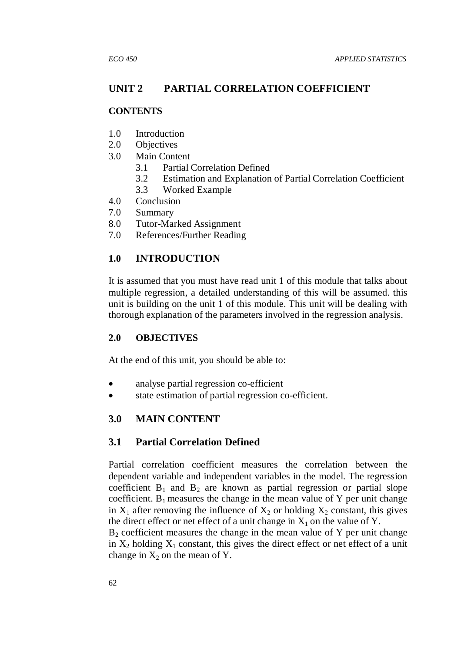# **UNIT 2 PARTIAL CORRELATION COEFFICIENT**

## **CONTENTS**

- 1.0 Introduction
- 2.0 Objectives
- 3.0 Main Content
	- 3.1 Partial Correlation Defined
	- 3.2 Estimation and Explanation of Partial Correlation Coefficient
	- 3.3 Worked Example
- 4.0 Conclusion
- 7.0 Summary
- 8.0 Tutor-Marked Assignment
- 7.0 References/Further Reading

# **1.0 INTRODUCTION**

It is assumed that you must have read unit 1 of this module that talks about multiple regression, a detailed understanding of this will be assumed. this unit is building on the unit 1 of this module. This unit will be dealing with thorough explanation of the parameters involved in the regression analysis.

# **2.0 OBJECTIVES**

At the end of this unit, you should be able to:

- analyse partial regression co-efficient
- state estimation of partial regression co-efficient.

# **3.0 MAIN CONTENT**

# **3.1 Partial Correlation Defined**

Partial correlation coefficient measures the correlation between the dependent variable and independent variables in the model. The regression coefficient  $B_1$  and  $B_2$  are known as partial regression or partial slope coefficient.  $B_1$  measures the change in the mean value of Y per unit change in  $X_1$  after removing the influence of  $X_2$  or holding  $X_2$  constant, this gives the direct effect or net effect of a unit change in  $X_1$  on the value of Y.

 $B<sub>2</sub>$  coefficient measures the change in the mean value of Y per unit change in  $X_2$  holding  $X_1$  constant, this gives the direct effect or net effect of a unit change in  $X_2$  on the mean of Y.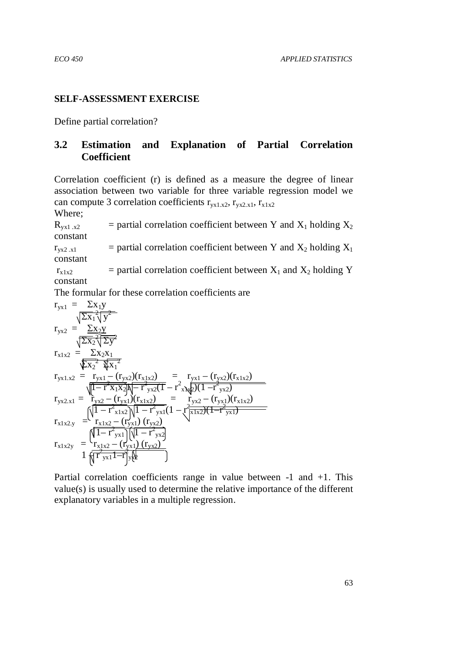## **SELF-ASSESSMENT EXERCISE**

Define partial correlation?

# **3.2 Estimation and Explanation of Partial Correlation Coefficient**

Correlation coefficient (r) is defined as a measure the degree of linear association between two variable for three variable regression model we can compute 3 correlation coefficients  $r_{yx1.x2}, r_{yx2.x1}, r_{x1x2}$ Where;

 $R_{vx1.x2}$  = partial correlation coefficient between Y and X<sub>1</sub> holding X<sub>2</sub> constant

 $r_{vx2.x1}$  = partial correlation coefficient between Y and  $X_2$  holding  $X_1$ constant

 $r_{x1x2}$  = partial correlation coefficient between  $X_1$  and  $X_2$  holding Y constant

The formular for these correlation coefficients are

$$
r_{yx1} = \sum x_1 y
$$
  
\n
$$
r_{yx2} = \sum x_2 y
$$
  
\n
$$
r_{x1x2} = \sum x_2 x_1
$$
  
\n
$$
r_{yx1.x2} = r_{yx1} - (r_{yx2})(r_{x1x2}) = r_{yx1} - (r_{yx2})(r_{x1x2})
$$
  
\n
$$
r_{yx1.x2} = r_{yx1} - (r_{yx2})(r_{x1x2}) = r_{yx2} - (r_{yx1})(r_{x1x2})
$$
  
\n
$$
r_{yx2.x1} = r_{yx2} - (r_{yx1})(r_{x1x2}) = r_{yx2} - (r_{yx1})(r_{x1x2})
$$
  
\n
$$
r_{x1x2.y} = \frac{r_{x1x2} - (r_{yx1})(r_{yx2})}{r_{x1x2} - (r_{yx1})(r_{yx2})}
$$
  
\n
$$
r_{x1x2y} = \frac{\sqrt{1 - r_{yx1}^2} \sqrt{1 - r_{yx2}^2}}{r_{x1x2} - (r_{yx1})(r_{yx2})}
$$

Partial correlation coefficients range in value between -1 and +1. This value(s) is usually used to determine the relative importance of the different explanatory variables in a multiple regression.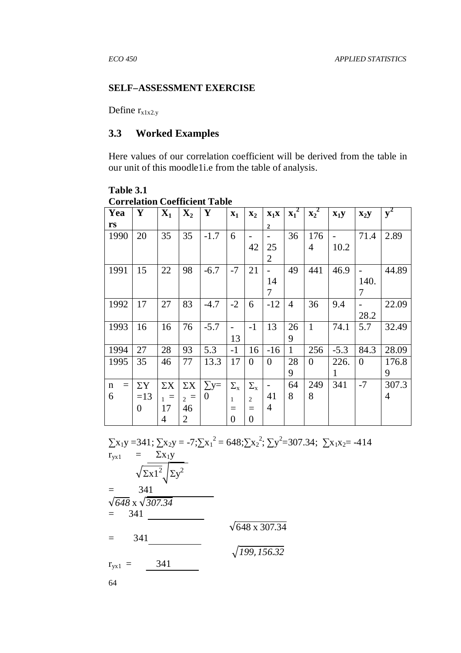#### **SELF–ASSESSMENT EXERCISE**

Define  $r_{x1x2,y}$ 

### **3.3 Worked Examples**

Here values of our correlation coefficient will be derived from the table in our unit of this moodle1i.e from the table of analysis.

**Table 3.1 Correlation Coefficient Table** 

| Yea                | Y              | $\mathbf{X}_1$ | $\mathbf{X}_2$ | Y              | $\mathbf{x}_1$   | $\mathbf{x}_2$   | $X_1X$                   | $\mathbf{x_1}^2$ | $\mathbf{x_2}^2$ | $X_1Y$ | $X_2Y$   | ${\bf y}^2$ |
|--------------------|----------------|----------------|----------------|----------------|------------------|------------------|--------------------------|------------------|------------------|--------|----------|-------------|
| rs                 |                |                |                |                |                  |                  | $\overline{2}$           |                  |                  |        |          |             |
| 1990               | 20             | 35             | 35             | $-1.7$         | 6                |                  |                          | 36               | 176              |        | 71.4     | 2.89        |
|                    |                |                |                |                |                  | 42               | 25                       |                  | $\overline{4}$   | 10.2   |          |             |
|                    |                |                |                |                |                  |                  | $\overline{2}$           |                  |                  |        |          |             |
| 1991               | 15             | 22             | 98             | $-6.7$         | $-7$             | 21               | $\overline{\phantom{0}}$ | 49               | 441              | 46.9   |          | 44.89       |
|                    |                |                |                |                |                  |                  | 14                       |                  |                  |        | 140.     |             |
|                    |                |                |                |                |                  |                  | 7                        |                  |                  |        | 7        |             |
| 1992               | 17             | 27             | 83             | $-4.7$         | $-2$             | 6                | $-12$                    | $\overline{4}$   | 36               | 9.4    |          | 22.09       |
|                    |                |                |                |                |                  |                  |                          |                  |                  |        | 28.2     |             |
| 1993               | 16             | 16             | 76             | $-5.7$         |                  | $-1$             | 13                       | 26               | $\mathbf{1}$     | 74.1   | 5.7      | 32.49       |
|                    |                |                |                |                | 13               |                  |                          | 9                |                  |        |          |             |
| 1994               | 27             | 28             | 93             | 5.3            | $-1$             | 16               | $-16$                    | $\mathbf{1}$     | 256              | $-5.3$ | 84.3     | 28.09       |
| 1995               | 35             | 46             | 77             | 13.3           | 17               | $\overline{0}$   | $\overline{0}$           | 28               | $\overline{0}$   | 226.   | $\theta$ | 176.8       |
|                    |                |                |                |                |                  |                  |                          | 9                |                  | 1      |          | 9           |
| $\mathbf n$<br>$=$ | $\Sigma$ Y     | $\Sigma X$     | $\Sigma X$     | $\sum y =$     | $\Sigma_{\rm x}$ | $\Sigma_{\rm x}$ | $\overline{\phantom{a}}$ | 64               | 249              | 341    | $-7$     | 307.3       |
| 6                  | $=13$          | $1 =$          | $2 =$          | $\overline{0}$ | $\mathbf{1}$     | $\overline{2}$   | 41                       | 8                | 8                |        |          | 4           |
|                    | $\overline{0}$ | 17             | 46             |                | $=$              | $=$              | 4                        |                  |                  |        |          |             |
|                    |                | $\overline{4}$ | $\overline{2}$ |                | $\overline{0}$   | $\overline{0}$   |                          |                  |                  |        |          |             |

 $\sum x_1 y = 341$ ;  $\sum x_2 y = -7$ ; $\sum x_1^2 = 648$ ; $\sum x_2^2$ ;  $\sum y^2 = 307.34$ ;  $\sum x_1 x_2 = -414$  $r_{yx1}$  =  $\Sigma x_1 y$  $\sqrt{\sum x^2}$   $\sum y^2$  $=$  341 √*648* x √*307*.*34*  $= 341$  $\sqrt{648 \times 307.34}$ = 341 *199*, *156*.*32*  $r_{yx1} = 341$ 

64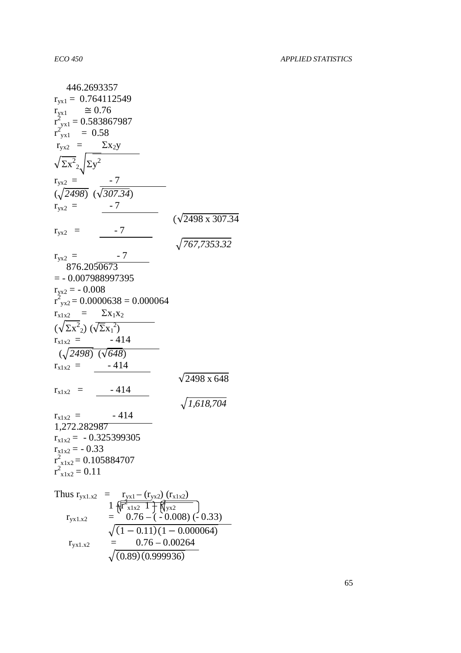| 446.2693357                                                                                      |
|--------------------------------------------------------------------------------------------------|
| $r_{yx1} = 0.764112549$                                                                          |
| $\approx 0.76$<br>$r_{yx1}$                                                                      |
| $r_{\text{y}x1}^2 = 0.583867987$                                                                 |
| $r_{\text{y}x1}^2 = 0.58$                                                                        |
| $r_{yx2}$ = $\Sigma x_2y$                                                                        |
| $\sqrt{\Sigma x^2}_{2}$ $\Sigma y^2$                                                             |
| $r_{yx2} = -7$<br>( $\sqrt{2498}$ ) ( $\sqrt{307.34}$ )                                          |
|                                                                                                  |
| $-7$<br>$r_{yx2}$ =                                                                              |
| $(\sqrt{2498} \times 307.34$                                                                     |
| $r_{yx2}$ =<br>$\sqrt{767,7353.32}$                                                              |
|                                                                                                  |
| $r_{yx2}$ =<br>876.2050673                                                                       |
| $=$ - 0.007988997395                                                                             |
|                                                                                                  |
| $r_{yx2} = -0.008$<br>$r_{\text{vx2}}^2$ = 0.0000638 = 0.000064                                  |
| $\Sigma$ x <sub>1</sub> x <sub>2</sub>                                                           |
| $r_{x1x2}$ =                                                                                     |
| $(\sqrt{\Sigma x^2}) (\sqrt{\Sigma x_1^2})$                                                      |
| $-414$<br>$r_{x1x2}$ =                                                                           |
| $(\sqrt{2498}) \ (\sqrt{648})$                                                                   |
| $-414$<br>$r_{x1x2}$ =                                                                           |
| $\sqrt{2498}$ x 648                                                                              |
| - 414<br>$r_{x1x2}$<br>= 1                                                                       |
| 1,618,704                                                                                        |
| - 414<br>$r_{x1x2}$ =                                                                            |
| 1,272.282987                                                                                     |
| $r_{x1x2} = -0.325399305$                                                                        |
| $r_{x1x2} = -0.33$                                                                               |
| $r_{x1x2}^2$ = 0.105884707                                                                       |
| $r_{x1x2}^2 = 0.11$                                                                              |
|                                                                                                  |
|                                                                                                  |
| Thus $r_{yx1.x2}$ = $r_{yx1} - (r_{yx2}) (r_{x1x2})$<br>$I_{yx1.x2}$ = $0.76 - (-0.008) (-0.33)$ |
| $\sqrt{(1-0.11)(1-0.000064)}$                                                                    |
|                                                                                                  |

 $r_{\text{y}x1.x2}$  = 0.76 – 0.00264

 $\sqrt{(0.89)(0.999936)}$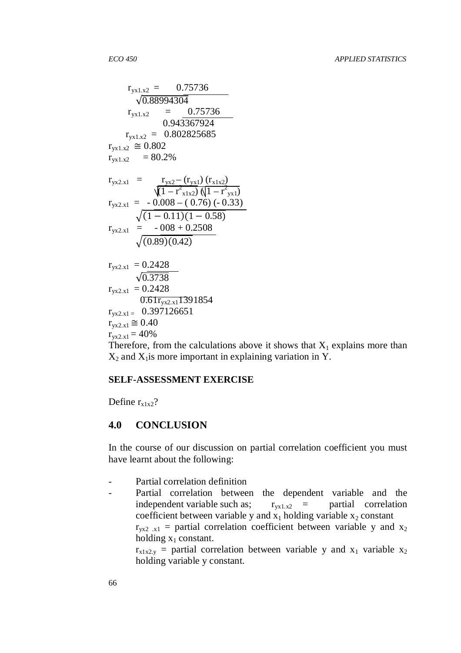$$
r_{yx1.x2} = 0.75736
$$
\n
$$
\sqrt{0.88994304}
$$
\n
$$
r_{yx1.x2} = 0.75736
$$
\n
$$
0.943367924
$$
\n
$$
r_{yx1.x2} = 0.802825685
$$
\n
$$
r_{yx1.x2} = 0.802
$$
\n
$$
r_{yx1.x2} = 80.2\%
$$
\n
$$
r_{yx2.x1} = r_{yx2} - (r_{yx1}) (r_{x1x2})
$$
\n
$$
\sqrt{1 - r^2 x_{1x2}} (\sqrt{1 - r^2 x_{1x1}})
$$
\n
$$
r_{yx2.x1} = -0.008 - (0.76) (-0.33)
$$
\n
$$
\sqrt{(1 - 0.11)(1 - 0.58)}
$$
\n
$$
r_{yx2.x1} = -008 + 0.2508
$$
\n
$$
\sqrt{(0.89)(0.42)}
$$
\n
$$
r_{yx2.x1} = 0.2428
$$
\n
$$
\sqrt{0.3738}
$$
\n
$$
r_{yx2.x1} = 0.2428
$$
\n
$$
\sqrt{0.61r_{yx2.x1}1391854}
$$
\n
$$
r_{yx2.x1} = 0.397126651
$$
\n
$$
r_{yx2.x1} = 40\%
$$
\nTherefore, from the calculations, all

Therefore, from the calculations above it shows that  $X_1$  explains more than  $X_2$  and  $X_1$  is more important in explaining variation in Y.

#### **SELF-ASSESSMENT EXERCISE**

Define  $r_{x1x2}$ ?

#### **4.0 CONCLUSION**

In the course of our discussion on partial correlation coefficient you must have learnt about the following:

- Partial correlation definition
- Partial correlation between the dependent variable and the independent variable such as;  $r_{vx1.x2}$  = partial correlation coefficient between variable y and  $x_1$  holding variable  $x_2$  constant  $r_{vx2.x1}$  = partial correlation coefficient between variable y and  $x_2$

holding  $x_1$  constant.  $r_{x1x2,y}$  = partial correlation between variable y and  $x_1$  variable  $x_2$ holding variable y constant.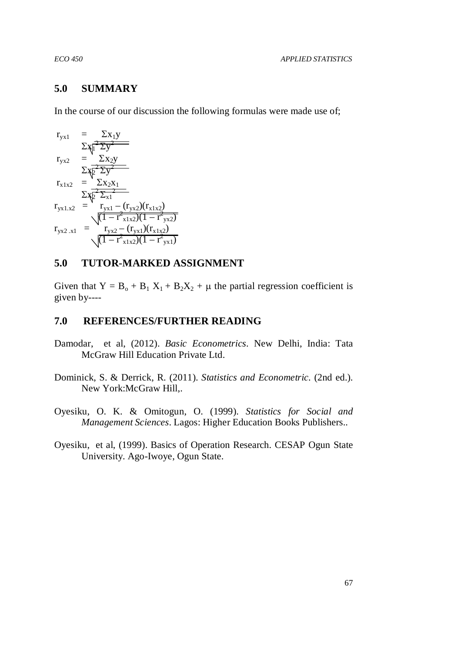### **5.0 SUMMARY**

In the course of our discussion the following formulas were made use of;

$$
r_{yx1} = \Sigma x_1 y
$$
  
\n
$$
\Sigma x_1^2 \overline{\Sigma y^2}
$$
  
\n
$$
r_{yx2} = \Sigma x_2 y
$$
  
\n
$$
\Sigma x_2^2 \overline{\Sigma y^2}
$$
  
\n
$$
r_{x1x2} = \Sigma x_2 x_1
$$
  
\n
$$
\Sigma x_2^2 \overline{\Sigma x_1}
$$
  
\n
$$
r_{yx1.x2} = r_{yx1} - (r_{yx2})(r_{x1x2})
$$
  
\n
$$
r_{yx2.x1} = r_{yx2} - (r_{yx1})(r_{x1x2})
$$
  
\n
$$
\sqrt{(1 - r_{x1x2}^2)(1 - r_{yx1}^2)}
$$

## **5.0 TUTOR-MARKED ASSIGNMENT**

Given that  $Y = B_0 + B_1 X_1 + B_2 X_2 + \mu$  the partial regression coefficient is given by----

#### **7.0 REFERENCES/FURTHER READING**

- Damodar, et al, (2012). *Basic Econometrics.* New Delhi, India: Tata McGraw Hill Education Private Ltd.
- Dominick, S. & Derrick, R. (2011). *Statistics and Econometric.* (2nd ed.). New York:McGraw Hill,.
- Oyesiku, O. K. & Omitogun, O. (1999). *Statistics for Social and Management Sciences*. Lagos: Higher Education Books Publishers..
- Oyesiku, et al, (1999). Basics of Operation Research. CESAP Ogun State University. Ago-Iwoye, Ogun State.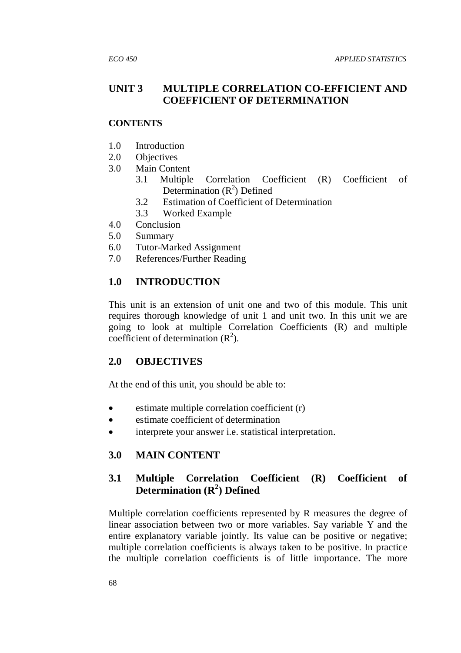# **UNIT 3 MULTIPLE CORRELATION CO-EFFICIENT AND COEFFICIENT OF DETERMINATION**

## **CONTENTS**

- 1.0 Introduction
- 2.0 Objectives
- 3.0 Main Content
	- 3.1 Multiple Correlation Coefficient (R) Coefficient of Determination  $(R^2)$  Defined
	- 3.2 Estimation of Coefficient of Determination
	- 3.3 Worked Example
- 4.0 Conclusion
- 5.0 Summary
- 6.0 Tutor-Marked Assignment
- 7.0 References/Further Reading

# **1.0 INTRODUCTION**

This unit is an extension of unit one and two of this module. This unit requires thorough knowledge of unit 1 and unit two. In this unit we are going to look at multiple Correlation Coefficients (R) and multiple coefficient of determination  $(R^2)$ .

# **2.0 OBJECTIVES**

At the end of this unit, you should be able to:

- estimate multiple correlation coefficient (r)
- estimate coefficient of determination
- interprete your answer i.e. statistical interpretation.

# **3.0 MAIN CONTENT**

# **3.1 Multiple Correlation Coefficient (R) Coefficient of Determination (R<sup>2</sup> ) Defined**

Multiple correlation coefficients represented by R measures the degree of linear association between two or more variables. Say variable Y and the entire explanatory variable jointly. Its value can be positive or negative; multiple correlation coefficients is always taken to be positive. In practice the multiple correlation coefficients is of little importance. The more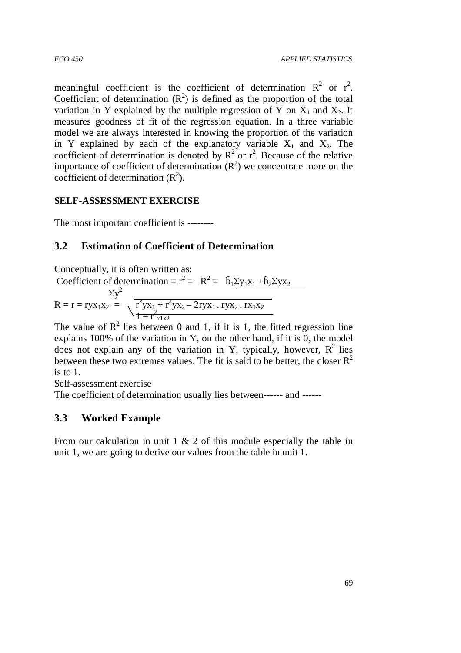meaningful coefficient is the coefficient of determination  $R^2$  or  $r^2$ . Coefficient of determination  $(R^2)$  is defined as the proportion of the total variation in Y explained by the multiple regression of Y on  $X_1$  and  $X_2$ . It measures goodness of fit of the regression equation. In a three variable model we are always interested in knowing the proportion of the variation in Y explained by each of the explanatory variable  $X_1$  and  $X_2$ . The coefficient of determination is denoted by  $R^2$  or  $r^2$ . Because of the relative importance of coefficient of determination  $(R^2)$  we concentrate more on the coefficient of determination  $(R^2)$ .

# **SELF-ASSESSMENT EXERCISE**

The most important coefficient is --------

# **3.2 Estimation of Coefficient of Determination**

Conceptually, it is often written as:

Coefficient of determination = 
$$
r^2 = R^2 = \hat{b}_1 \Sigma y_1 x_1 + \hat{b}_2 \Sigma y x_2
$$
  
\n $\Sigma y^2$   
\n $R = r = r y x_1 x_2 = \sqrt{r^2 y x_1 + r^2 y x_2 - 2 r y x_1 \cdot r y x_2 \cdot r x_1 x_2}$ 

The value of R<sup>2</sup> lies between 0 and 1, if it is 1, the fitted regression line explains 100% of the variation in Y, on the other hand, if it is 0, the model does not explain any of the variation in Y. typically, however,  $R^2$  lies between these two extremes values. The fit is said to be better, the closer  $R^2$ is to 1.

Self-assessment exercise

The coefficient of determination usually lies between------ and ------

# **3.3 Worked Example**

From our calculation in unit  $1 \& 2$  of this module especially the table in unit 1, we are going to derive our values from the table in unit 1.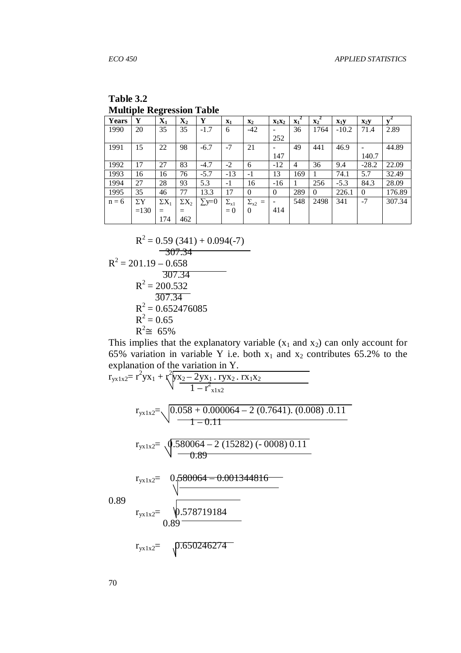| Table 3.2                        |
|----------------------------------|
| <b>Multiple Regression Table</b> |

| <b>Years</b> | Y          | $\mathbf{X}_1$ | $\mathbf{X}_2$ | Y            | $\mathbf{x}_1$ | $\mathbf{x}_2$      | $X_1X_2$ | 2<br>$X_1$     | $\overline{x_2}^2$ | $X_1Y$  | $X_2Y$   |        |
|--------------|------------|----------------|----------------|--------------|----------------|---------------------|----------|----------------|--------------------|---------|----------|--------|
| 1990         | 20         | 35             | 35             | $-1.7$       | 6              | $-42$               |          | 36             | 1764               | $-10.2$ | 71.4     | 2.89   |
|              |            |                |                |              |                |                     | 252      |                |                    |         |          |        |
| 1991         | 15         | 22             | 98             | $-6.7$       | $-7$           | 21                  |          | 49             | 441                | 46.9    |          | 44.89  |
|              |            |                |                |              |                |                     | 147      |                |                    |         | 140.7    |        |
| 1992         | 17         | 27             | 83             | $-4.7$       | $-2$           | 6                   | $-12$    | $\overline{4}$ | 36                 | 9.4     | $-28.2$  | 22.09  |
| 1993         | 16         | 16             | 76             | $-5.7$       | $-13$          | $-1$                | 13       | 169            |                    | 74.1    | 5.7      | 32.49  |
| 1994         | 27         | 28             | 93             | 5.3          | $-1$           | 16                  | $-16$    |                | 256                | $-5.3$  | 84.3     | 28.09  |
| 1995         | 35         | 46             | 77             | 13.3         | 17             | 0                   | $\theta$ | 289            | $\Omega$           | 226.1   | $\Omega$ | 176.89 |
| $n = 6$      | $\Sigma$ Y | $\Sigma X_1$   | $\Sigma X_2$   | $\Sigma$ y=0 | $\Sigma_{x1}$  | $\Sigma_{\rm x2}$ = |          | 548            | 2498               | 341     | $-7$     | 307.34 |
|              | $=130$     | $=$            |                |              | $= 0$          | $\Omega$            | 414      |                |                    |         |          |        |
|              |            | 174            | 462            |              |                |                     |          |                |                    |         |          |        |

$$
R^{2} = 0.59 (341) + 0.094(-7)
$$
  
\n
$$
\overline{307.34}
$$
  
\n
$$
R^{2} = 201.19 - 0.658
$$
  
\n
$$
\overline{307.34}
$$
  
\n
$$
R^{2} = 200.532
$$
  
\n
$$
\overline{307.34}
$$
  
\n
$$
R^{2} = 0.652476085
$$
  
\n
$$
R^{2} = 0.65
$$
  
\n
$$
R^{2} \approx 65\%
$$

This implies that the explanatory variable  $(x_1$  and  $x_2)$  can only account for 65% variation in variable Y i.e. both  $x_1$  and  $x_2$  contributes 65.2% to the explanation of the variation in Y.

$$
r_{yx1x2} = r^{2}yx_{1} + r\sqrt[2]{\frac{yx_{2} - 2yx_{1} \cdot ryx_{2} \cdot rx_{1}x_{2}}{1 - r^{2}x_{1}x_{2}}}
$$
\n
$$
r_{yx1x2} = \sqrt{0.058 + 0.000064 - 2 (0.7641) \cdot (0.008) \cdot 0.11}
$$
\n
$$
r_{yx1x2} = \sqrt{0.580064 - 2 (15282) (-0008) \cdot 0.11}
$$
\n
$$
r_{yx1x2} = \sqrt{0.580064 - 0.001344816}
$$
\n
$$
r_{yx1x2} = \sqrt{0.578719184}
$$
\n
$$
r_{yx1x2} = \sqrt{0.650246274}
$$

70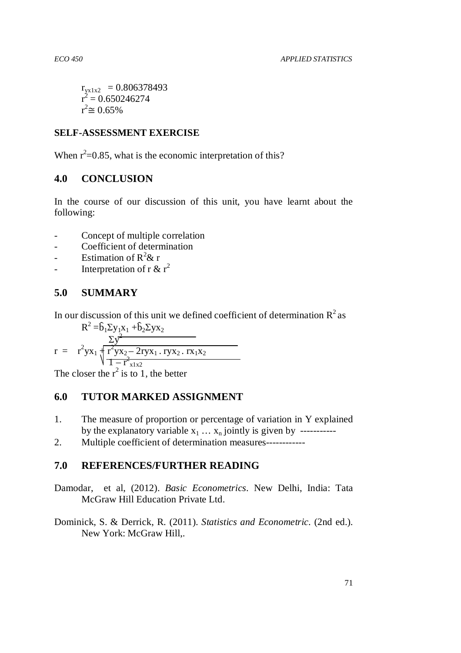```
r_{\text{yx1x2}} = 0.806378493r^2 = 0.650246274r^2 \approx 0.65\%
```
# **SELF-ASSESSMENT EXERCISE**

When  $r^2=0.85$ , what is the economic interpretation of this?

# **4.0 CONCLUSION**

In the course of our discussion of this unit, you have learnt about the following:

- Concept of multiple correlation
- Coefficient of determination
- Estimation of  $R^2 \& r$
- Interpretation of r &  $r^2$

# **5.0 SUMMARY**

In our discussion of this unit we defined coefficient of determination  $R^2$  as  $R^2 = \hat{b}_1 \Sigma y_1 x_1 + \hat{b}_2 \Sigma y_1 x_2$ 

$$
r = r^{2}yx_{1} + \frac{\sum y^{2}}{1 - r^{2}yx_{2} - 2ryx_{1}}. \frac{rxy_{2}}{1 - r^{2}x_{1}x_{2}}
$$

The closer the  $r^2$  is to 1, the better

# **6.0 TUTOR MARKED ASSIGNMENT**

- 1. The measure of proportion or percentage of variation in Y explained by the explanatory variable  $x_1 \ldots x_n$  jointly is given by -----------
- 2. Multiple coefficient of determination measures------------

# **7.0 REFERENCES/FURTHER READING**

Damodar, et al, (2012). *Basic Econometrics.* New Delhi, India: Tata McGraw Hill Education Private Ltd.

Dominick, S. & Derrick, R. (2011). *Statistics and Econometric.* (2nd ed.). New York: McGraw Hill,.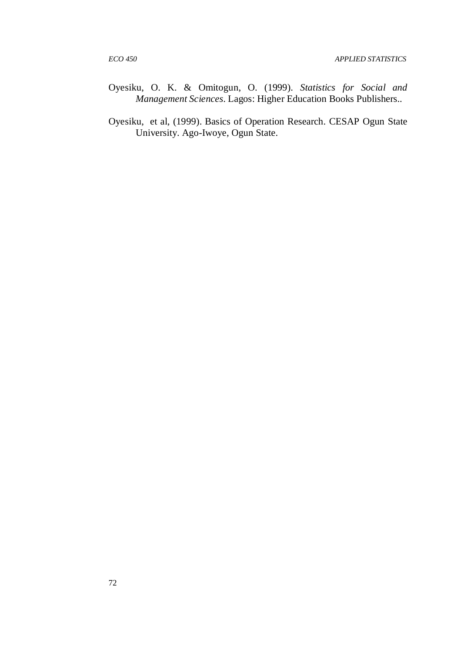- Oyesiku, O. K. & Omitogun, O. (1999). *Statistics for Social and Management Sciences*. Lagos: Higher Education Books Publishers..
- Oyesiku, et al, (1999). Basics of Operation Research. CESAP Ogun State University. Ago-Iwoye, Ogun State.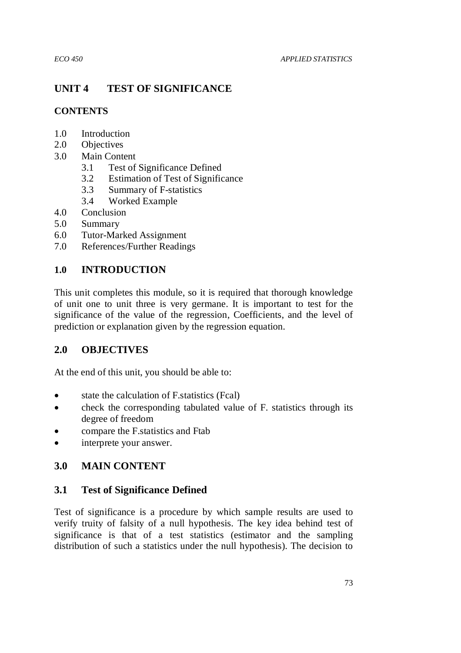# **UNIT 4 TEST OF SIGNIFICANCE**

# **CONTENTS**

- 1.0 Introduction
- 2.0 Objectives
- 3.0 Main Content
	- 3.1 Test of Significance Defined
	- 3.2 Estimation of Test of Significance
	- 3.3 Summary of F-statistics
	- 3.4 Worked Example
- 4.0 Conclusion
- 5.0 Summary
- 6.0 Tutor-Marked Assignment
- 7.0 References/Further Readings

# **1.0 INTRODUCTION**

This unit completes this module, so it is required that thorough knowledge of unit one to unit three is very germane. It is important to test for the significance of the value of the regression, Coefficients, and the level of prediction or explanation given by the regression equation.

# **2.0 OBJECTIVES**

At the end of this unit, you should be able to:

- state the calculation of F.statistics (Fcal)
- check the corresponding tabulated value of F. statistics through its degree of freedom
- compare the F.statistics and Ftab
- interprete your answer.

# **3.0 MAIN CONTENT**

# **3.1 Test of Significance Defined**

Test of significance is a procedure by which sample results are used to verify truity of falsity of a null hypothesis. The key idea behind test of significance is that of a test statistics (estimator and the sampling distribution of such a statistics under the null hypothesis). The decision to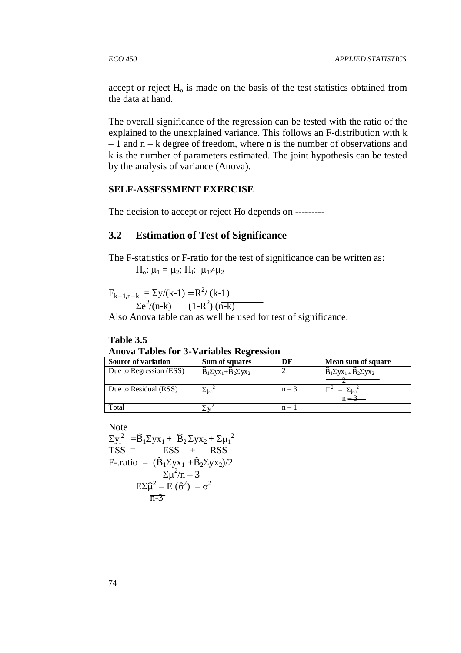accept or reject  $H<sub>o</sub>$  is made on the basis of the test statistics obtained from the data at hand.

The overall significance of the regression can be tested with the ratio of the explained to the unexplained variance. This follows an F-distribution with k – 1 and n – k degree of freedom, where n is the number of observations and k is the number of parameters estimated. The joint hypothesis can be tested by the analysis of variance (Anova).

## **SELF-ASSESSMENT EXERCISE**

The decision to accept or reject Ho depends on ---------

# **3.2 Estimation of Test of Significance**

The F-statistics or F-ratio for the test of significance can be written as:  $H_0: \mu_1 = \mu_2$ ;  $H_i: \mu_1 \neq \mu_2$ 

 $F_{k-1,n-k} = \Sigma y/(k-1) = R^2/(k-1)$  $\sum e^{2}/(n-k)$  (1-R<sup>2</sup>) (n-k)

Also Anova table can as well be used for test of significance.

#### **Table 3.5 Anova Tables for 3-Variables Regression**

| <b>Source of variation</b> | Sum of squares                                                                                                  | DF      | Mean sum of square                                        |
|----------------------------|-----------------------------------------------------------------------------------------------------------------|---------|-----------------------------------------------------------|
| Due to Regression (ESS)    | $\widehat{\mathbf{B}}_1 \Sigma \mathbf{y} \mathbf{x}_1 + \widehat{\mathbf{B}}_2 \Sigma \mathbf{y} \mathbf{x}_2$ |         | $\widehat{B}_1 \Sigma y x_1 + \widehat{B}_2 \Sigma y x_2$ |
| Due to Residual (RSS)      | $\Sigma \mu_i^2$                                                                                                | $n-3$   | $=\Sigma \mu_i^2$                                         |
| Total                      |                                                                                                                 | $n - 1$ |                                                           |

Note

$$
\Sigma y_i^2 = \hat{B}_1 \Sigma y x_1 + \hat{B}_2 \Sigma y x_2 + \Sigma \mu_1^2
$$
  
\nTSS = ESS + RSS  
\nF-ratio =  $(\hat{B}_1 \Sigma y x_1 + \hat{B}_2 \Sigma y x_2)/2$   
\n $\Sigma \mu^2/n - 3$   
\n $E \Sigma \hat{\mu}^2 = E(\hat{\sigma}^2) = \sigma^2$   
\n $\overline{n-3}$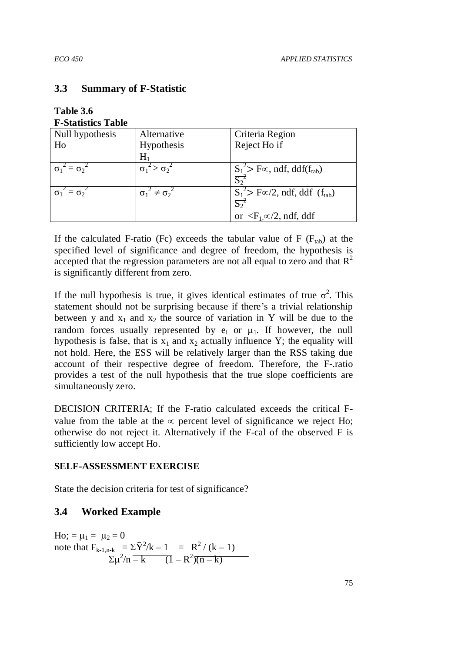## **3.3 Summary of F-Statistic**

| Table 3.6                 |  |
|---------------------------|--|
| <b>F-Statistics Table</b> |  |
|                           |  |

| Null hypothesis           | Alternative                  | Criteria Region                                   |
|---------------------------|------------------------------|---------------------------------------------------|
| Ho                        | Hypothesis                   | Reject Ho if                                      |
|                           | $\rm H_1$                    |                                                   |
| $\sigma_1^2 = \sigma_2^2$ | $\sigma_1^2 > \sigma_2^2$    | $S_1^2$ F $\propto$ , ndf, ddf(f <sub>tab</sub> ) |
|                           |                              | $S^2$                                             |
| $\sigma_1^2 = \sigma_2^2$ | $\sigma_1^2 \neq \sigma_2^2$ | $S_1^2$ F $\propto$ /2, ndf, ddf $(f_{tab})$      |
|                           |                              | $S_2^2$                                           |
|                           |                              | or $\langle F_1 \propto \rangle/2$ , ndf, ddf     |

If the calculated F-ratio (Fc) exceeds the tabular value of F ( $F_{tab}$ ) at the specified level of significance and degree of freedom, the hypothesis is accepted that the regression parameters are not all equal to zero and that  $R^2$ is significantly different from zero.

If the null hypothesis is true, it gives identical estimates of true  $\sigma^2$ . This statement should not be surprising because if there's a trivial relationship between y and  $x_1$  and  $x_2$  the source of variation in Y will be due to the random forces usually represented by  $e_i$  or  $\mu_1$ . If however, the null hypothesis is false, that is  $x_1$  and  $x_2$  actually influence Y; the equality will not hold. Here, the ESS will be relatively larger than the RSS taking due account of their respective degree of freedom. Therefore, the F-.ratio provides a test of the null hypothesis that the true slope coefficients are simultaneously zero.

DECISION CRITERIA; If the F-ratio calculated exceeds the critical Fvalue from the table at the  $\infty$  percent level of significance we reject Ho; otherwise do not reject it. Alternatively if the F-cal of the observed F is sufficiently low accept Ho.

## **SELF-ASSESSMENT EXERCISE**

State the decision criteria for test of significance?

# **3.4 Worked Example**

Ho; =  $\mu_1 = \mu_2 = 0$ note that  $F_{k-1,n-k} = \Sigma \hat{Y}^2 / k - 1 = R^2 / (k - 1)$  $\sum \mu^2/n = k$   $(1 - R^2)(n - k)$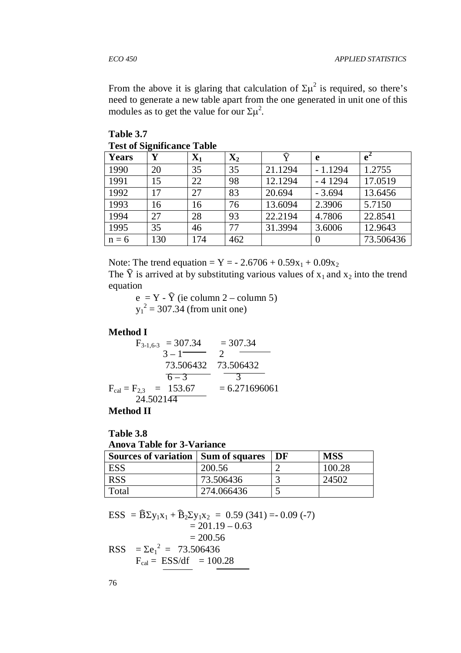From the above it is glaring that calculation of  $\Sigma \mu^2$  is required, so there's need to generate a new table apart from the one generated in unit one of this modules as to get the value for our  $\Sigma \mu^2$ .

| Years   | Y   | $\mathbf{X}_1$ | $\mathbf{X}_2$ | Ŷ       | e         | $e^2$     |  |  |
|---------|-----|----------------|----------------|---------|-----------|-----------|--|--|
| 1990    | 20  | 35             | 35             | 21.1294 | $-1.1294$ | 1.2755    |  |  |
| 1991    | 15  | 22             | 98             | 12.1294 | $-41294$  | 17.0519   |  |  |
| 1992    | 17  | 27             | 83             | 20.694  | $-3.694$  | 13.6456   |  |  |
| 1993    | 16  | 16             | 76             | 13.6094 | 2.3906    | 5.7150    |  |  |
| 1994    | 27  | 28             | 93             | 22.2194 | 4.7806    | 22.8541   |  |  |
| 1995    | 35  | 46             | 77             | 31.3994 | 3.6006    | 12.9643   |  |  |
| $n = 6$ | 130 | 174            | 462            |         |           | 73.506436 |  |  |

**Table 3.7 Test of Significance Table** 

Note: The trend equation =  $Y = -2.6706 + 0.59x_1 + 0.09x_2$ 

The  $\hat{Y}$  is arrived at by substituting various values of  $x_1$  and  $x_2$  into the trend equation

 $e = Y - \hat{Y}$  (ie column 2 – column 5)  $y_1^2 = 307.34$  (from unit one)

#### **Method I**

$$
F_{3-1,6-3} = 307.34 = 307.34
$$
  
\n
$$
3 - 1 = 2
$$
  
\n
$$
73.506432 = 73.506432
$$
  
\n
$$
F_{cal} = F_{2,3} = 153.67 = 6.271696061
$$
  
\n
$$
24.502144 = 24.502144
$$

**Method II** 

#### **Table 3.8 Anova Table for 3-Variance**

| <b>Sources of variation   Sum of squares</b> |            | DF | <b>MSS</b> |  |  |  |
|----------------------------------------------|------------|----|------------|--|--|--|
| ESS                                          | 200.56     |    | 100.28     |  |  |  |
| <b>RSS</b>                                   | 73.506436  |    | 24502      |  |  |  |
| Total                                        | 274.066436 |    |            |  |  |  |

ESS =  $\widehat{B} \Sigma y_1 x_1 + \widehat{B}_2 \Sigma y_1 x_2 = 0.59 (341) = 0.09 (-7)$  $= 201.19 - 0.63$  $= 200.56$ RSS  $= \Sigma e_1^2 = 73.506436$ 

 $F_{cal} = ESS/df = 100.28$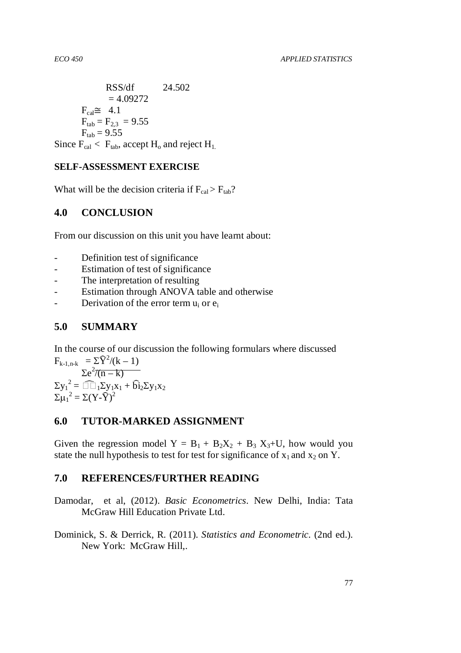$$
RSS/df = 4.09272
$$
  
= 4.09272  

$$
F_{cal} \cong 4.1
$$

$$
F_{tab} = F_{2,3} = 9.55
$$

$$
F_{tab} = 9.55
$$
  
Since  $F_{cal} < F_{tab}$ , accept  $H_o$  and reject  $H_{1}$ .

## **SELF-ASSESSMENT EXERCISE**

What will be the decision criteria if  $F_{cal} > F_{tab}$ ?

# **4.0 CONCLUSION**

From our discussion on this unit you have learnt about:

- Definition test of significance
- Estimation of test of significance
- The interpretation of resulting
- Estimation through ANOVA table and otherwise
- Derivation of the error term  $u_i$  or  $e_i$

# **5.0 SUMMARY**

In the course of our discussion the following formulars where discussed  $F_{k-1,n-k} = \Sigma \hat{Y}^2/(k-1)$ 

 $\sum e^2/(n-k)$  $\Sigma y_1^2 = \sum_{1} \sum y_1 x_1 + \widehat{b_1} \sum y_1 x_2$  $\Sigma \mu_1^2 = \Sigma (Y - \widehat{Y})^2$ 

## **6.0 TUTOR-MARKED ASSIGNMENT**

Given the regression model  $Y = B_1 + B_2X_2 + B_3X_3+U$ , how would you state the null hypothesis to test for test for significance of  $x_1$  and  $x_2$  on Y.

## **7.0 REFERENCES/FURTHER READING**

- Damodar, et al, (2012). *Basic Econometrics.* New Delhi, India: Tata McGraw Hill Education Private Ltd.
- Dominick, S. & Derrick, R. (2011). *Statistics and Econometric.* (2nd ed.). New York: McGraw Hill,.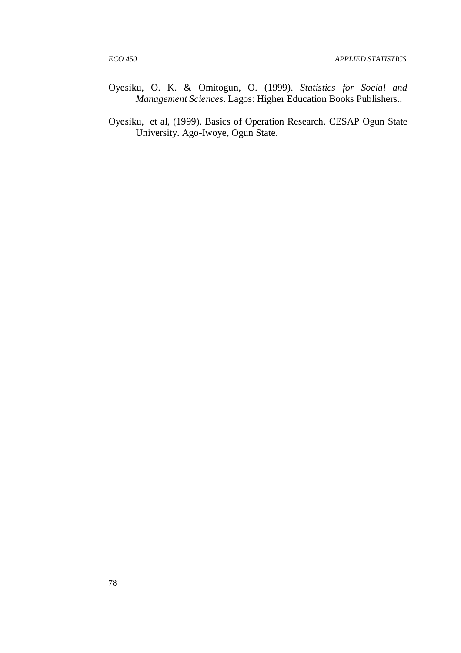- Oyesiku, O. K. & Omitogun, O. (1999). *Statistics for Social and Management Sciences*. Lagos: Higher Education Books Publishers..
- Oyesiku, et al, (1999). Basics of Operation Research. CESAP Ogun State University. Ago-Iwoye, Ogun State.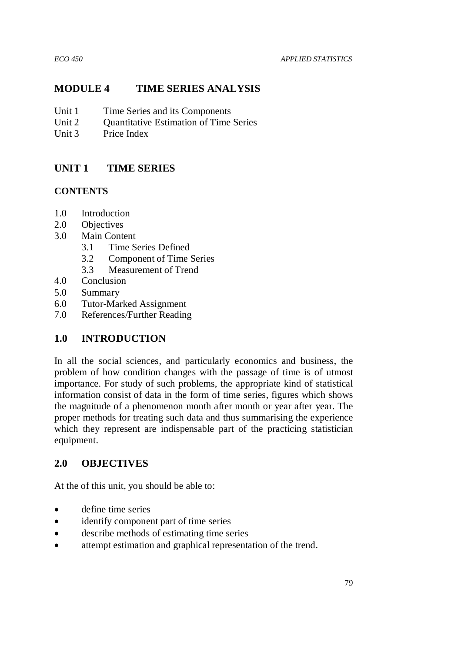# **MODULE 4 TIME SERIES ANALYSIS**

- Unit 1 Time Series and its Components
- Unit 2 Ouantitative Estimation of Time Series
- Unit 3 Price Index

# **UNIT 1 TIME SERIES**

## **CONTENTS**

- 1.0 Introduction
- 2.0 Objectives
- 3.0 Main Content
	- 3.1 Time Series Defined
	- 3.2 Component of Time Series
	- 3.3 Measurement of Trend
- 4.0 Conclusion
- 5.0 Summary
- 6.0 Tutor-Marked Assignment
- 7.0 References/Further Reading

# **1.0 INTRODUCTION**

In all the social sciences, and particularly economics and business, the problem of how condition changes with the passage of time is of utmost importance. For study of such problems, the appropriate kind of statistical information consist of data in the form of time series, figures which shows the magnitude of a phenomenon month after month or year after year. The proper methods for treating such data and thus summarising the experience which they represent are indispensable part of the practicing statistician equipment.

# **2.0 OBJECTIVES**

At the of this unit, you should be able to:

- define time series
- identify component part of time series
- describe methods of estimating time series
- attempt estimation and graphical representation of the trend.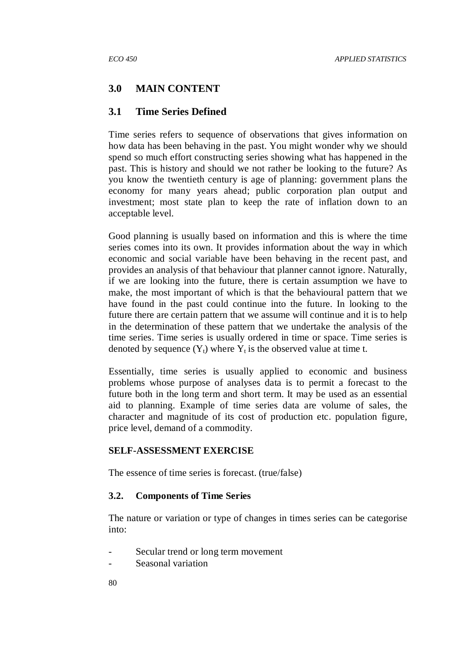## **3.0 MAIN CONTENT**

#### **3.1 Time Series Defined**

Time series refers to sequence of observations that gives information on how data has been behaving in the past. You might wonder why we should spend so much effort constructing series showing what has happened in the past. This is history and should we not rather be looking to the future? As you know the twentieth century is age of planning: government plans the economy for many years ahead; public corporation plan output and investment; most state plan to keep the rate of inflation down to an acceptable level.

Good planning is usually based on information and this is where the time series comes into its own. It provides information about the way in which economic and social variable have been behaving in the recent past, and provides an analysis of that behaviour that planner cannot ignore. Naturally, if we are looking into the future, there is certain assumption we have to make, the most important of which is that the behavioural pattern that we have found in the past could continue into the future. In looking to the future there are certain pattern that we assume will continue and it is to help in the determination of these pattern that we undertake the analysis of the time series. Time series is usually ordered in time or space. Time series is denoted by sequence  $(Y_t)$  where  $Y_t$  is the observed value at time t.

Essentially, time series is usually applied to economic and business problems whose purpose of analyses data is to permit a forecast to the future both in the long term and short term. It may be used as an essential aid to planning. Example of time series data are volume of sales, the character and magnitude of its cost of production etc. population figure, price level, demand of a commodity.

#### **SELF-ASSESSMENT EXERCISE**

The essence of time series is forecast. (true/false)

#### **3.2. Components of Time Series**

The nature or variation or type of changes in times series can be categorise into:

- Secular trend or long term movement
- Seasonal variation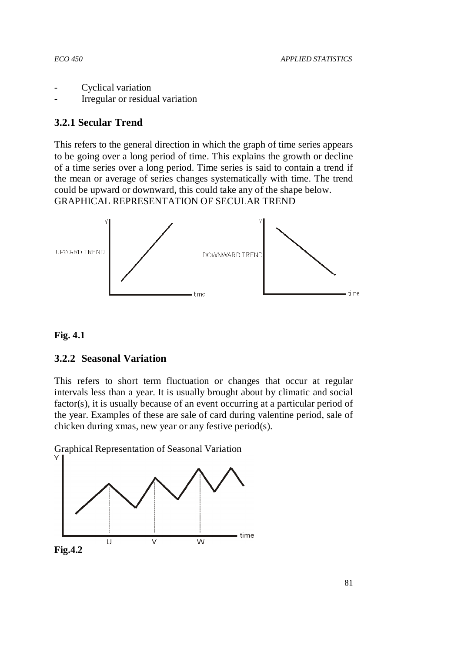- Cyclical variation
- Irregular or residual variation

# **3.2.1 Secular Trend**

This refers to the general direction in which the graph of time series appears to be going over a long period of time. This explains the growth or decline of a time series over a long period. Time series is said to contain a trend if the mean or average of series changes systematically with time. The trend could be upward or downward, this could take any of the shape below. GRAPHICAL REPRESENTATION OF SECULAR TREND



## **Fig. 4.1**

## **3.2.2 Seasonal Variation**

This refers to short term fluctuation or changes that occur at regular intervals less than a year. It is usually brought about by climatic and social factor(s), it is usually because of an event occurring at a particular period of the year. Examples of these are sale of card during valentine period, sale of chicken during xmas, new year or any festive period(s).

Graphical Representation of Seasonal Variation



**Fig.4.2**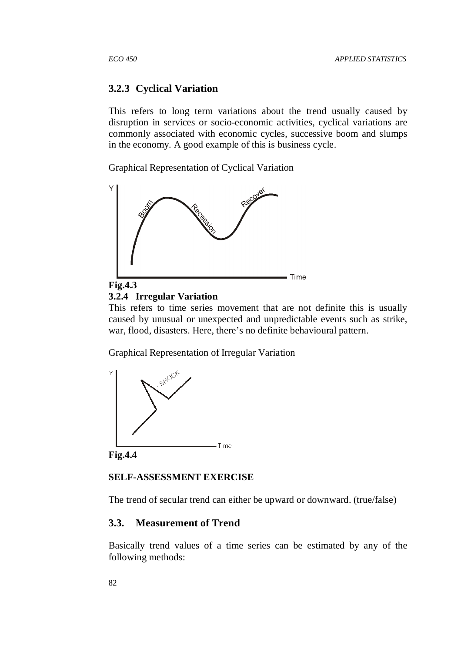#### **3.2.3 Cyclical Variation**

This refers to long term variations about the trend usually caused by disruption in services or socio-economic activities, cyclical variations are commonly associated with economic cycles, successive boom and slumps in the economy. A good example of this is business cycle.

Graphical Representation of Cyclical Variation



#### **3.2.4 Irregular Variation**

This refers to time series movement that are not definite this is usually caused by unusual or unexpected and unpredictable events such as strike, war, flood, disasters. Here, there's no definite behavioural pattern.

Graphical Representation of Irregular Variation



**Fig.4.4** 

#### **SELF-ASSESSMENT EXERCISE**

The trend of secular trend can either be upward or downward. (true/false)

## **3.3. Measurement of Trend**

Basically trend values of a time series can be estimated by any of the following methods: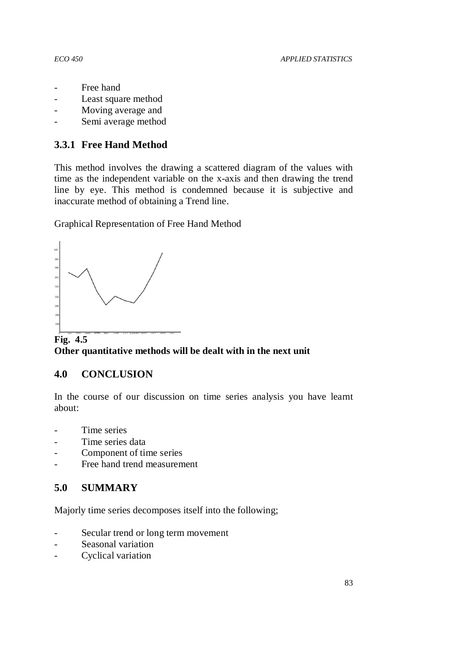- Free hand
- Least square method
- Moving average and
- Semi average method

# **3.3.1 Free Hand Method**

This method involves the drawing a scattered diagram of the values with time as the independent variable on the x-axis and then drawing the trend line by eye. This method is condemned because it is subjective and inaccurate method of obtaining a Trend line.

Graphical Representation of Free Hand Method



**Fig. 4.5 Other quantitative methods will be dealt with in the next unit** 

# **4.0 CONCLUSION**

In the course of our discussion on time series analysis you have learnt about:

- Time series
- Time series data
- Component of time series
- Free hand trend measurement

# **5.0 SUMMARY**

Majorly time series decomposes itself into the following;

- Secular trend or long term movement
- Seasonal variation
- Cyclical variation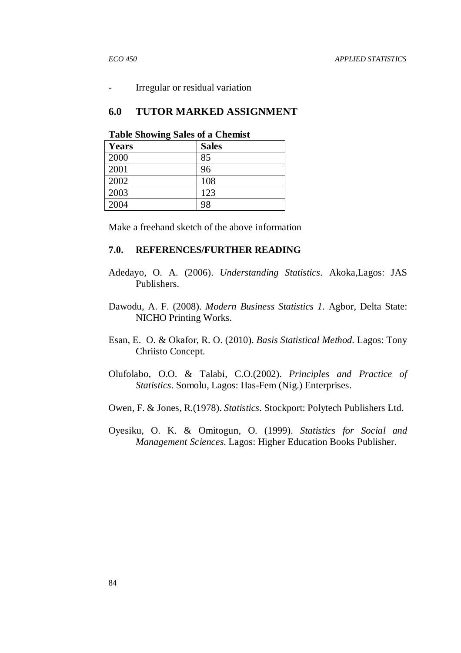Irregular or residual variation

#### **6.0 TUTOR MARKED ASSIGNMENT**

| Table blivwing baies of a Chemist |              |  |  |  |  |
|-----------------------------------|--------------|--|--|--|--|
| <b>Years</b>                      | <b>Sales</b> |  |  |  |  |
| 2000                              | 85           |  |  |  |  |
| 2001                              | 96           |  |  |  |  |
| 2002                              | 108          |  |  |  |  |
| 2003                              | 123          |  |  |  |  |
| 2004                              | 98           |  |  |  |  |

**Table Showing Sales of a Chemist** 

Make a freehand sketch of the above information

## **7.0. REFERENCES/FURTHER READING**

- Adedayo, O. A. (2006). *Understanding Statistics.* Akoka,Lagos: JAS Publishers.
- Dawodu, A. F. (2008). *Modern Business Statistics 1.* Agbor, Delta State: NICHO Printing Works.
- Esan, E. O. & Okafor, R. O. (2010). *Basis Statistical Method.* Lagos: Tony Chriisto Concept.
- Olufolabo, O.O. & Talabi, C.O.(2002). *Principles and Practice of Statistics.* Somolu, Lagos: Has-Fem (Nig.) Enterprises.
- Owen, F. & Jones, R.(1978). *Statistics.* Stockport: Polytech Publishers Ltd.
- Oyesiku, O. K. & Omitogun, O. (1999). *Statistics for Social and Management Sciences.* Lagos: Higher Education Books Publisher.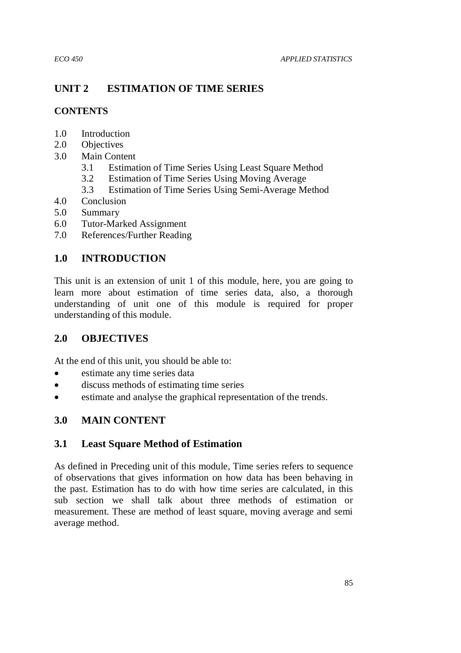# **UNIT 2 ESTIMATION OF TIME SERIES**

## **CONTENTS**

- 1.0 Introduction
- 2.0 Objectives
- 3.0 Main Content
	- 3.1 Estimation of Time Series Using Least Square Method
	- 3.2 Estimation of Time Series Using Moving Average
	- 3.3 Estimation of Time Series Using Semi-Average Method
- 4.0 Conclusion
- 5.0 Summary
- 6.0 Tutor-Marked Assignment
- 7.0 References/Further Reading

# **1.0 INTRODUCTION**

This unit is an extension of unit 1 of this module, here, you are going to learn more about estimation of time series data, also, a thorough understanding of unit one of this module is required for proper understanding of this module.

# **2.0 OBJECTIVES**

At the end of this unit, you should be able to:

- estimate any time series data
- discuss methods of estimating time series
- estimate and analyse the graphical representation of the trends.

# **3.0 MAIN CONTENT**

# **3.1 Least Square Method of Estimation**

As defined in Preceding unit of this module, Time series refers to sequence of observations that gives information on how data has been behaving in the past. Estimation has to do with how time series are calculated, in this sub section we shall talk about three methods of estimation or measurement. These are method of least square, moving average and semi average method.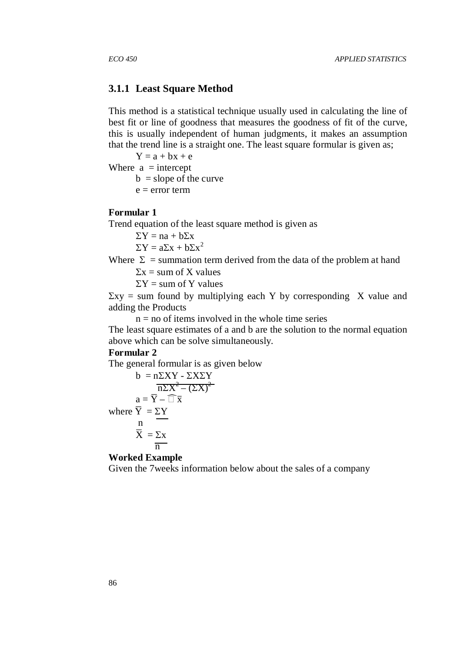#### **3.1.1 Least Square Method**

This method is a statistical technique usually used in calculating the line of best fit or line of goodness that measures the goodness of fit of the curve, this is usually independent of human judgments, it makes an assumption that the trend line is a straight one. The least square formular is given as;

 $Y = a + bx + e$ 

Where  $a =$  intercept

 $b = slope of the curve$ 

 $e = error term$ 

#### **Formular 1**

Trend equation of the least square method is given as

 $\Sigma Y = na + b\Sigma x$ 

 $\Sigma Y = a\Sigma x + b\Sigma x^2$ 

Where  $\Sigma$  = summation term derived from the data of the problem at hand

 $\Sigma x = \text{sum of } X \text{ values}$ 

 $\Sigma Y$  = sum of Y values

 $\Sigma xy =$  sum found by multiplying each Y by corresponding X value and adding the Products

 $n = no$  of items involved in the whole time series

The least square estimates of a and b are the solution to the normal equation above which can be solve simultaneously.

#### **Formular 2**

The general formular is as given below

$$
b = n\Sigma XY - \Sigma X\Sigma Y
$$

$$
\overline{n\Sigma X^2 - (\Sigma X)^2}
$$

$$
a = \overline{Y} - \overline{x}
$$

$$
a = \overline{Y} - \overline{x}
$$

$$
\overline{X} = \Sigma X
$$

$$
\overline{n}
$$

**Worked Example**

Given the 7weeks information below about the sales of a company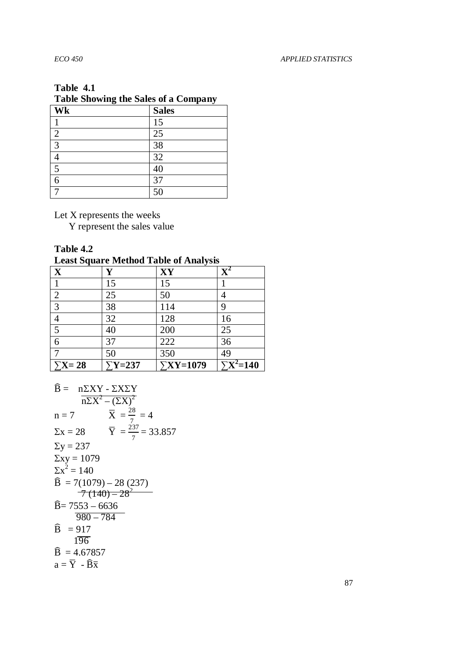# **Table 4.1**

# **Table Showing the Sales of a Company**

| Wk             | <b>Sales</b> |
|----------------|--------------|
|                | 15           |
| $\overline{2}$ | 25           |
| 3              | 38           |
|                | 32           |
| 5              | 40           |
|                | 37           |
|                | 50           |

Let X represents the weeks

Y represent the sales value

| Table 4.2 |  |
|-----------|--|
|-----------|--|

| <b>Example of the Contract of The Contract of the Contract of the Contract of the Contract of the Contract of the Contract of the Contract of the Contract of the Contract of the Contract of the Contract of the Contract of th</b> |                |                  |                                     |  |  |  |
|--------------------------------------------------------------------------------------------------------------------------------------------------------------------------------------------------------------------------------------|----------------|------------------|-------------------------------------|--|--|--|
| X                                                                                                                                                                                                                                    | Y              | XY               |                                     |  |  |  |
|                                                                                                                                                                                                                                      | 15             | 15               |                                     |  |  |  |
| $\overline{2}$                                                                                                                                                                                                                       | 25             | 50               |                                     |  |  |  |
| 3                                                                                                                                                                                                                                    | 38             | 114              | 9                                   |  |  |  |
|                                                                                                                                                                                                                                      | 32             | 128              | 16                                  |  |  |  |
| 5                                                                                                                                                                                                                                    | 40             | 200              | 25                                  |  |  |  |
| 6                                                                                                                                                                                                                                    | 37             | 222              | 36                                  |  |  |  |
|                                                                                                                                                                                                                                      | 50             | 350              | 49                                  |  |  |  |
| $\Sigma X = 28$                                                                                                                                                                                                                      | $\Sigma$ Y=237 | $\Sigma$ XY=1079 | $\Sigma$ <b>X</b> <sup>2</sup> =140 |  |  |  |

$$
\widehat{B} = \frac{n\Sigma XY - \Sigma X\Sigma Y}{n\Sigma X^2 - (\Sigma X)^2}
$$
\n  
\n
$$
n = 7 \qquad \overline{X} = \frac{28}{7} = 4
$$
\n  
\n
$$
\Sigma x = 28 \qquad \overline{Y} = \frac{237}{7} = 33.857
$$
\n  
\n
$$
\Sigma y = 237
$$
\n  
\n
$$
\Sigma xy = 1079
$$
\n  
\n
$$
\Sigma x^2 = 140
$$
\n  
\n
$$
\widehat{B} = 7(1079) - 28 (237)
$$
\n  
\n
$$
\overline{7 (140) - 28^2}
$$
\n  
\n
$$
\widehat{B} = 7553 - 6636
$$
\n  
\n
$$
\overline{980 - 784}
$$
\n  
\n
$$
\widehat{B} = 917
$$
\n  
\n
$$
\widehat{196}
$$
\n  
\n
$$
\widehat{B} = 4.67857
$$
\n  
\n
$$
a = \overline{Y} - \widehat{B} \overline{x}
$$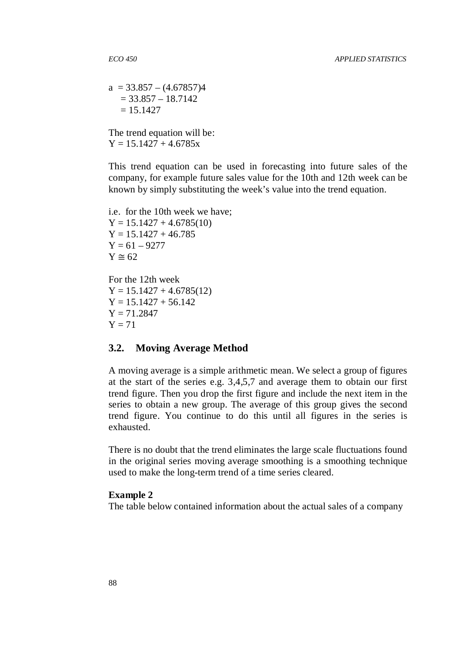$a = 33.857 - (4.67857)4$  $= 33.857 - 18.7142$  $= 15.1427$ 

The trend equation will be:  $Y = 15.1427 + 4.6785x$ 

This trend equation can be used in forecasting into future sales of the company, for example future sales value for the 10th and 12th week can be known by simply substituting the week's value into the trend equation.

i.e. for the 10th week we have;  $Y = 15.1427 + 4.6785(10)$  $Y = 15.1427 + 46.785$  $Y = 61 - 9277$  $Y \approx 62$ 

For the 12th week  $Y = 15.1427 + 4.6785(12)$  $Y = 15.1427 + 56.142$  $Y = 71.2847$  $Y = 71$ 

#### **3.2. Moving Average Method**

A moving average is a simple arithmetic mean. We select a group of figures at the start of the series e.g. 3,4,5,7 and average them to obtain our first trend figure. Then you drop the first figure and include the next item in the series to obtain a new group. The average of this group gives the second trend figure. You continue to do this until all figures in the series is exhausted.

There is no doubt that the trend eliminates the large scale fluctuations found in the original series moving average smoothing is a smoothing technique used to make the long-term trend of a time series cleared.

#### **Example 2**

The table below contained information about the actual sales of a company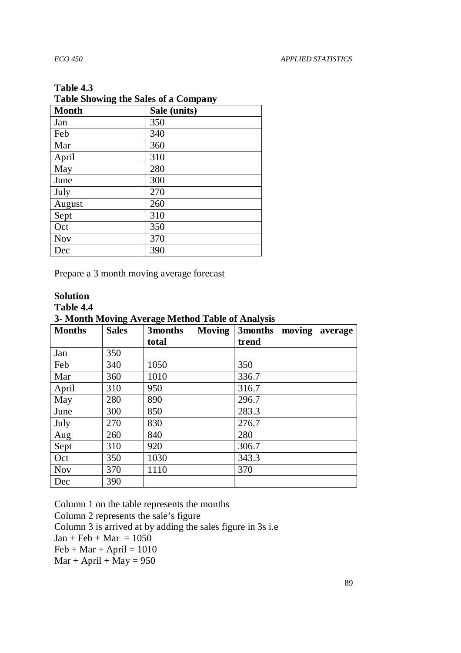#### **Table 4.3**

| Table Showing the Sales of a Company |              |  |  |  |  |
|--------------------------------------|--------------|--|--|--|--|
| <b>Month</b>                         | Sale (units) |  |  |  |  |
| Jan                                  | 350          |  |  |  |  |
| Feb                                  | 340          |  |  |  |  |
| Mar                                  | 360          |  |  |  |  |
| April                                | 310          |  |  |  |  |
| May                                  | 280          |  |  |  |  |
| June                                 | 300          |  |  |  |  |
| July                                 | 270          |  |  |  |  |
| August                               | 260          |  |  |  |  |
| Sept                                 | 310          |  |  |  |  |
| Oct                                  | 350          |  |  |  |  |
| <b>Nov</b>                           | 370          |  |  |  |  |
| Dec                                  | 390          |  |  |  |  |

# **Table Showing the Sales of a Company**

Prepare a 3 month moving average forecast

# **Solution**

**Table 4.4** 

**3- Month Moving Average Method Table of Analysis** 

| <b>Months</b> | 0<br><b>Sales</b> | <u>ີຕ</u><br>3months Moving | 3months moving average |
|---------------|-------------------|-----------------------------|------------------------|
|               |                   | total                       | trend                  |
| Jan           | 350               |                             |                        |
| Feb           | 340               | 1050                        | 350                    |
| Mar           | 360               | 1010                        | 336.7                  |
| April         | 310               | 950                         | 316.7                  |
| May           | 280               | 890                         | 296.7                  |
| June          | 300               | 850                         | 283.3                  |
| July          | 270               | 830                         | 276.7                  |
| Aug           | 260               | 840                         | 280                    |
| Sept          | 310               | 920                         | 306.7                  |
| Oct           | 350               | 1030                        | 343.3                  |
| <b>Nov</b>    | 370               | 1110                        | 370                    |
| Dec           | 390               |                             |                        |

Column 1 on the table represents the months Column 2 represents the sale's figure Column 3 is arrived at by adding the sales figure in 3s i.e  $Jan + Feb + Mar = 1050$  $Feb + Mar + April = 1010$  $Mar + April + May = 950$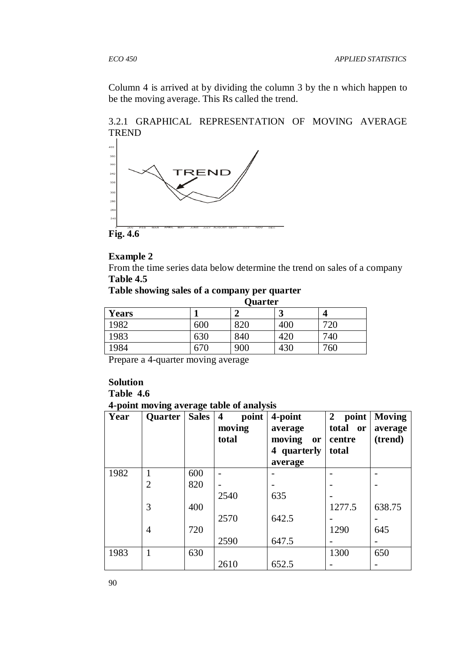Column 4 is arrived at by dividing the column 3 by the n which happen to be the moving average. This Rs called the trend.





**Fig. 4.6** 

#### **Example 2**

From the time series data below determine the trend on sales of a company **Table 4.5** 

# **Table showing sales of a company per quarter**

|              | Quarter |     |     |          |
|--------------|---------|-----|-----|----------|
| <b>Years</b> |         |     | ມ   | $\angle$ |
| 1982         | 600     | 820 | 400 | 720      |
| 1983         | 630     | 840 | 420 | 740      |
| 1984         | 670     | 900 | 430 | 760      |

Prepare a 4-quarter moving average

## **Solution Table 4.6 4-point moving average table of analysis**

| Year | Quarter        | ັ<br><b>Sales</b> | point<br>$\overline{\mathbf{4}}$<br>moving<br>total | 4-point<br>average<br>moving<br><b>or</b><br>quarterly<br>4<br>average | $\overline{2}$<br>point<br>total<br><b>or</b><br>centre<br>total | <b>Moving</b><br>average<br>(trend) |
|------|----------------|-------------------|-----------------------------------------------------|------------------------------------------------------------------------|------------------------------------------------------------------|-------------------------------------|
| 1982 | 1              | 600               |                                                     |                                                                        |                                                                  |                                     |
|      | $\overline{2}$ | 820               |                                                     |                                                                        |                                                                  |                                     |
|      |                |                   | 2540                                                | 635                                                                    |                                                                  |                                     |
|      | 3              | 400               |                                                     |                                                                        | 1277.5                                                           | 638.75                              |
|      |                |                   | 2570                                                | 642.5                                                                  |                                                                  |                                     |
|      | 4              | 720               |                                                     |                                                                        | 1290                                                             | 645                                 |
|      |                |                   | 2590                                                | 647.5                                                                  |                                                                  |                                     |
| 1983 | 1              | 630               |                                                     |                                                                        | 1300                                                             | 650                                 |
|      |                |                   | 2610                                                | 652.5                                                                  |                                                                  |                                     |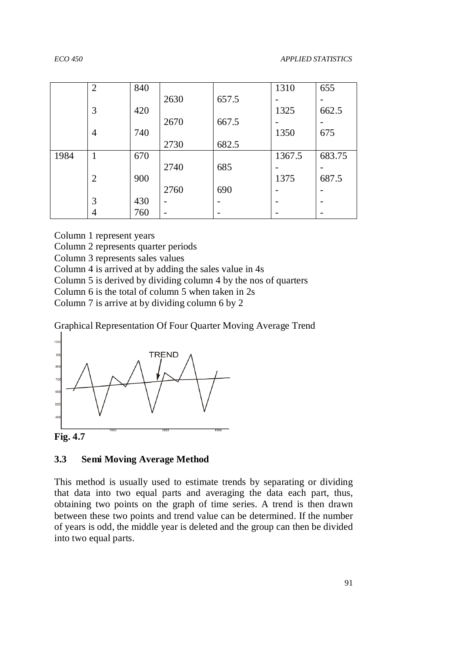|      | $\overline{2}$ | 840 |      |       | 1310   | 655    |
|------|----------------|-----|------|-------|--------|--------|
|      |                |     | 2630 | 657.5 |        |        |
|      | 3              | 420 |      |       | 1325   | 662.5  |
|      |                |     | 2670 | 667.5 |        |        |
|      | 4              | 740 |      |       | 1350   | 675    |
|      |                |     | 2730 | 682.5 |        |        |
| 1984 | 1              | 670 |      |       | 1367.5 | 683.75 |
|      |                |     | 2740 | 685   |        |        |
|      | $\overline{2}$ | 900 |      |       | 1375   | 687.5  |
|      |                |     | 2760 | 690   |        |        |
|      | 3              | 430 | -    |       |        |        |
|      | $\overline{4}$ | 760 |      |       |        |        |

Column 1 represent years

Column 2 represents quarter periods

Column 3 represents sales values

Column 4 is arrived at by adding the sales value in 4s

Column 5 is derived by dividing column 4 by the nos of quarters

Column 6 is the total of column 5 when taken in 2s

Column 7 is arrive at by dividing column 6 by 2

Graphical Representation Of Four Quarter Moving Average Trend



**Fig. 4.7** 

#### **3.3 Semi Moving Average Method**

This method is usually used to estimate trends by separating or dividing that data into two equal parts and averaging the data each part, thus, obtaining two points on the graph of time series. A trend is then drawn between these two points and trend value can be determined. If the number of years is odd, the middle year is deleted and the group can then be divided into two equal parts.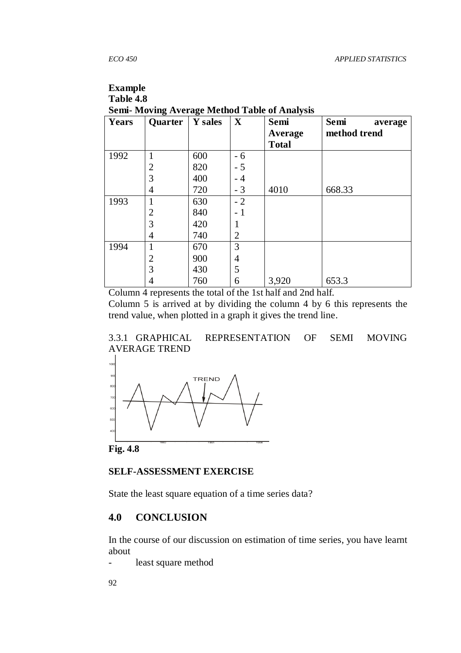# **Example**

**Table 4.8 Semi- Moving Average Method Table of Analysis** 

| Years | ັ<br>Quarter   | ີ<br>Y sales | $\mathbf X$    | Semi<br>Average<br><b>Total</b> | Semi<br>average<br>method trend |
|-------|----------------|--------------|----------------|---------------------------------|---------------------------------|
| 1992  |                | 600          | $-6$           |                                 |                                 |
|       | 2              | 820          | $-5$           |                                 |                                 |
|       | 3              | 400          | - 4            |                                 |                                 |
|       | 4              | 720          | $-3$           | 4010                            | 668.33                          |
| 1993  |                | 630          | $-2$           |                                 |                                 |
|       | $\overline{2}$ | 840          | 1              |                                 |                                 |
|       | 3              | 420          |                |                                 |                                 |
|       | 4              | 740          | $\overline{2}$ |                                 |                                 |
| 1994  |                | 670          | 3              |                                 |                                 |
|       | $\overline{2}$ | 900          | $\overline{4}$ |                                 |                                 |
|       | 3              | 430          | 5              |                                 |                                 |
|       | 4              | 760          | 6              | 3,920                           | 653.3                           |

Column 4 represents the total of the 1st half and 2nd half.

Column 5 is arrived at by dividing the column 4 by 6 this represents the trend value, when plotted in a graph it gives the trend line.





**Fig. 4.8** 

## **SELF-ASSESSMENT EXERCISE**

State the least square equation of a time series data?

# **4.0 CONCLUSION**

In the course of our discussion on estimation of time series, you have learnt about

- least square method

92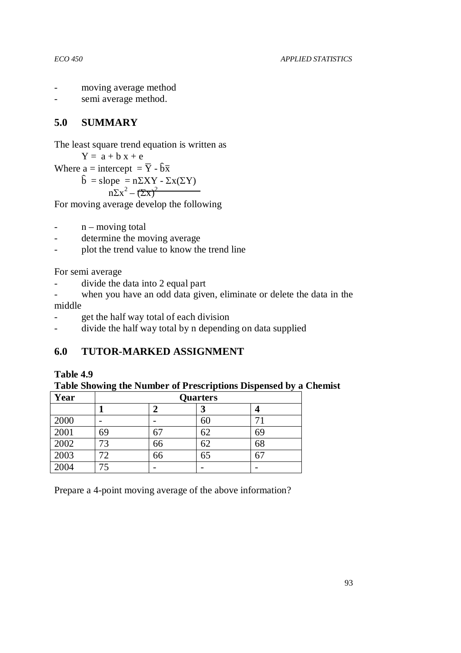- moving average method
- semi average method.

# **5.0 SUMMARY**

```
The least square trend equation is written as
```
 $Y = a + b x + e$ Where a = intercept =  $\overline{Y}$  -  $\hat{b}\overline{x}$  $\hat{b} = slope = n\Sigma XY - \Sigma x(\Sigma Y)$  $n\Sigma x^2 - (\Sigma x)^2$ 

For moving average develop the following

- $-$  n moving total
- determine the moving average
- plot the trend value to know the trend line

For semi average

- divide the data into 2 equal part
- when you have an odd data given, eliminate or delete the data in the middle
- get the half way total of each division
- divide the half way total by n depending on data supplied

# **6.0 TUTOR-MARKED ASSIGNMENT**

# **Table 4.9**

**Table Showing the Number of Prescriptions Dispensed by a Chemist** 

| Year | <b>Quarters</b> |    |    |    |
|------|-----------------|----|----|----|
|      |                 |    | J  |    |
| 2000 |                 |    | 60 |    |
| 2001 | 69              | 67 | 62 | 69 |
| 2002 | 73              | 66 | 62 | 68 |
| 2003 | 72.             | 66 | 65 | 67 |
| 2004 |                 |    |    |    |

Prepare a 4-point moving average of the above information?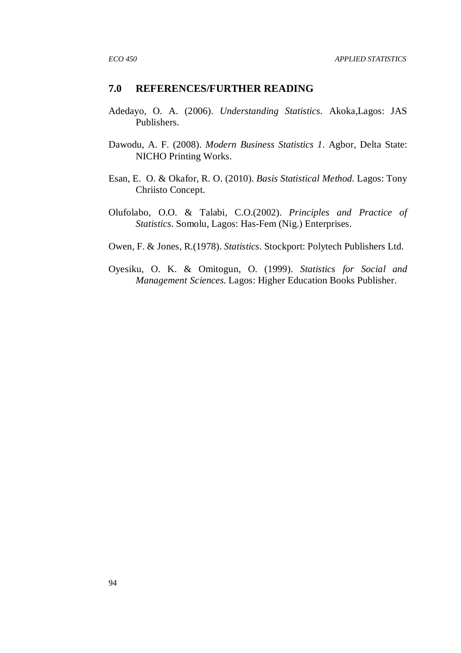## **7.0 REFERENCES/FURTHER READING**

- Adedayo, O. A. (2006). *Understanding Statistics.* Akoka,Lagos: JAS Publishers.
- Dawodu, A. F. (2008). *Modern Business Statistics 1.* Agbor, Delta State: NICHO Printing Works.
- Esan, E. O. & Okafor, R. O. (2010). *Basis Statistical Method.* Lagos: Tony Chriisto Concept.
- Olufolabo, O.O. & Talabi, C.O.(2002). *Principles and Practice of Statistics.* Somolu, Lagos: Has-Fem (Nig.) Enterprises.
- Owen, F. & Jones, R.(1978). *Statistics.* Stockport: Polytech Publishers Ltd.
- Oyesiku, O. K. & Omitogun, O. (1999). *Statistics for Social and Management Sciences.* Lagos: Higher Education Books Publisher.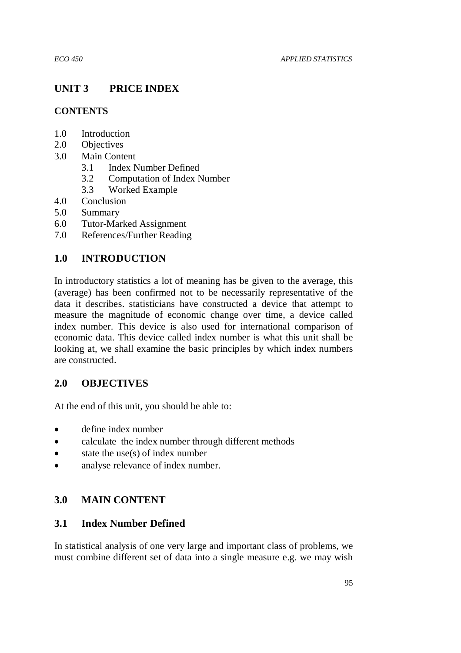# **UNIT 3 PRICE INDEX**

# **CONTENTS**

- 1.0 Introduction
- 2.0 Objectives
- 3.0 Main Content
	- 3.1 Index Number Defined
	- 3.2 Computation of Index Number
	- 3.3 Worked Example
- 4.0 Conclusion
- 5.0 Summary
- 6.0 Tutor-Marked Assignment
- 7.0 References/Further Reading

# **1.0 INTRODUCTION**

In introductory statistics a lot of meaning has be given to the average, this (average) has been confirmed not to be necessarily representative of the data it describes. statisticians have constructed a device that attempt to measure the magnitude of economic change over time, a device called index number. This device is also used for international comparison of economic data. This device called index number is what this unit shall be looking at, we shall examine the basic principles by which index numbers are constructed.

# **2.0 OBJECTIVES**

At the end of this unit, you should be able to:

- define index number
- calculate the index number through different methods
- $\bullet$  state the use(s) of index number
- analyse relevance of index number.

# **3.0 MAIN CONTENT**

# **3.1 Index Number Defined**

In statistical analysis of one very large and important class of problems, we must combine different set of data into a single measure e.g. we may wish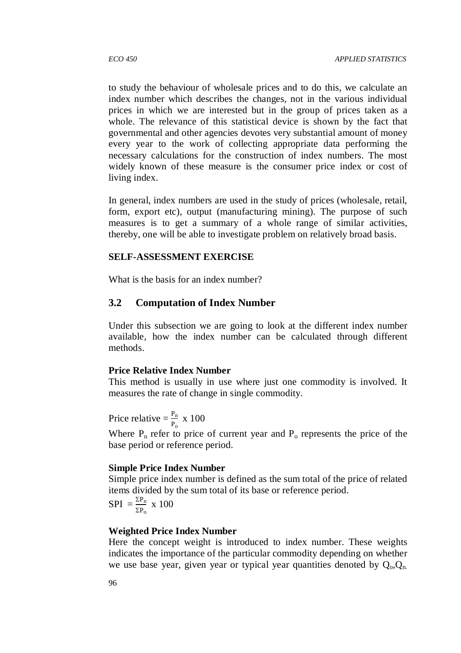to study the behaviour of wholesale prices and to do this, we calculate an index number which describes the changes, not in the various individual prices in which we are interested but in the group of prices taken as a whole. The relevance of this statistical device is shown by the fact that governmental and other agencies devotes very substantial amount of money every year to the work of collecting appropriate data performing the necessary calculations for the construction of index numbers. The most widely known of these measure is the consumer price index or cost of living index.

In general, index numbers are used in the study of prices (wholesale, retail, form, export etc), output (manufacturing mining). The purpose of such measures is to get a summary of a whole range of similar activities, thereby, one will be able to investigate problem on relatively broad basis.

#### **SELF-ASSESSMENT EXERCISE**

What is the basis for an index number?

## **3.2 Computation of Index Number**

Under this subsection we are going to look at the different index number available, how the index number can be calculated through different methods.

#### **Price Relative Index Number**

This method is usually in use where just one commodity is involved. It measures the rate of change in single commodity.

Price relative  $= \frac{P_n}{P_o} \times 100$ 

Where  $P_n$  refer to price of current year and  $P_0$  represents the price of the base period or reference period.

#### **Simple Price Index Number**

Simple price index number is defined as the sum total of the price of related items divided by the sum total of its base or reference period.

$$
SPI = \frac{\Sigma P_n}{\Sigma P_o} \times 100
$$

#### **Weighted Price Index Number**

Here the concept weight is introduced to index number. These weights indicates the importance of the particular commodity depending on whether we use base year, given year or typical year quantities denoted by  $Q_0, Q_n$ .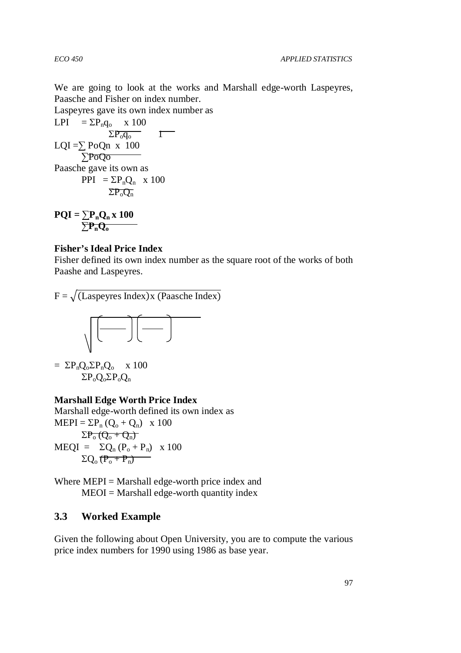We are going to look at the works and Marshall edge-worth Laspeyres, Paasche and Fisher on index number.

Laspeyres gave its own index number as

$$
LPI = \Sigma P_n q_o \times 100
$$
  
\n
$$
\Sigma P_o q_o
$$
  
\n
$$
LQI = \Sigma PoQn \times 100
$$
  
\n
$$
\Sigma PoQo
$$
  
\nPaasche gave its own as  
\n
$$
PPI = \Sigma P_n Q_n \times 100
$$
  
\n
$$
\Sigma P_o Q_n
$$

 $PQI = \sum P_n Q_n x 100$ ∑**PnQ<sup>o</sup>**

#### **Fisher's Ideal Price Index**

Fisher defined its own index number as the square root of the works of both Paashe and Laspeyres.

 $F = \sqrt{\text{(Laspeyres Index)}x \text{ (Paasche Index)}}$ 



$$
= \ \Sigma P_n Q_o \Sigma P_n Q_o \quad x \ 100
$$

$$
\Sigma P_o Q_o \Sigma P_o Q_n
$$

### **Marshall Edge Worth Price Index**

Marshall edge-worth defined its own index as  $MEPI = \Sigma P_n (Q_0 + Q_n)$  x 100  $\Sigma P_o (Q_o + Q_n)$  $MEQI = \Sigma Q_n (P_o + P_n) \times 100$  $\Sigma O_0 (P_0 + P_n)$ 

Where  $MEPI = Marshall$  edge-worth price index and  $MEOI = Marshall$  edge-worth quantity index

### **3.3 Worked Example**

Given the following about Open University, you are to compute the various price index numbers for 1990 using 1986 as base year.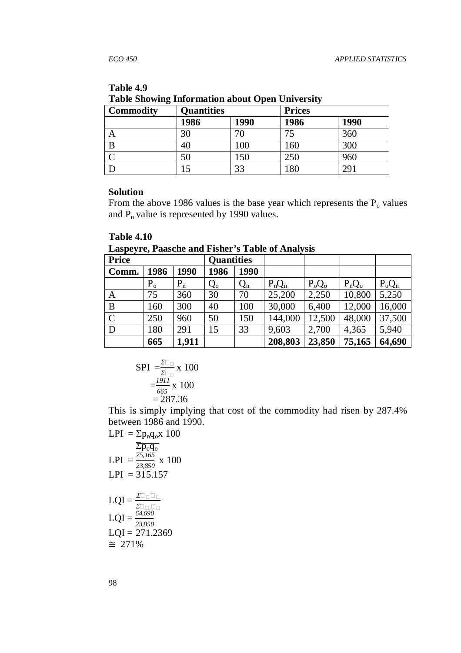| Tuble phowing information about Open Cinversity |                   |      |               |            |  |  |
|-------------------------------------------------|-------------------|------|---------------|------------|--|--|
| <b>Commodity</b>                                | <b>Quantities</b> |      | <b>Prices</b> |            |  |  |
|                                                 | 1986              | 1990 | 1986          | 1990       |  |  |
|                                                 | 30                |      | 75            | 360        |  |  |
| B                                               | 40                | 100  | 160           | 300        |  |  |
|                                                 | 50                | 150  | 250           | 960        |  |  |
|                                                 |                   | 33   | 180           | $29^\circ$ |  |  |

#### **Table 4.9 Table Showing Information about Open University**

# **Solution**

From the above 1986 values is the base year which represents the  $P_0$  values and  $P_n$  value is represented by 1990 values.

# **Table 4.10**

**Laspeyre, Paasche and Fisher's Table of Analysis** 

| .<br><b>Price</b> |         |       | <b>Quantities</b> |       | $\bullet$ |          |          |          |
|-------------------|---------|-------|-------------------|-------|-----------|----------|----------|----------|
| Comm.             | 1986    | 1990  | 1986              | 1990  |           |          |          |          |
|                   | $P_{o}$ | $P_n$ | $Q_{o}$           | $Q_n$ | $P_nQ_n$  | $P_0Q_0$ | $P_nQ_o$ | $P_oQ_n$ |
| A                 | 75      | 360   | 30                | 70    | 25,200    | 2,250    | 10,800   | 5,250    |
| B                 | 160     | 300   | 40                | 100   | 30,000    | 6,400    | 12,000   | 16,000   |
| $\overline{C}$    | 250     | 960   | 50                | 150   | 144,000   | 12,500   | 48,000   | 37,500   |
| D                 | 180     | 291   | 15                | 33    | 9,603     | 2,700    | 4,365    | 5,940    |
|                   | 665     | 1,911 |                   |       | 208,803   | 23,850   | 75,165   | 64,690   |

$$
\text{SPI} = \frac{\sum_{z}^{2}}{\sum_{z}^{2}} \times 100
$$

$$
= \frac{1911}{665} \times 100
$$

$$
= 287.36
$$

This is simply implying that cost of the commodity had risen by 287.4% between 1986 and 1990.

$$
LPI = Σpnqox 100
$$
  
\n
$$
Σpoqo
$$
  
\n
$$
LPI = \frac{75,165}{23,850} x 100
$$
  
\n
$$
LPI = 315.157
$$
  
\n
$$
LQI = \frac{Σ}{Σ}
$$
  
\n
$$
LQI = \frac{64,690}{23,850}
$$
  
\n
$$
LQI = 271.2369
$$
  
\n≝ 271%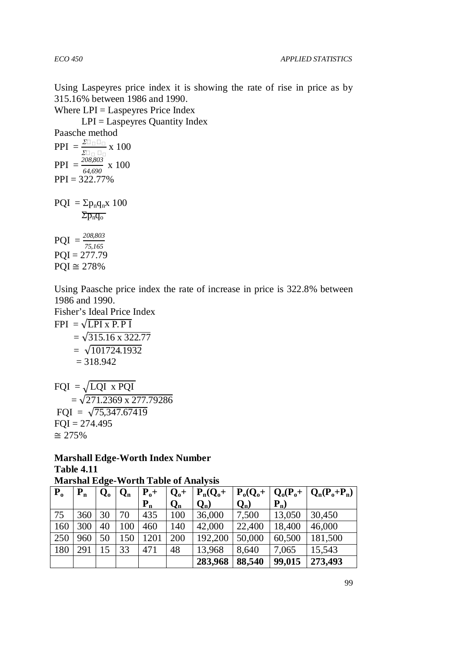Using Laspeyres price index it is showing the rate of rise in price as by 315.16% between 1986 and 1990.

Where LPI = Laspeyres Price Index

 $LPI =$ Laspeyres Quantity Index

Paasche method  $PPI = \frac{\Sigma}{\Sigma}$  x 100  $PPI = \frac{208,803}{64,690} \times 100$  $PPI = 322.77%$  $PQI = \Sigma p_n q_n x 100$  $\Sigma p_n q_o$  $PQI = \frac{208,803}{75,165}$  $POI = 277.79$  $PQI \cong 278\%$ 

Using Paasche price index the rate of increase in price is 322.8% between 1986 and 1990.

Fisher's Ideal Price Index

$$
\begin{aligned} \text{FPI} &= \sqrt{\text{LPI x P.P I}} \\ &= \sqrt{315.16 \times 322.77} \\ &= \sqrt{101724.1932} \\ &= 318.942 \end{aligned}
$$

 $FQI = \sqrt{LQI \times PQI}$  $=\sqrt{271.2369 \times 277.79286}$ FQI =  $\sqrt{75,347.67419}$  $FOI = 274.495$ ≅ 275%

**Marshall Edge-Worth Index Number Table 4.11 Marshal Edge-Worth Table of Analysis** 

| $\mathbf{P}_{o}$ | $P_n$ | $Q_{o}$ | $Q_n$ | $P_{o}+$ | $Q_0+$ | $P_n(Q_0 +$ | $P_o(Q_o+$ |        | $\mid Q_{0}(P_{0}+\mid Q_{n}(P_{0}+P_{n})\mid$ |
|------------------|-------|---------|-------|----------|--------|-------------|------------|--------|------------------------------------------------|
|                  |       |         |       | $P_{n}$  | $Q_n$  | $Q_n$ )     | $Q_n$      | $P_n$  |                                                |
| 75               | 360   | 30      | 70    | 435      | 100    | 36,000      | 7,500      | 13,050 | 30,450                                         |
| 160              | 300   | 40      | 100   | 460      | 140    | 42,000      | 22,400     | 18,400 | 46,000                                         |
| 250              | 960   | 50      | 150   | 1201     | 200    | 192,200     | 50,000     | 60,500 | 181,500                                        |
| 180              | 291   | $15 -$  | 33    | 471      | 48     | 13,968      | 8,640      | 7,065  | 15,543                                         |
|                  |       |         |       |          |        | 283,968     | 88,540     | 99,015 | 273,493                                        |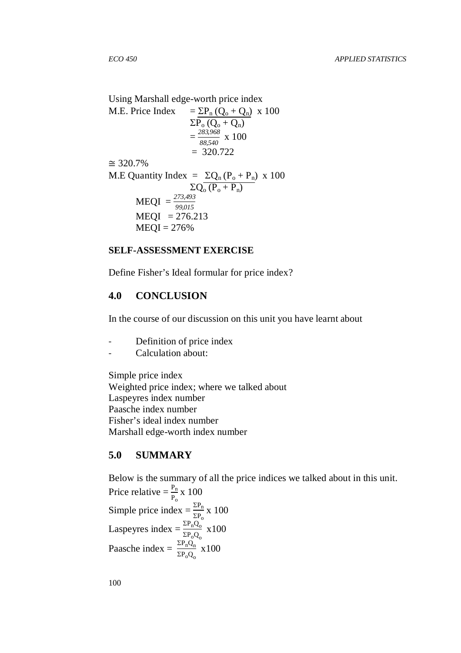Using Marshall edge-worth price index M.E. Price Index =  $\Sigma P_n (Q_0 + Q_n)$  x 100  $\Sigma P_o (Q_o + Q_n)$  $=\frac{283,968}{88,540}$  $\frac{88,540}{88,540}$  x 100  $= 320.722$ ≅ 320.7% M.E Quantity Index =  $\Sigma Q_n (P_o + P_n) \times 100$  $\Sigma Q_{o} (P_{o} + P_{n})$  $MEQI = \frac{273,493}{99,015}$  $MEOI = 276.213$  $MEOI = 276%$ 

### **SELF-ASSESSMENT EXERCISE**

Define Fisher's Ideal formular for price index?

# **4.0 CONCLUSION**

In the course of our discussion on this unit you have learnt about

- Definition of price index
- Calculation about:

Simple price index Weighted price index; where we talked about Laspeyres index number Paasche index number Fisher's ideal index number Marshall edge-worth index number

# **5.0 SUMMARY**

Below is the summary of all the price indices we talked about in this unit. Price relative  $= \frac{P_n}{P_o} x 100$ Simple price index =  $\frac{\Sigma P_n}{\Sigma P_0}$  x 100 Laspeyres index =  $\frac{\Sigma P_n Q_o}{\Sigma P_o Q}$  $\Sigma P_0 Q_0$  x100 Paasche index =  $\frac{\Sigma P_n Q_n}{\Sigma P_n Q_n}$  $\Sigma P_0 Q_0$ x100